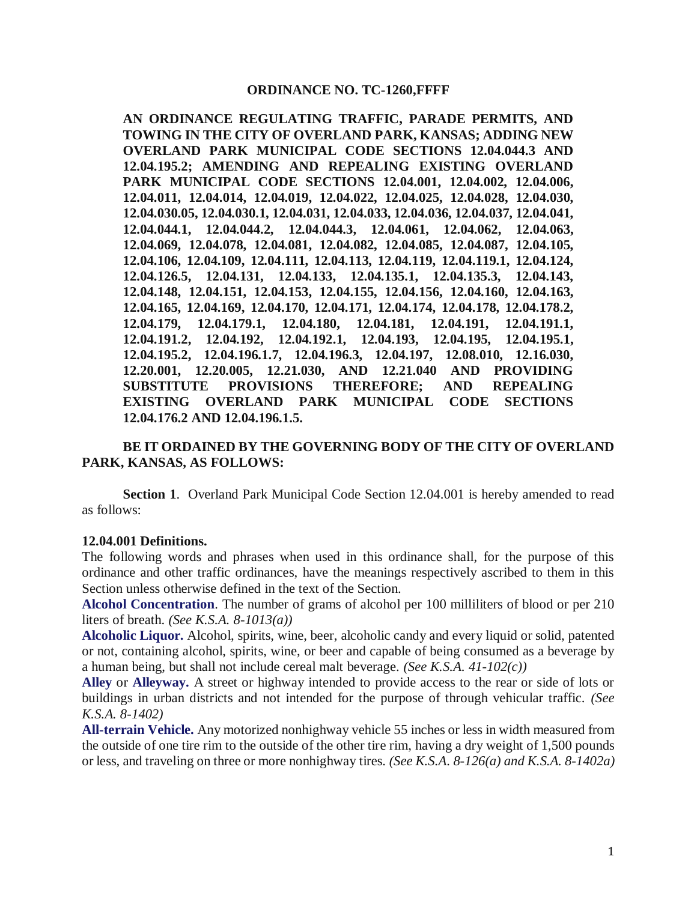#### **ORDINANCE NO. TC-1260,FFFF**

**AN ORDINANCE REGULATING TRAFFIC, PARADE PERMITS, AND TOWING IN THE CITY OF OVERLAND PARK, KANSAS; ADDING NEW OVERLAND PARK MUNICIPAL CODE SECTIONS 12.04.044.3 AND 12.04.195.2; AMENDING AND REPEALING EXISTING OVERLAND PARK MUNICIPAL CODE SECTIONS 12.04.001, 12.04.002, 12.04.006, 12.04.011, 12.04.014, 12.04.019, 12.04.022, 12.04.025, 12.04.028, 12.04.030, 12.04.030.05, 12.04.030.1, 12.04.031, 12.04.033, 12.04.036, 12.04.037, 12.04.041, 12.04.044.1, 12.04.044.2, 12.04.044.3, 12.04.061, 12.04.062, 12.04.063, 12.04.069, 12.04.078, 12.04.081, 12.04.082, 12.04.085, 12.04.087, 12.04.105, 12.04.106, 12.04.109, 12.04.111, 12.04.113, 12.04.119, 12.04.119.1, 12.04.124, 12.04.126.5, 12.04.131, 12.04.133, 12.04.135.1, 12.04.135.3, 12.04.143, 12.04.148, 12.04.151, 12.04.153, 12.04.155, 12.04.156, 12.04.160, 12.04.163, 12.04.165, 12.04.169, 12.04.170, 12.04.171, 12.04.174, 12.04.178, 12.04.178.2, 12.04.179, 12.04.179.1, 12.04.180, 12.04.181, 12.04.191, 12.04.191.1, 12.04.191.2, 12.04.192, 12.04.192.1, 12.04.193, 12.04.195, 12.04.195.1, 12.04.195.2, 12.04.196.1.7, 12.04.196.3, 12.04.197, 12.08.010, 12.16.030, 12.20.001, 12.20.005, 12.21.030, AND 12.21.040 AND PROVIDING SUBSTITUTE PROVISIONS THEREFORE; AND REPEALING EXISTING OVERLAND PARK MUNICIPAL CODE SECTIONS 12.04.176.2 AND 12.04.196.1.5.**

#### **BE IT ORDAINED BY THE GOVERNING BODY OF THE CITY OF OVERLAND PARK, KANSAS, AS FOLLOWS:**

**Section 1**. Overland Park Municipal Code Section 12.04.001 is hereby amended to read as follows:

#### **12.04.001 Definitions.**

The following words and phrases when used in this ordinance shall, for the purpose of this ordinance and other traffic ordinances, have the meanings respectively ascribed to them in this Section unless otherwise defined in the text of the Section.

**Alcohol Concentration**. The number of grams of alcohol per 100 milliliters of blood or per 210 liters of breath. *(See K.S.A. 8-1013(a))*

**Alcoholic Liquor.** Alcohol, spirits, wine, beer, alcoholic candy and every liquid or solid, patented or not, containing alcohol, spirits, wine, or beer and capable of being consumed as a beverage by a human being, but shall not include cereal malt beverage. *(See K.S.A. 41-102(c))*

**Alley** or **Alleyway.** A street or highway intended to provide access to the rear or side of lots or buildings in urban districts and not intended for the purpose of through vehicular traffic. *(See K.S.A. 8-1402)*

**All-terrain Vehicle.** Any motorized nonhighway vehicle 55 inches or less in width measured from the outside of one tire rim to the outside of the other tire rim, having a dry weight of 1,500 pounds or less, and traveling on three or more nonhighway tires. *(See K.S.A. 8-126(a) and K.S.A. 8-1402a)*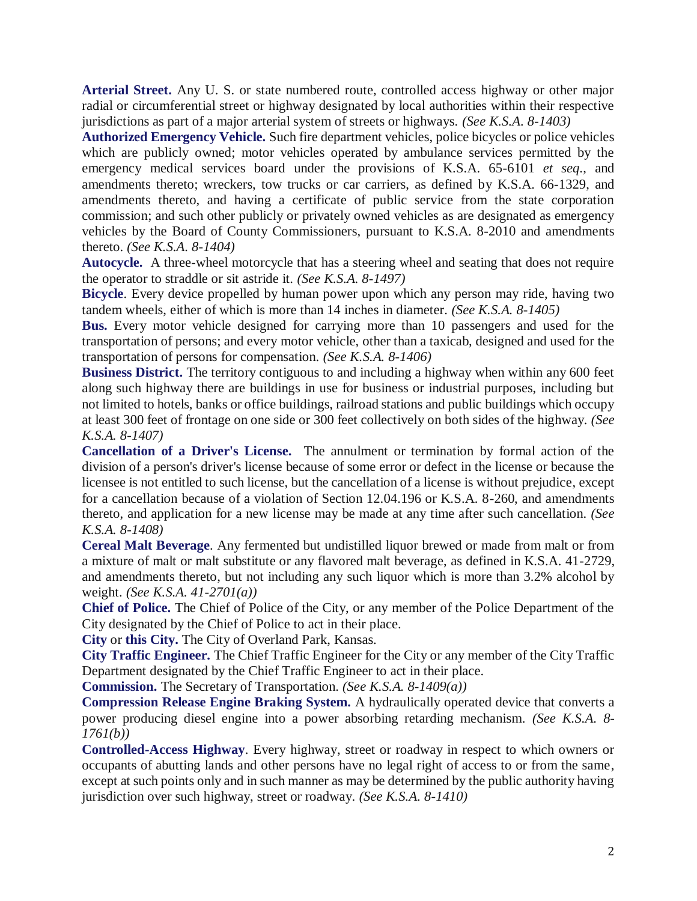**Arterial Street.** Any U. S. or state numbered route, controlled access highway or other major radial or circumferential street or highway designated by local authorities within their respective jurisdictions as part of a major arterial system of streets or highways. *(See K.S.A. 8-1403)*

**Authorized Emergency Vehicle.** Such fire department vehicles, police bicycles or police vehicles which are publicly owned; motor vehicles operated by ambulance services permitted by the emergency medical services board under the provisions of K.S.A. 65-6101 *et seq*., and amendments thereto; wreckers, tow trucks or car carriers, as defined by K.S.A. 66-1329, and amendments thereto, and having a certificate of public service from the state corporation commission; and such other publicly or privately owned vehicles as are designated as emergency vehicles by the Board of County Commissioners, pursuant to K.S.A. 8-2010 and amendments thereto. *(See K.S.A. 8-1404)*

**Autocycle.** A three-wheel motorcycle that has a steering wheel and seating that does not require the operator to straddle or sit astride it. *(See K.S.A. 8-1497)*

**Bicycle**. Every device propelled by human power upon which any person may ride, having two tandem wheels, either of which is more than 14 inches in diameter. *(See K.S.A. 8-1405)*

**Bus.** Every motor vehicle designed for carrying more than 10 passengers and used for the transportation of persons; and every motor vehicle, other than a taxicab, designed and used for the transportation of persons for compensation. *(See K.S.A. 8-1406)*

**Business District.** The territory contiguous to and including a highway when within any 600 feet along such highway there are buildings in use for business or industrial purposes, including but not limited to hotels, banks or office buildings, railroad stations and public buildings which occupy at least 300 feet of frontage on one side or 300 feet collectively on both sides of the highway. *(See K.S.A. 8-1407)*

**Cancellation of a Driver's License.** The annulment or termination by formal action of the division of a person's driver's license because of some error or defect in the license or because the licensee is not entitled to such license, but the cancellation of a license is without prejudice, except for a cancellation because of a violation of Section 12.04.196 or K.S.A. 8-260, and amendments thereto, and application for a new license may be made at any time after such cancellation. *(See K.S.A. 8-1408)*

**Cereal Malt Beverage**. Any fermented but undistilled liquor brewed or made from malt or from a mixture of malt or malt substitute or any flavored malt beverage, as defined in K.S.A. 41-2729, and amendments thereto, but not including any such liquor which is more than 3.2% alcohol by weight. *(See K.S.A. 41-2701(a))*

**Chief of Police.** The Chief of Police of the City, or any member of the Police Department of the City designated by the Chief of Police to act in their place.

**City** or **this City.** The City of Overland Park, Kansas.

**City Traffic Engineer.** The Chief Traffic Engineer for the City or any member of the City Traffic Department designated by the Chief Traffic Engineer to act in their place.

**Commission.** The Secretary of Transportation. *(See K.S.A. 8-1409(a))*

**Compression Release Engine Braking System.** A hydraulically operated device that converts a power producing diesel engine into a power absorbing retarding mechanism. *(See K.S.A. 8- 1761(b))*

**Controlled-Access Highway**. Every highway, street or roadway in respect to which owners or occupants of abutting lands and other persons have no legal right of access to or from the same, except at such points only and in such manner as may be determined by the public authority having jurisdiction over such highway, street or roadway. *(See K.S.A. 8-1410)*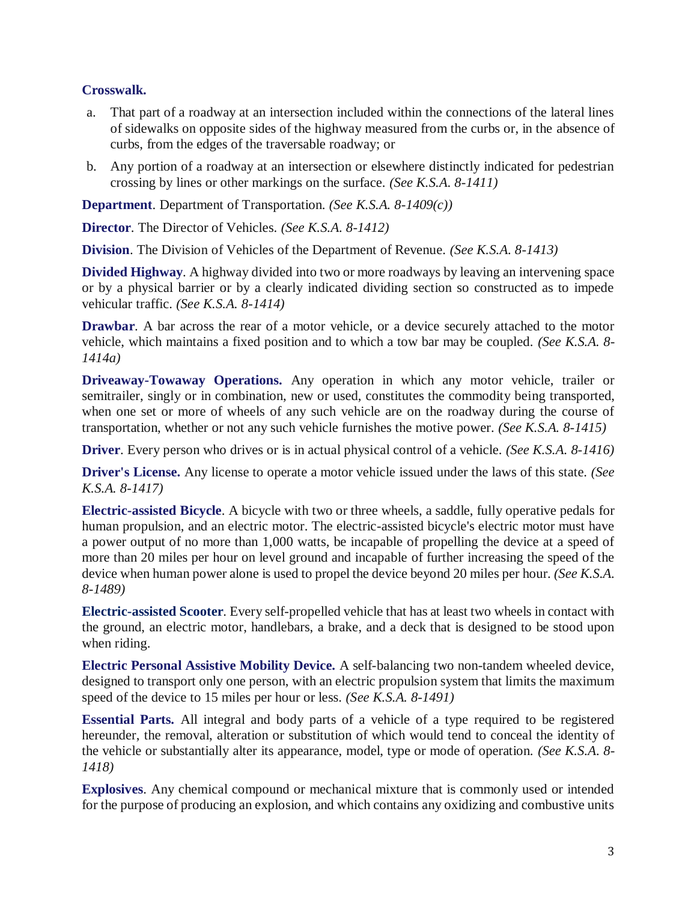### **Crosswalk.**

- a. That part of a roadway at an intersection included within the connections of the lateral lines of sidewalks on opposite sides of the highway measured from the curbs or, in the absence of curbs, from the edges of the traversable roadway; or
- b. Any portion of a roadway at an intersection or elsewhere distinctly indicated for pedestrian crossing by lines or other markings on the surface. *(See K.S.A. 8-1411)*

**Department**. Department of Transportation. *(See K.S.A. 8-1409(c))*

**Director**. The Director of Vehicles. *(See K.S.A. 8-1412)*

**Division**. The Division of Vehicles of the Department of Revenue. *(See K.S.A. 8-1413)*

**Divided Highway**. A highway divided into two or more roadways by leaving an intervening space or by a physical barrier or by a clearly indicated dividing section so constructed as to impede vehicular traffic. *(See K.S.A. 8-1414)*

**Drawbar.** A bar across the rear of a motor vehicle, or a device securely attached to the motor vehicle, which maintains a fixed position and to which a tow bar may be coupled. *(See K.S.A. 8- 1414a)*

**Driveaway-Towaway Operations.** Any operation in which any motor vehicle, trailer or semitrailer, singly or in combination, new or used, constitutes the commodity being transported, when one set or more of wheels of any such vehicle are on the roadway during the course of transportation, whether or not any such vehicle furnishes the motive power. *(See K.S.A. 8-1415)*

**Driver**. Every person who drives or is in actual physical control of a vehicle. *(See K.S.A. 8-1416)*

**Driver's License.** Any license to operate a motor vehicle issued under the laws of this state. *(See K.S.A. 8-1417)*

**Electric-assisted Bicycle**. A bicycle with two or three wheels, a saddle, fully operative pedals for human propulsion, and an electric motor. The electric-assisted bicycle's electric motor must have a power output of no more than 1,000 watts, be incapable of propelling the device at a speed of more than 20 miles per hour on level ground and incapable of further increasing the speed of the device when human power alone is used to propel the device beyond 20 miles per hour. *(See K.S.A. 8-1489)*

**Electric-assisted Scooter**. Every self-propelled vehicle that has at least two wheels in contact with the ground, an electric motor, handlebars, a brake, and a deck that is designed to be stood upon when riding.

**Electric Personal Assistive Mobility Device.** A self-balancing two non-tandem wheeled device, designed to transport only one person, with an electric propulsion system that limits the maximum speed of the device to 15 miles per hour or less. *(See K.S.A. 8-1491)*

**Essential Parts.** All integral and body parts of a vehicle of a type required to be registered hereunder, the removal, alteration or substitution of which would tend to conceal the identity of the vehicle or substantially alter its appearance, model, type or mode of operation. *(See K.S.A. 8- 1418)*

**Explosives**. Any chemical compound or mechanical mixture that is commonly used or intended for the purpose of producing an explosion, and which contains any oxidizing and combustive units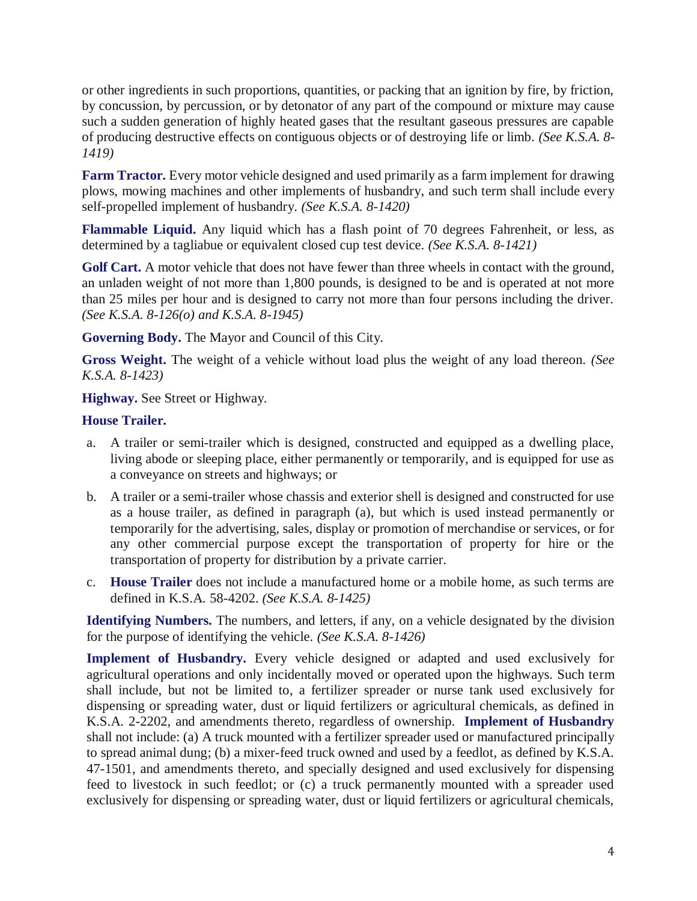or other ingredients in such proportions, quantities, or packing that an ignition by fire, by friction, by concussion, by percussion, or by detonator of any part of the compound or mixture may cause such a sudden generation of highly heated gases that the resultant gaseous pressures are capable of producing destructive effects on contiguous objects or of destroying life or limb. *(See K.S.A. 8- 1419)*

**Farm Tractor.** Every motor vehicle designed and used primarily as a farm implement for drawing plows, mowing machines and other implements of husbandry, and such term shall include every self-propelled implement of husbandry. *(See K.S.A. 8-1420)*

**Flammable Liquid.** Any liquid which has a flash point of 70 degrees Fahrenheit, or less, as determined by a tagliabue or equivalent closed cup test device. *(See K.S.A. 8-1421)*

Golf Cart. A motor vehicle that does not have fewer than three wheels in contact with the ground, an unladen weight of not more than 1,800 pounds, is designed to be and is operated at not more than 25 miles per hour and is designed to carry not more than four persons including the driver. *(See K.S.A. 8-126(o) and K.S.A. 8-1945)*

**Governing Body.** The Mayor and Council of this City.

**Gross Weight.** The weight of a vehicle without load plus the weight of any load thereon. *(See K.S.A. 8-1423)*

**Highway.** See Street or Highway.

### **House Trailer.**

- a. A trailer or semi-trailer which is designed, constructed and equipped as a dwelling place, living abode or sleeping place, either permanently or temporarily, and is equipped for use as a conveyance on streets and highways; or
- b. A trailer or a semi-trailer whose chassis and exterior shell is designed and constructed for use as a house trailer, as defined in paragraph (a), but which is used instead permanently or temporarily for the advertising, sales, display or promotion of merchandise or services, or for any other commercial purpose except the transportation of property for hire or the transportation of property for distribution by a private carrier.
- c. **House Trailer** does not include a manufactured home or a mobile home, as such terms are defined in K.S.A. 58-4202. *(See K.S.A. 8-1425)*

**Identifying Numbers.** The numbers, and letters, if any, on a vehicle designated by the division for the purpose of identifying the vehicle. *(See K.S.A. 8-1426)*

**Implement of Husbandry.** Every vehicle designed or adapted and used exclusively for agricultural operations and only incidentally moved or operated upon the highways. Such term shall include, but not be limited to, a fertilizer spreader or nurse tank used exclusively for dispensing or spreading water, dust or liquid fertilizers or agricultural chemicals, as defined in K.S.A. 2-2202, and amendments thereto, regardless of ownership. **Implement of Husbandry** shall not include: (a) A truck mounted with a fertilizer spreader used or manufactured principally to spread animal dung; (b) a mixer-feed truck owned and used by a feedlot, as defined by K.S.A. 47-1501, and amendments thereto, and specially designed and used exclusively for dispensing feed to livestock in such feedlot; or (c) a truck permanently mounted with a spreader used exclusively for dispensing or spreading water, dust or liquid fertilizers or agricultural chemicals,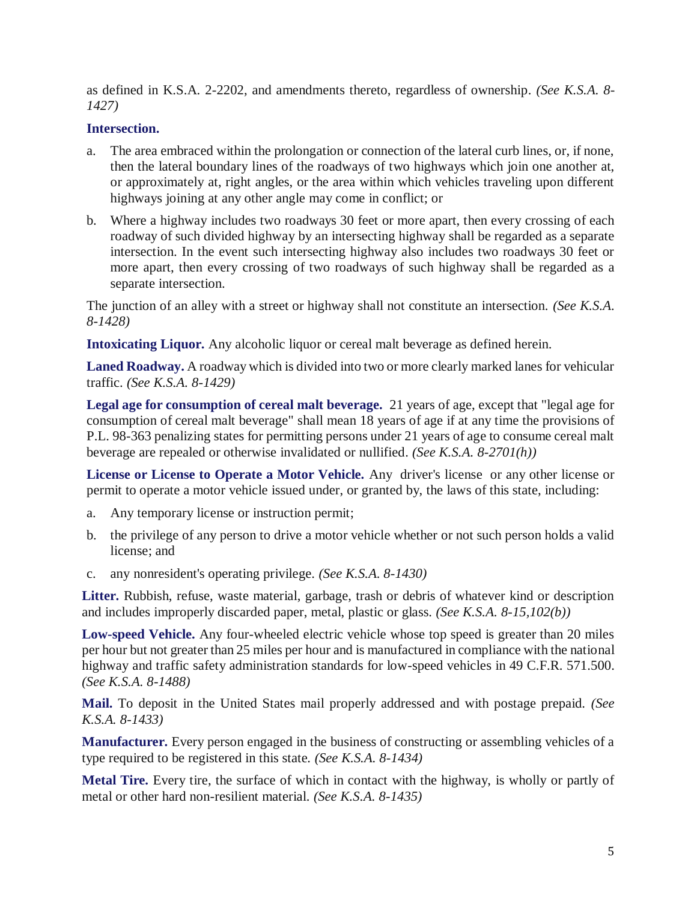as defined in K.S.A. 2-2202, and amendments thereto, regardless of ownership. *(See K.S.A. 8- 1427)*

#### **Intersection.**

- a. The area embraced within the prolongation or connection of the lateral curb lines, or, if none, then the lateral boundary lines of the roadways of two highways which join one another at, or approximately at, right angles, or the area within which vehicles traveling upon different highways joining at any other angle may come in conflict; or
- b. Where a highway includes two roadways 30 feet or more apart, then every crossing of each roadway of such divided highway by an intersecting highway shall be regarded as a separate intersection. In the event such intersecting highway also includes two roadways 30 feet or more apart, then every crossing of two roadways of such highway shall be regarded as a separate intersection.

The junction of an alley with a street or highway shall not constitute an intersection. *(See K.S.A. 8-1428)*

**Intoxicating Liquor.** Any alcoholic liquor or cereal malt beverage as defined herein.

**Laned Roadway.** A roadway which is divided into two or more clearly marked lanes for vehicular traffic. *(See K.S.A. 8-1429)*

**Legal age for consumption of cereal malt beverage.** 21 years of age, except that "legal age for consumption of cereal malt beverage" shall mean 18 years of age if at any time the provisions of P.L. 98-363 penalizing states for permitting persons under 21 years of age to consume cereal malt beverage are repealed or otherwise invalidated or nullified. *(See K.S.A. 8-2701(h))*

**License or License to Operate a Motor Vehicle.** Any driver's license or any other license or permit to operate a motor vehicle issued under, or granted by, the laws of this state, including:

- a. Any temporary license or instruction permit;
- b. the privilege of any person to drive a motor vehicle whether or not such person holds a valid license; and
- c. any nonresident's operating privilege. *(See K.S.A. 8-1430)*

Litter. Rubbish, refuse, waste material, garbage, trash or debris of whatever kind or description and includes improperly discarded paper, metal, plastic or glass. *(See K.S.A. 8-15,102(b))*

**Low-speed Vehicle.** Any four-wheeled electric vehicle whose top speed is greater than 20 miles per hour but not greater than 25 miles per hour and is manufactured in compliance with the national highway and traffic safety administration standards for low-speed vehicles in 49 C.F.R. 571.500. *(See K.S.A. 8-1488)*

**Mail.** To deposit in the United States mail properly addressed and with postage prepaid. *(See K.S.A. 8-1433)*

**Manufacturer.** Every person engaged in the business of constructing or assembling vehicles of a type required to be registered in this state. *(See K.S.A. 8-1434)*

**Metal Tire.** Every tire, the surface of which in contact with the highway, is wholly or partly of metal or other hard non-resilient material. *(See K.S.A. 8-1435)*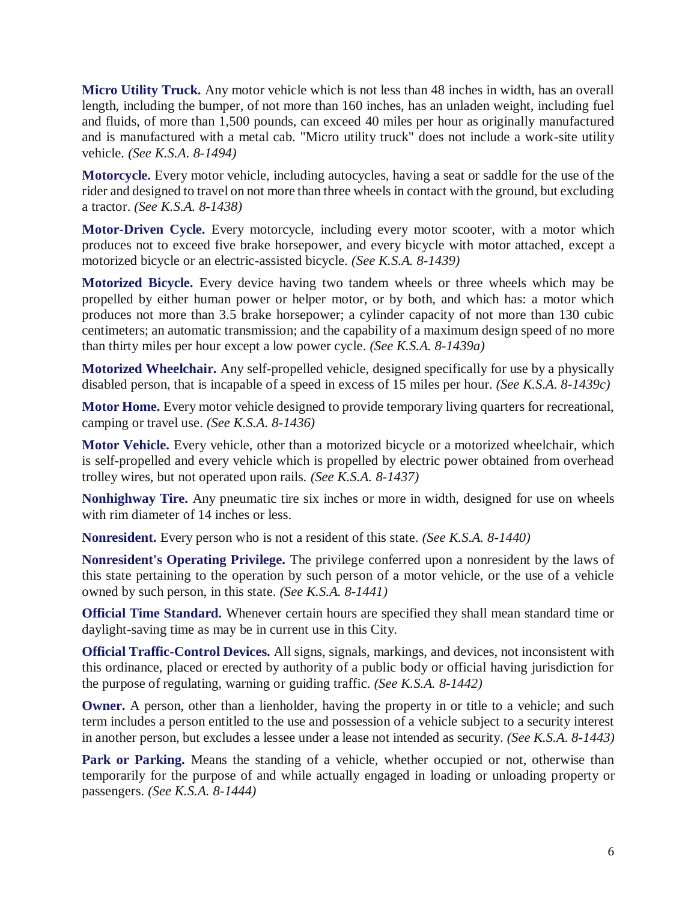**Micro Utility Truck.** Any motor vehicle which is not less than 48 inches in width, has an overall length, including the bumper, of not more than 160 inches, has an unladen weight, including fuel and fluids, of more than 1,500 pounds, can exceed 40 miles per hour as originally manufactured and is manufactured with a metal cab. "Micro utility truck" does not include a work-site utility vehicle. *(See K.S.A. 8-1494)*

**Motorcycle.** Every motor vehicle, including autocycles, having a seat or saddle for the use of the rider and designed to travel on not more than three wheels in contact with the ground, but excluding a tractor. *(See K.S.A. 8-1438)*

**Motor-Driven Cycle.** Every motorcycle, including every motor scooter, with a motor which produces not to exceed five brake horsepower, and every bicycle with motor attached, except a motorized bicycle or an electric-assisted bicycle. *(See K.S.A. 8-1439)*

**Motorized Bicycle.** Every device having two tandem wheels or three wheels which may be propelled by either human power or helper motor, or by both, and which has: a motor which produces not more than 3.5 brake horsepower; a cylinder capacity of not more than 130 cubic centimeters; an automatic transmission; and the capability of a maximum design speed of no more than thirty miles per hour except a low power cycle. *(See K.S.A. 8-1439a)*

**Motorized Wheelchair.** Any self-propelled vehicle, designed specifically for use by a physically disabled person, that is incapable of a speed in excess of 15 miles per hour. *(See K.S.A. 8-1439c)*

**Motor Home.** Every motor vehicle designed to provide temporary living quarters for recreational, camping or travel use. *(See K.S.A. 8-1436)*

**Motor Vehicle.** Every vehicle, other than a motorized bicycle or a motorized wheelchair, which is self-propelled and every vehicle which is propelled by electric power obtained from overhead trolley wires, but not operated upon rails. *(See K.S.A. 8-1437)*

**Nonhighway Tire.** Any pneumatic tire six inches or more in width, designed for use on wheels with rim diameter of 14 inches or less.

**Nonresident.** Every person who is not a resident of this state. *(See K.S.A. 8-1440)*

**Nonresident's Operating Privilege.** The privilege conferred upon a nonresident by the laws of this state pertaining to the operation by such person of a motor vehicle, or the use of a vehicle owned by such person, in this state. *(See K.S.A. 8-1441)*

**Official Time Standard.** Whenever certain hours are specified they shall mean standard time or daylight-saving time as may be in current use in this City.

**Official Traffic-Control Devices.** All signs, signals, markings, and devices, not inconsistent with this ordinance, placed or erected by authority of a public body or official having jurisdiction for the purpose of regulating, warning or guiding traffic. *(See K.S.A. 8-1442)*

**Owner.** A person, other than a lienholder, having the property in or title to a vehicle; and such term includes a person entitled to the use and possession of a vehicle subject to a security interest in another person, but excludes a lessee under a lease not intended as security. *(See K.S.A. 8-1443)*

**Park or Parking.** Means the standing of a vehicle, whether occupied or not, otherwise than temporarily for the purpose of and while actually engaged in loading or unloading property or passengers. *(See K.S.A. 8-1444)*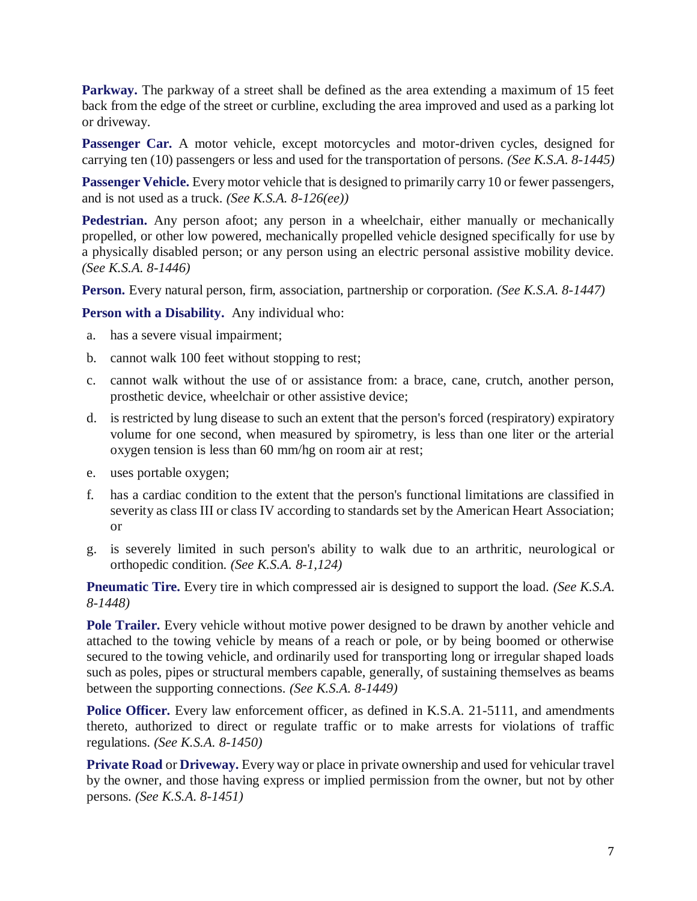**Parkway.** The parkway of a street shall be defined as the area extending a maximum of 15 feet back from the edge of the street or curbline, excluding the area improved and used as a parking lot or driveway.

Passenger Car. A motor vehicle, except motorcycles and motor-driven cycles, designed for carrying ten (10) passengers or less and used for the transportation of persons. *(See K.S.A. 8-1445)*

Passenger Vehicle. Every motor vehicle that is designed to primarily carry 10 or fewer passengers, and is not used as a truck. *(See K.S.A. 8-126(ee))*

**Pedestrian.** Any person afoot; any person in a wheelchair, either manually or mechanically propelled, or other low powered, mechanically propelled vehicle designed specifically for use by a physically disabled person; or any person using an electric personal assistive mobility device. *(See K.S.A. 8-1446)*

**Person.** Every natural person, firm, association, partnership or corporation. *(See K.S.A. 8-1447)*

**Person with a Disability.** Any individual who:

- a. has a severe visual impairment;
- b. cannot walk 100 feet without stopping to rest;
- c. cannot walk without the use of or assistance from: a brace, cane, crutch, another person, prosthetic device, wheelchair or other assistive device;
- d. is restricted by lung disease to such an extent that the person's forced (respiratory) expiratory volume for one second, when measured by spirometry, is less than one liter or the arterial oxygen tension is less than 60 mm/hg on room air at rest;
- e. uses portable oxygen;
- f. has a cardiac condition to the extent that the person's functional limitations are classified in severity as class III or class IV according to standards set by the American Heart Association; or
- g. is severely limited in such person's ability to walk due to an arthritic, neurological or orthopedic condition. *(See K.S.A. 8-1,124)*

**Pneumatic Tire.** Every tire in which compressed air is designed to support the load. *(See K.S.A.*) *8-1448)*

Pole Trailer. Every vehicle without motive power designed to be drawn by another vehicle and attached to the towing vehicle by means of a reach or pole, or by being boomed or otherwise secured to the towing vehicle, and ordinarily used for transporting long or irregular shaped loads such as poles, pipes or structural members capable, generally, of sustaining themselves as beams between the supporting connections. *(See K.S.A. 8-1449)*

**Police Officer.** Every law enforcement officer, as defined in K.S.A. 21-5111, and amendments thereto, authorized to direct or regulate traffic or to make arrests for violations of traffic regulations. *(See K.S.A. 8-1450)*

**Private Road** or **Driveway.** Every way or place in private ownership and used for vehicular travel by the owner, and those having express or implied permission from the owner, but not by other persons. *(See K.S.A. 8-1451)*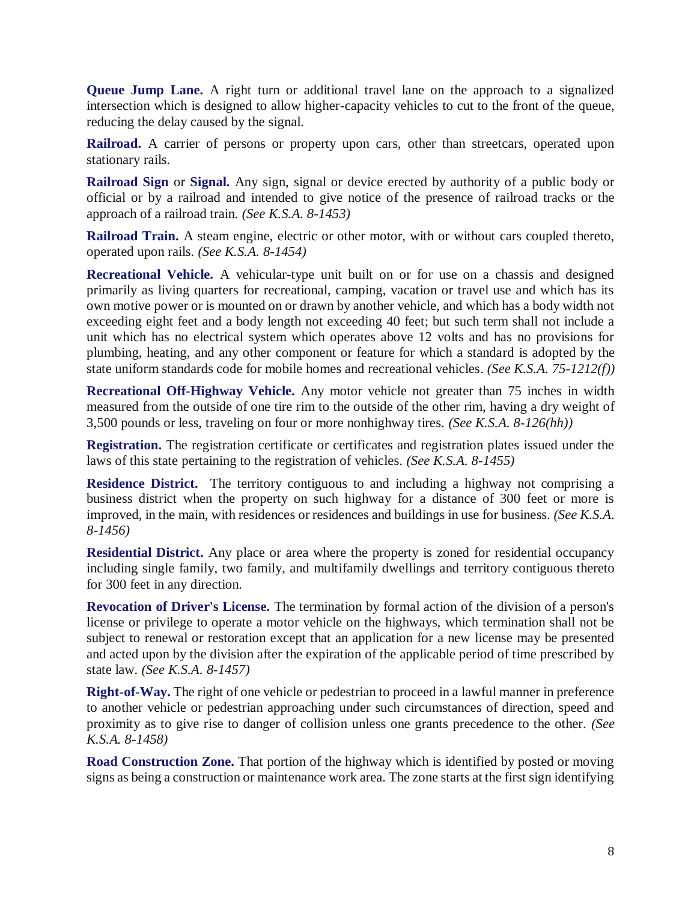**Queue Jump Lane.** A right turn or additional travel lane on the approach to a signalized intersection which is designed to allow higher-capacity vehicles to cut to the front of the queue, reducing the delay caused by the signal.

**Railroad.** A carrier of persons or property upon cars, other than streetcars, operated upon stationary rails.

**Railroad Sign** or **Signal.** Any sign, signal or device erected by authority of a public body or official or by a railroad and intended to give notice of the presence of railroad tracks or the approach of a railroad train. *(See K.S.A. 8-1453)*

**Railroad Train.** A steam engine, electric or other motor, with or without cars coupled thereto, operated upon rails. *(See K.S.A. 8-1454)*

**Recreational Vehicle.** A vehicular-type unit built on or for use on a chassis and designed primarily as living quarters for recreational, camping, vacation or travel use and which has its own motive power or is mounted on or drawn by another vehicle, and which has a body width not exceeding eight feet and a body length not exceeding 40 feet; but such term shall not include a unit which has no electrical system which operates above 12 volts and has no provisions for plumbing, heating, and any other component or feature for which a standard is adopted by the state uniform standards code for mobile homes and recreational vehicles. *(See K.S.A. 75-1212(f))*

**Recreational Off-Highway Vehicle.** Any motor vehicle not greater than 75 inches in width measured from the outside of one tire rim to the outside of the other rim, having a dry weight of 3,500 pounds or less, traveling on four or more nonhighway tires. *(See K.S.A. 8-126(hh))*

**Registration.** The registration certificate or certificates and registration plates issued under the laws of this state pertaining to the registration of vehicles. *(See K.S.A. 8-1455)*

**Residence District.** The territory contiguous to and including a highway not comprising a business district when the property on such highway for a distance of 300 feet or more is improved, in the main, with residences or residences and buildings in use for business. *(See K.S.A. 8-1456)*

**Residential District.** Any place or area where the property is zoned for residential occupancy including single family, two family, and multifamily dwellings and territory contiguous thereto for 300 feet in any direction.

**Revocation of Driver's License.** The termination by formal action of the division of a person's license or privilege to operate a motor vehicle on the highways, which termination shall not be subject to renewal or restoration except that an application for a new license may be presented and acted upon by the division after the expiration of the applicable period of time prescribed by state law. *(See K.S.A. 8-1457)*

**Right-of-Way.** The right of one vehicle or pedestrian to proceed in a lawful manner in preference to another vehicle or pedestrian approaching under such circumstances of direction, speed and proximity as to give rise to danger of collision unless one grants precedence to the other. *(See K.S.A. 8-1458)*

**Road Construction Zone.** That portion of the highway which is identified by posted or moving signs as being a construction or maintenance work area. The zone starts at the first sign identifying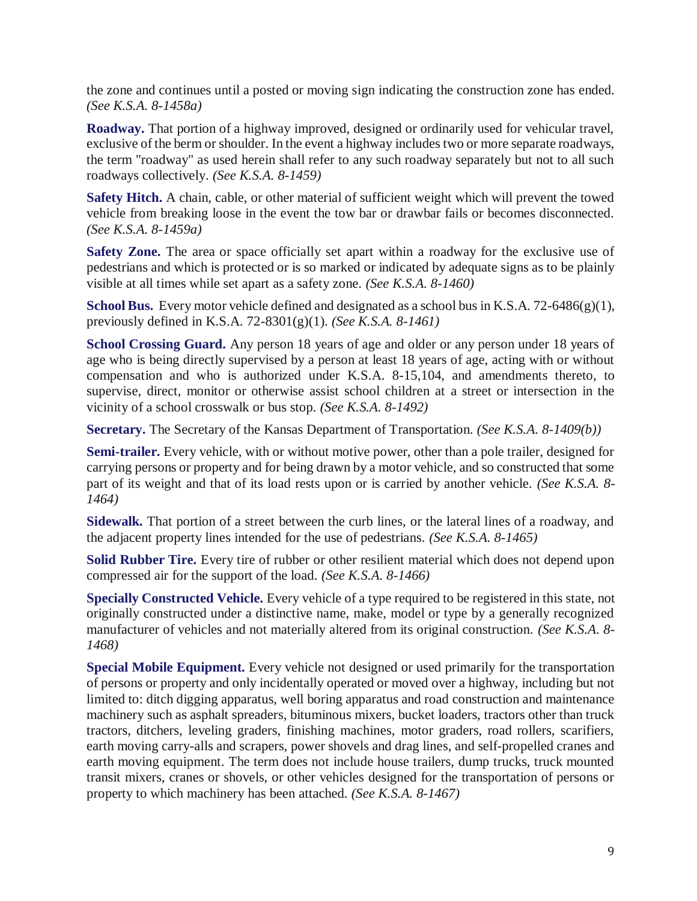the zone and continues until a posted or moving sign indicating the construction zone has ended. *(See K.S.A. 8-1458a)*

**Roadway.** That portion of a highway improved, designed or ordinarily used for vehicular travel, exclusive of the berm or shoulder. In the event a highway includes two or more separate roadways, the term "roadway" as used herein shall refer to any such roadway separately but not to all such roadways collectively. *(See K.S.A. 8-1459)*

**Safety Hitch.** A chain, cable, or other material of sufficient weight which will prevent the towed vehicle from breaking loose in the event the tow bar or drawbar fails or becomes disconnected. *(See K.S.A. 8-1459a)*

**Safety Zone.** The area or space officially set apart within a roadway for the exclusive use of pedestrians and which is protected or is so marked or indicated by adequate signs as to be plainly visible at all times while set apart as a safety zone. *(See K.S.A. 8-1460)*

**School Bus.** Every motor vehicle defined and designated as a school bus in K.S.A. 72-6486(g)(1), previously defined in K.S.A. 72-8301(g)(1). *(See K.S.A. 8-1461)*

**School Crossing Guard.** Any person 18 years of age and older or any person under 18 years of age who is being directly supervised by a person at least 18 years of age, acting with or without compensation and who is authorized under K.S.A. 8-15,104, and amendments thereto, to supervise, direct, monitor or otherwise assist school children at a street or intersection in the vicinity of a school crosswalk or bus stop. *(See K.S.A. 8-1492)*

**Secretary.** The Secretary of the Kansas Department of Transportation. *(See K.S.A. 8-1409(b))*

**Semi-trailer.** Every vehicle, with or without motive power, other than a pole trailer, designed for carrying persons or property and for being drawn by a motor vehicle, and so constructed that some part of its weight and that of its load rests upon or is carried by another vehicle. *(See K.S.A. 8- 1464)*

**Sidewalk.** That portion of a street between the curb lines, or the lateral lines of a roadway, and the adjacent property lines intended for the use of pedestrians. *(See K.S.A. 8-1465)*

**Solid Rubber Tire.** Every tire of rubber or other resilient material which does not depend upon compressed air for the support of the load. *(See K.S.A. 8-1466)*

**Specially Constructed Vehicle.** Every vehicle of a type required to be registered in this state, not originally constructed under a distinctive name, make, model or type by a generally recognized manufacturer of vehicles and not materially altered from its original construction. *(See K.S.A. 8- 1468)*

**Special Mobile Equipment.** Every vehicle not designed or used primarily for the transportation of persons or property and only incidentally operated or moved over a highway, including but not limited to: ditch digging apparatus, well boring apparatus and road construction and maintenance machinery such as asphalt spreaders, bituminous mixers, bucket loaders, tractors other than truck tractors, ditchers, leveling graders, finishing machines, motor graders, road rollers, scarifiers, earth moving carry-alls and scrapers, power shovels and drag lines, and self-propelled cranes and earth moving equipment. The term does not include house trailers, dump trucks, truck mounted transit mixers, cranes or shovels, or other vehicles designed for the transportation of persons or property to which machinery has been attached. *(See K.S.A. 8-1467)*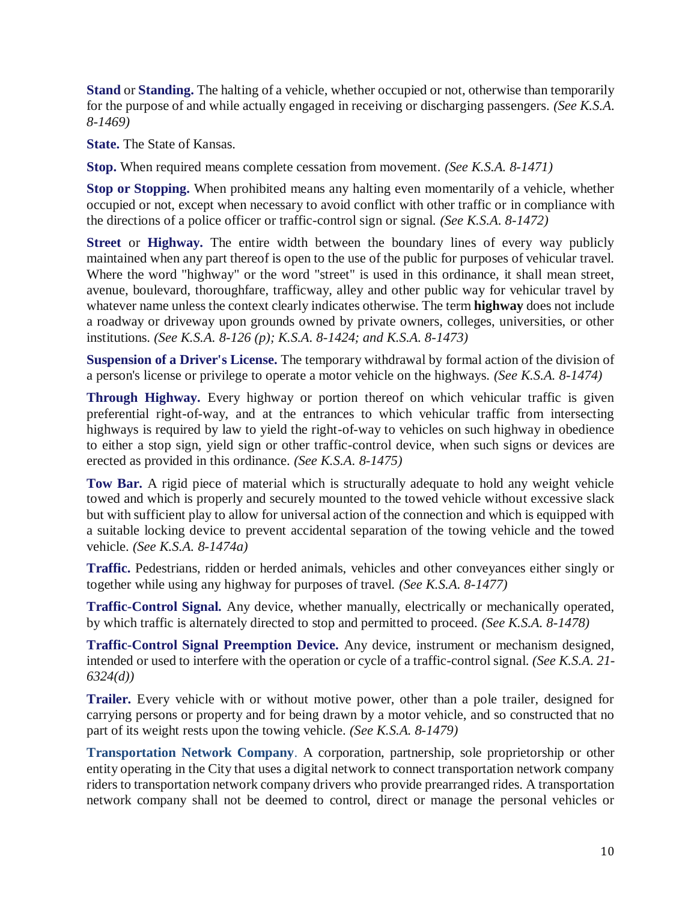**Stand** or **Standing.** The halting of a vehicle, whether occupied or not, otherwise than temporarily for the purpose of and while actually engaged in receiving or discharging passengers. *(See K.S.A. 8-1469)*

**State.** The State of Kansas.

**Stop.** When required means complete cessation from movement. *(See K.S.A. 8-1471)*

**Stop or Stopping.** When prohibited means any halting even momentarily of a vehicle, whether occupied or not, except when necessary to avoid conflict with other traffic or in compliance with the directions of a police officer or traffic-control sign or signal. *(See K.S.A. 8-1472)*

**Street** or **Highway.** The entire width between the boundary lines of every way publicly maintained when any part thereof is open to the use of the public for purposes of vehicular travel. Where the word "highway" or the word "street" is used in this ordinance, it shall mean street, avenue, boulevard, thoroughfare, trafficway, alley and other public way for vehicular travel by whatever name unless the context clearly indicates otherwise. The term **highway** does not include a roadway or driveway upon grounds owned by private owners, colleges, universities, or other institutions. *(See K.S.A. 8-126 (p); K.S.A. 8-1424; and K.S.A. 8-1473)*

**Suspension of a Driver's License.** The temporary withdrawal by formal action of the division of a person's license or privilege to operate a motor vehicle on the highways. *(See K.S.A. 8-1474)*

**Through Highway.** Every highway or portion thereof on which vehicular traffic is given preferential right-of-way, and at the entrances to which vehicular traffic from intersecting highways is required by law to yield the right-of-way to vehicles on such highway in obedience to either a stop sign, yield sign or other traffic-control device, when such signs or devices are erected as provided in this ordinance. *(See K.S.A. 8-1475)*

**Tow Bar.** A rigid piece of material which is structurally adequate to hold any weight vehicle towed and which is properly and securely mounted to the towed vehicle without excessive slack but with sufficient play to allow for universal action of the connection and which is equipped with a suitable locking device to prevent accidental separation of the towing vehicle and the towed vehicle. *(See K.S.A. 8-1474a)*

**Traffic.** Pedestrians, ridden or herded animals, vehicles and other conveyances either singly or together while using any highway for purposes of travel. *(See K.S.A. 8-1477)*

**Traffic-Control Signal.** Any device, whether manually, electrically or mechanically operated, by which traffic is alternately directed to stop and permitted to proceed. *(See K.S.A. 8-1478)*

**Traffic-Control Signal Preemption Device.** Any device, instrument or mechanism designed, intended or used to interfere with the operation or cycle of a traffic-control signal. *(See K.S.A. 21- 6324(d))*

**Trailer.** Every vehicle with or without motive power, other than a pole trailer, designed for carrying persons or property and for being drawn by a motor vehicle, and so constructed that no part of its weight rests upon the towing vehicle. *(See K.S.A. 8-1479)*

**Transportation Network Company**. A corporation, partnership, sole proprietorship or other entity operating in the City that uses a digital network to connect transportation network company riders to transportation network company drivers who provide prearranged rides. A transportation network company shall not be deemed to control, direct or manage the personal vehicles or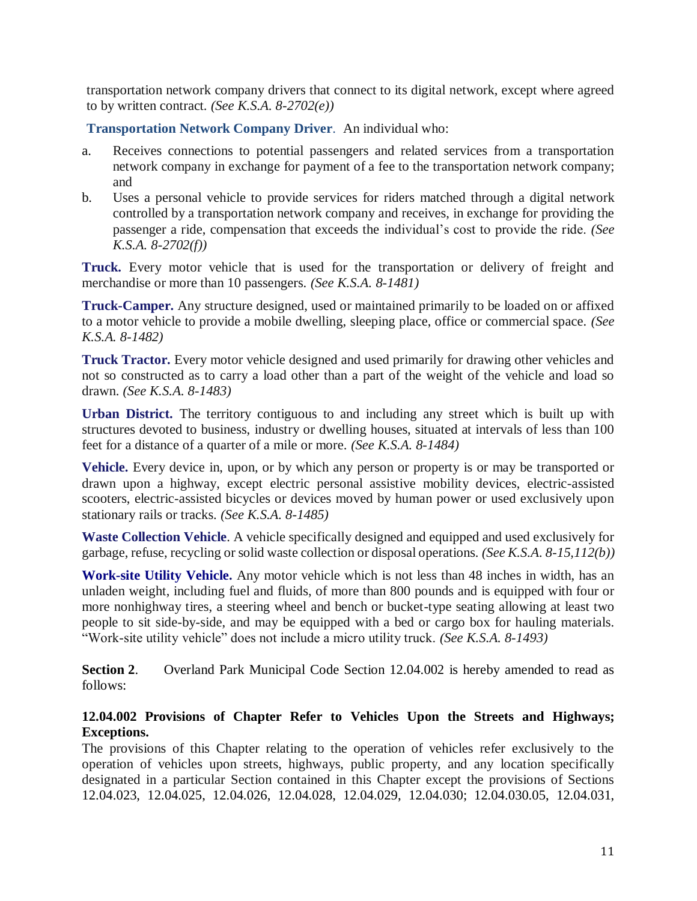transportation network company drivers that connect to its digital network, except where agreed to by written contract. *(See K.S.A. 8-2702(e))*

**Transportation Network Company Driver**. An individual who:

- a. Receives connections to potential passengers and related services from a transportation network company in exchange for payment of a fee to the transportation network company; and
- b. Uses a personal vehicle to provide services for riders matched through a digital network controlled by a transportation network company and receives, in exchange for providing the passenger a ride, compensation that exceeds the individual's cost to provide the ride. *(See K.S.A. 8-2702(f))*

**Truck.** Every motor vehicle that is used for the transportation or delivery of freight and merchandise or more than 10 passengers. *(See K.S.A. 8-1481)*

**Truck-Camper.** Any structure designed, used or maintained primarily to be loaded on or affixed to a motor vehicle to provide a mobile dwelling, sleeping place, office or commercial space. *(See K.S.A. 8-1482)*

**Truck Tractor.** Every motor vehicle designed and used primarily for drawing other vehicles and not so constructed as to carry a load other than a part of the weight of the vehicle and load so drawn. *(See K.S.A. 8-1483)*

**Urban District.** The territory contiguous to and including any street which is built up with structures devoted to business, industry or dwelling houses, situated at intervals of less than 100 feet for a distance of a quarter of a mile or more. *(See K.S.A. 8-1484)*

**Vehicle.** Every device in, upon, or by which any person or property is or may be transported or drawn upon a highway, except electric personal assistive mobility devices, electric-assisted scooters, electric-assisted bicycles or devices moved by human power or used exclusively upon stationary rails or tracks. *(See K.S.A. 8-1485)*

**Waste Collection Vehicle**. A vehicle specifically designed and equipped and used exclusively for garbage, refuse, recycling or solid waste collection or disposal operations. *(See K.S.A. 8-15,112(b))*

**Work-site Utility Vehicle.** Any motor vehicle which is not less than 48 inches in width, has an unladen weight, including fuel and fluids, of more than 800 pounds and is equipped with four or more nonhighway tires, a steering wheel and bench or bucket-type seating allowing at least two people to sit side-by-side, and may be equipped with a bed or cargo box for hauling materials. "Work-site utility vehicle" does not include a micro utility truck. *(See K.S.A. 8-1493)*

**Section 2.** Overland Park Municipal Code Section 12.04.002 is hereby amended to read as follows:

### **12.04.002 Provisions of Chapter Refer to Vehicles Upon the Streets and Highways; Exceptions.**

The provisions of this Chapter relating to the operation of vehicles refer exclusively to the operation of vehicles upon streets, highways, public property, and any location specifically designated in a particular Section contained in this Chapter except the provisions of Sections 12.04.023, 12.04.025, 12.04.026, 12.04.028, 12.04.029, 12.04.030; 12.04.030.05, 12.04.031,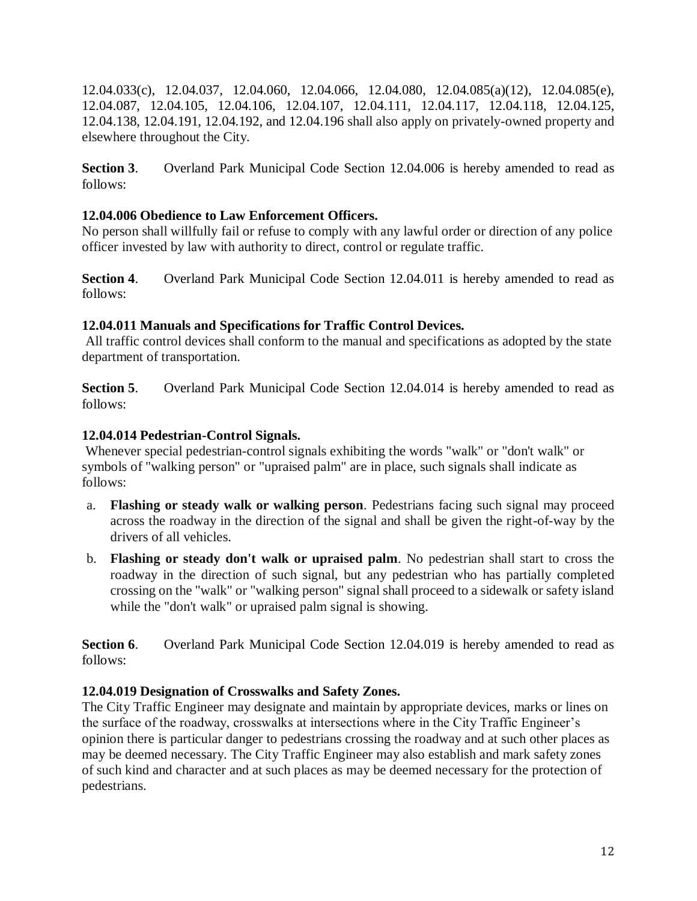12.04.033(c), 12.04.037, 12.04.060, 12.04.066, 12.04.080, 12.04.085(a)(12), 12.04.085(e), 12.04.087, 12.04.105, 12.04.106, 12.04.107, 12.04.111, 12.04.117, 12.04.118, 12.04.125, 12.04.138, 12.04.191, 12.04.192, and 12.04.196 shall also apply on privately-owned property and elsewhere throughout the City.

**Section 3**. Overland Park Municipal Code Section 12.04.006 is hereby amended to read as follows:

### **12.04.006 Obedience to Law Enforcement Officers.**

No person shall willfully fail or refuse to comply with any lawful order or direction of any police officer invested by law with authority to direct, control or regulate traffic.

**Section 4.** Overland Park Municipal Code Section 12.04.011 is hereby amended to read as follows:

## **12.04.011 Manuals and Specifications for Traffic Control Devices.**

All traffic control devices shall conform to the manual and specifications as adopted by the state department of transportation.

**Section 5.** Overland Park Municipal Code Section 12.04.014 is hereby amended to read as follows:

## **12.04.014 Pedestrian-Control Signals.**

Whenever special pedestrian-control signals exhibiting the words "walk" or "don't walk" or symbols of "walking person" or "upraised palm" are in place, such signals shall indicate as follows:

- a. **Flashing or steady walk or walking person**. Pedestrians facing such signal may proceed across the roadway in the direction of the signal and shall be given the right-of-way by the drivers of all vehicles.
- b. **Flashing or steady don't walk or upraised palm**. No pedestrian shall start to cross the roadway in the direction of such signal, but any pedestrian who has partially completed crossing on the "walk" or "walking person" signal shall proceed to a sidewalk or safety island while the "don't walk" or upraised palm signal is showing.

**Section 6.** Overland Park Municipal Code Section 12.04.019 is hereby amended to read as follows:

## **12.04.019 Designation of Crosswalks and Safety Zones.**

The City Traffic Engineer may designate and maintain by appropriate devices, marks or lines on the surface of the roadway, crosswalks at intersections where in the City Traffic Engineer's opinion there is particular danger to pedestrians crossing the roadway and at such other places as may be deemed necessary. The City Traffic Engineer may also establish and mark safety zones of such kind and character and at such places as may be deemed necessary for the protection of pedestrians.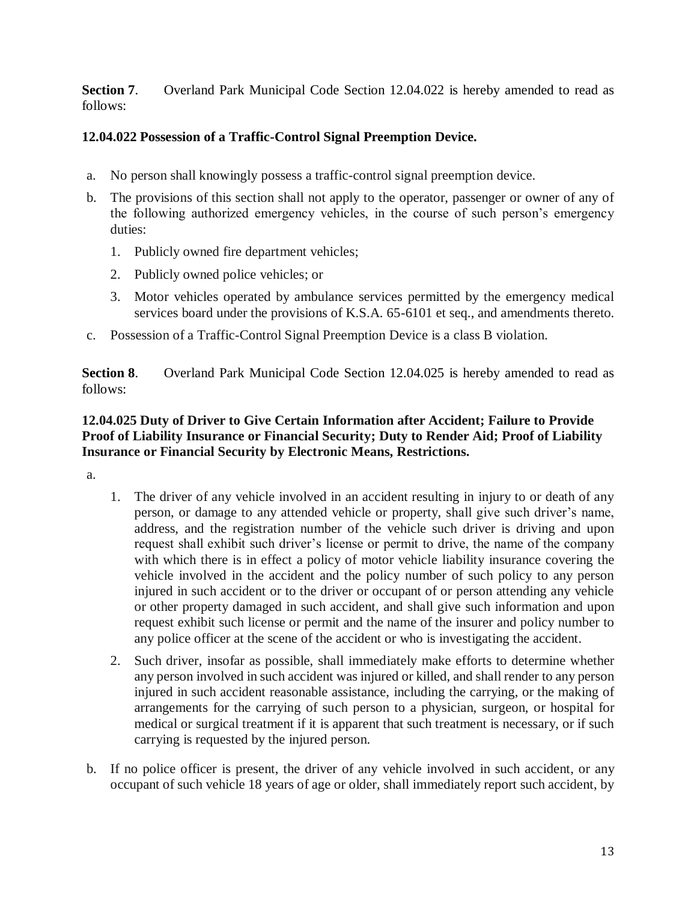**Section 7.** Overland Park Municipal Code Section 12.04.022 is hereby amended to read as follows:

## **12.04.022 Possession of a Traffic-Control Signal Preemption Device.**

- a. No person shall knowingly possess a traffic-control signal preemption device.
- b. The provisions of this section shall not apply to the operator, passenger or owner of any of the following authorized emergency vehicles, in the course of such person's emergency duties:
	- 1. Publicly owned fire department vehicles;
	- 2. Publicly owned police vehicles; or
	- 3. Motor vehicles operated by ambulance services permitted by the emergency medical services board under the provisions of K.S.A. 65-6101 et seq., and amendments thereto.
- c. Possession of a Traffic-Control Signal Preemption Device is a class B violation.

**Section 8.** Overland Park Municipal Code Section 12.04.025 is hereby amended to read as follows:

### **12.04.025 Duty of Driver to Give Certain Information after Accident; Failure to Provide Proof of Liability Insurance or Financial Security; Duty to Render Aid; Proof of Liability Insurance or Financial Security by Electronic Means, Restrictions.**

a.

- 1. The driver of any vehicle involved in an accident resulting in injury to or death of any person, or damage to any attended vehicle or property, shall give such driver's name, address, and the registration number of the vehicle such driver is driving and upon request shall exhibit such driver's license or permit to drive, the name of the company with which there is in effect a policy of motor vehicle liability insurance covering the vehicle involved in the accident and the policy number of such policy to any person injured in such accident or to the driver or occupant of or person attending any vehicle or other property damaged in such accident, and shall give such information and upon request exhibit such license or permit and the name of the insurer and policy number to any police officer at the scene of the accident or who is investigating the accident.
- 2. Such driver, insofar as possible, shall immediately make efforts to determine whether any person involved in such accident was injured or killed, and shall render to any person injured in such accident reasonable assistance, including the carrying, or the making of arrangements for the carrying of such person to a physician, surgeon, or hospital for medical or surgical treatment if it is apparent that such treatment is necessary, or if such carrying is requested by the injured person.
- b. If no police officer is present, the driver of any vehicle involved in such accident, or any occupant of such vehicle 18 years of age or older, shall immediately report such accident, by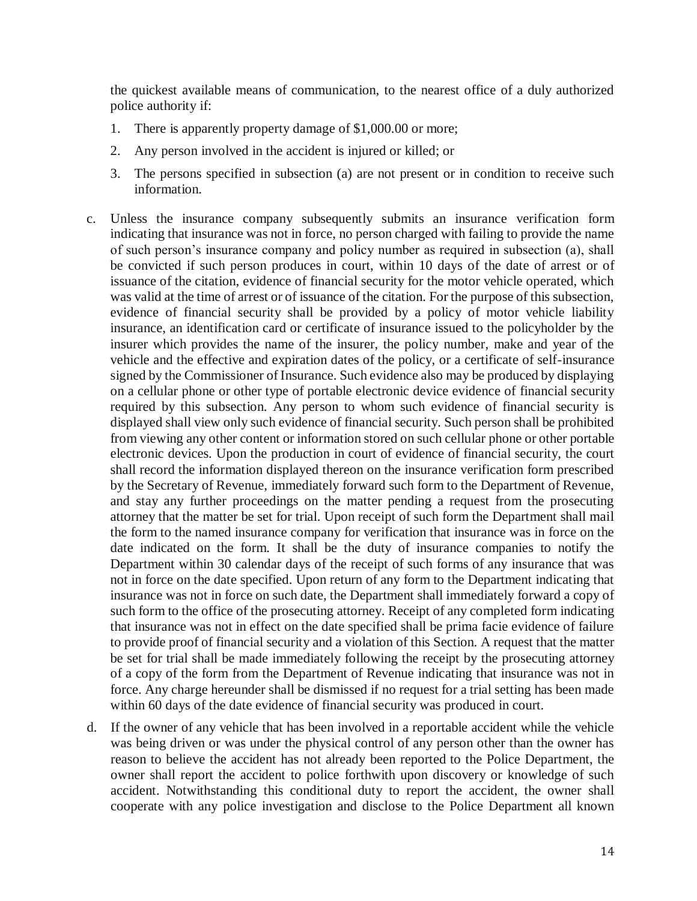the quickest available means of communication, to the nearest office of a duly authorized police authority if:

- 1. There is apparently property damage of \$1,000.00 or more;
- 2. Any person involved in the accident is injured or killed; or
- 3. The persons specified in subsection (a) are not present or in condition to receive such information.
- c. Unless the insurance company subsequently submits an insurance verification form indicating that insurance was not in force, no person charged with failing to provide the name of such person's insurance company and policy number as required in subsection (a), shall be convicted if such person produces in court, within 10 days of the date of arrest or of issuance of the citation, evidence of financial security for the motor vehicle operated, which was valid at the time of arrest or of issuance of the citation. For the purpose of this subsection, evidence of financial security shall be provided by a policy of motor vehicle liability insurance, an identification card or certificate of insurance issued to the policyholder by the insurer which provides the name of the insurer, the policy number, make and year of the vehicle and the effective and expiration dates of the policy, or a certificate of self-insurance signed by the Commissioner of Insurance. Such evidence also may be produced by displaying on a cellular phone or other type of portable electronic device evidence of financial security required by this subsection. Any person to whom such evidence of financial security is displayed shall view only such evidence of financial security. Such person shall be prohibited from viewing any other content or information stored on such cellular phone or other portable electronic devices. Upon the production in court of evidence of financial security, the court shall record the information displayed thereon on the insurance verification form prescribed by the Secretary of Revenue, immediately forward such form to the Department of Revenue, and stay any further proceedings on the matter pending a request from the prosecuting attorney that the matter be set for trial. Upon receipt of such form the Department shall mail the form to the named insurance company for verification that insurance was in force on the date indicated on the form. It shall be the duty of insurance companies to notify the Department within 30 calendar days of the receipt of such forms of any insurance that was not in force on the date specified. Upon return of any form to the Department indicating that insurance was not in force on such date, the Department shall immediately forward a copy of such form to the office of the prosecuting attorney. Receipt of any completed form indicating that insurance was not in effect on the date specified shall be prima facie evidence of failure to provide proof of financial security and a violation of this Section. A request that the matter be set for trial shall be made immediately following the receipt by the prosecuting attorney of a copy of the form from the Department of Revenue indicating that insurance was not in force. Any charge hereunder shall be dismissed if no request for a trial setting has been made within 60 days of the date evidence of financial security was produced in court.
- d. If the owner of any vehicle that has been involved in a reportable accident while the vehicle was being driven or was under the physical control of any person other than the owner has reason to believe the accident has not already been reported to the Police Department, the owner shall report the accident to police forthwith upon discovery or knowledge of such accident. Notwithstanding this conditional duty to report the accident, the owner shall cooperate with any police investigation and disclose to the Police Department all known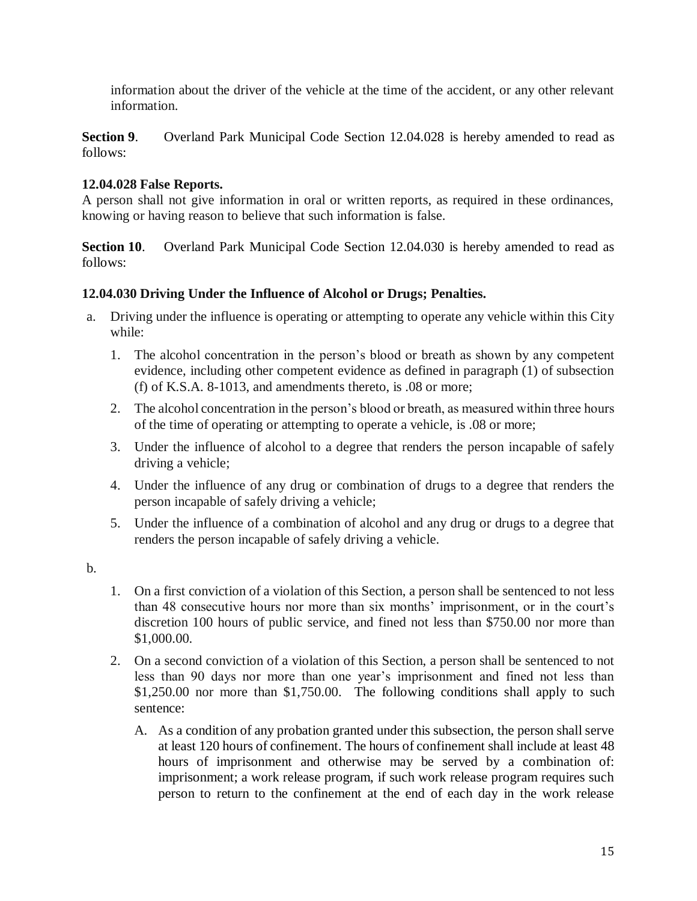information about the driver of the vehicle at the time of the accident, or any other relevant information.

**Section 9.** Overland Park Municipal Code Section 12.04.028 is hereby amended to read as follows:

## **12.04.028 False Reports.**

A person shall not give information in oral or written reports, as required in these ordinances, knowing or having reason to believe that such information is false.

**Section 10.** Overland Park Municipal Code Section 12.04.030 is hereby amended to read as follows:

# **12.04.030 Driving Under the Influence of Alcohol or Drugs; Penalties.**

- a. Driving under the influence is operating or attempting to operate any vehicle within this City while:
	- 1. The alcohol concentration in the person's blood or breath as shown by any competent evidence, including other competent evidence as defined in paragraph (1) of subsection (f) of K.S.A. 8-1013, and amendments thereto, is .08 or more;
	- 2. The alcohol concentration in the person's blood or breath, as measured within three hours of the time of operating or attempting to operate a vehicle, is .08 or more;
	- 3. Under the influence of alcohol to a degree that renders the person incapable of safely driving a vehicle;
	- 4. Under the influence of any drug or combination of drugs to a degree that renders the person incapable of safely driving a vehicle;
	- 5. Under the influence of a combination of alcohol and any drug or drugs to a degree that renders the person incapable of safely driving a vehicle.
- b.
- 1. On a first conviction of a violation of this Section, a person shall be sentenced to not less than 48 consecutive hours nor more than six months' imprisonment, or in the court's discretion 100 hours of public service, and fined not less than \$750.00 nor more than \$1,000.00.
- 2. On a second conviction of a violation of this Section, a person shall be sentenced to not less than 90 days nor more than one year's imprisonment and fined not less than \$1,250.00 nor more than \$1,750.00. The following conditions shall apply to such sentence:
	- A. As a condition of any probation granted under this subsection, the person shall serve at least 120 hours of confinement. The hours of confinement shall include at least 48 hours of imprisonment and otherwise may be served by a combination of: imprisonment; a work release program, if such work release program requires such person to return to the confinement at the end of each day in the work release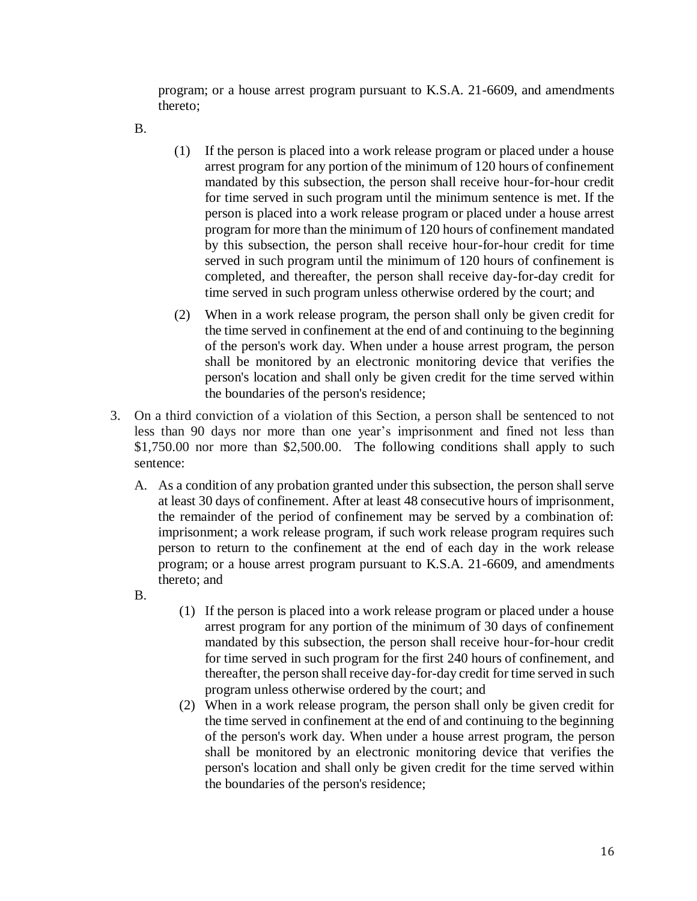program; or a house arrest program pursuant to K.S.A. 21-6609, and amendments thereto;

B.

- (1) If the person is placed into a work release program or placed under a house arrest program for any portion of the minimum of 120 hours of confinement mandated by this subsection, the person shall receive hour-for-hour credit for time served in such program until the minimum sentence is met. If the person is placed into a work release program or placed under a house arrest program for more than the minimum of 120 hours of confinement mandated by this subsection, the person shall receive hour-for-hour credit for time served in such program until the minimum of 120 hours of confinement is completed, and thereafter, the person shall receive day-for-day credit for time served in such program unless otherwise ordered by the court; and
- (2) When in a work release program, the person shall only be given credit for the time served in confinement at the end of and continuing to the beginning of the person's work day. When under a house arrest program, the person shall be monitored by an electronic monitoring device that verifies the person's location and shall only be given credit for the time served within the boundaries of the person's residence;
- 3. On a third conviction of a violation of this Section, a person shall be sentenced to not less than 90 days nor more than one year's imprisonment and fined not less than \$1,750.00 nor more than \$2,500.00. The following conditions shall apply to such sentence:
	- A. As a condition of any probation granted under this subsection, the person shall serve at least 30 days of confinement. After at least 48 consecutive hours of imprisonment, the remainder of the period of confinement may be served by a combination of: imprisonment; a work release program, if such work release program requires such person to return to the confinement at the end of each day in the work release program; or a house arrest program pursuant to K.S.A. 21-6609, and amendments thereto; and
	- B.
- (1) If the person is placed into a work release program or placed under a house arrest program for any portion of the minimum of 30 days of confinement mandated by this subsection, the person shall receive hour-for-hour credit for time served in such program for the first 240 hours of confinement, and thereafter, the person shall receive day-for-day credit for time served in such program unless otherwise ordered by the court; and
- (2) When in a work release program, the person shall only be given credit for the time served in confinement at the end of and continuing to the beginning of the person's work day. When under a house arrest program, the person shall be monitored by an electronic monitoring device that verifies the person's location and shall only be given credit for the time served within the boundaries of the person's residence;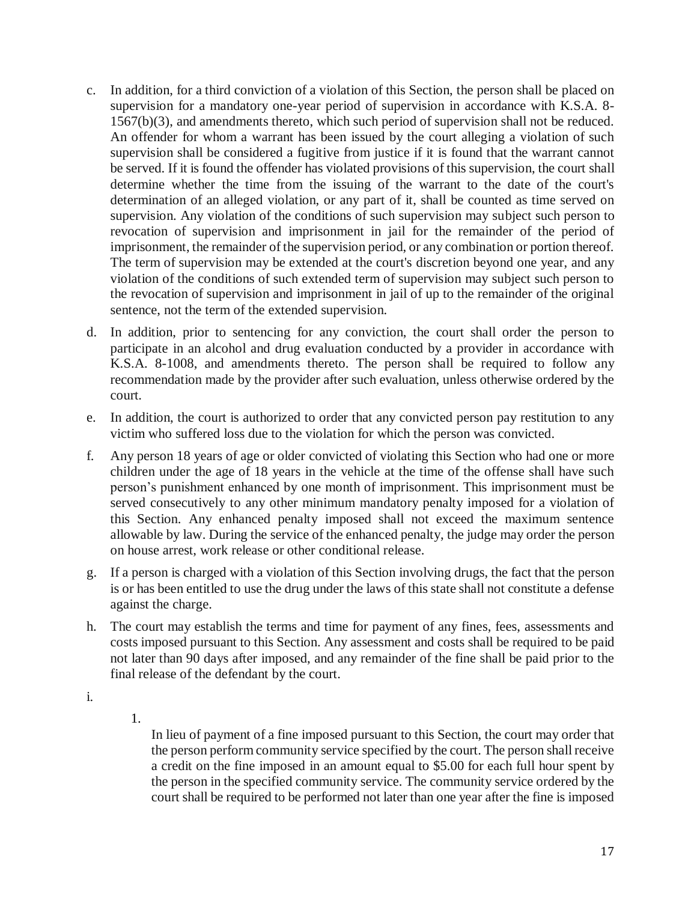- c. In addition, for a third conviction of a violation of this Section, the person shall be placed on supervision for a mandatory one-year period of supervision in accordance with K.S.A. 8- 1567(b)(3), and amendments thereto, which such period of supervision shall not be reduced. An offender for whom a warrant has been issued by the court alleging a violation of such supervision shall be considered a fugitive from justice if it is found that the warrant cannot be served. If it is found the offender has violated provisions of this supervision, the court shall determine whether the time from the issuing of the warrant to the date of the court's determination of an alleged violation, or any part of it, shall be counted as time served on supervision. Any violation of the conditions of such supervision may subject such person to revocation of supervision and imprisonment in jail for the remainder of the period of imprisonment, the remainder of the supervision period, or any combination or portion thereof. The term of supervision may be extended at the court's discretion beyond one year, and any violation of the conditions of such extended term of supervision may subject such person to the revocation of supervision and imprisonment in jail of up to the remainder of the original sentence, not the term of the extended supervision.
- d. In addition, prior to sentencing for any conviction, the court shall order the person to participate in an alcohol and drug evaluation conducted by a provider in accordance with K.S.A. 8-1008, and amendments thereto. The person shall be required to follow any recommendation made by the provider after such evaluation, unless otherwise ordered by the court.
- e. In addition, the court is authorized to order that any convicted person pay restitution to any victim who suffered loss due to the violation for which the person was convicted.
- f. Any person 18 years of age or older convicted of violating this Section who had one or more children under the age of 18 years in the vehicle at the time of the offense shall have such person's punishment enhanced by one month of imprisonment. This imprisonment must be served consecutively to any other minimum mandatory penalty imposed for a violation of this Section. Any enhanced penalty imposed shall not exceed the maximum sentence allowable by law. During the service of the enhanced penalty, the judge may order the person on house arrest, work release or other conditional release.
- g. If a person is charged with a violation of this Section involving drugs, the fact that the person is or has been entitled to use the drug under the laws of this state shall not constitute a defense against the charge.
- h. The court may establish the terms and time for payment of any fines, fees, assessments and costs imposed pursuant to this Section. Any assessment and costs shall be required to be paid not later than 90 days after imposed, and any remainder of the fine shall be paid prior to the final release of the defendant by the court.
- i.
- 1.

In lieu of payment of a fine imposed pursuant to this Section, the court may order that the person perform community service specified by the court. The person shall receive a credit on the fine imposed in an amount equal to \$5.00 for each full hour spent by the person in the specified community service. The community service ordered by the court shall be required to be performed not later than one year after the fine is imposed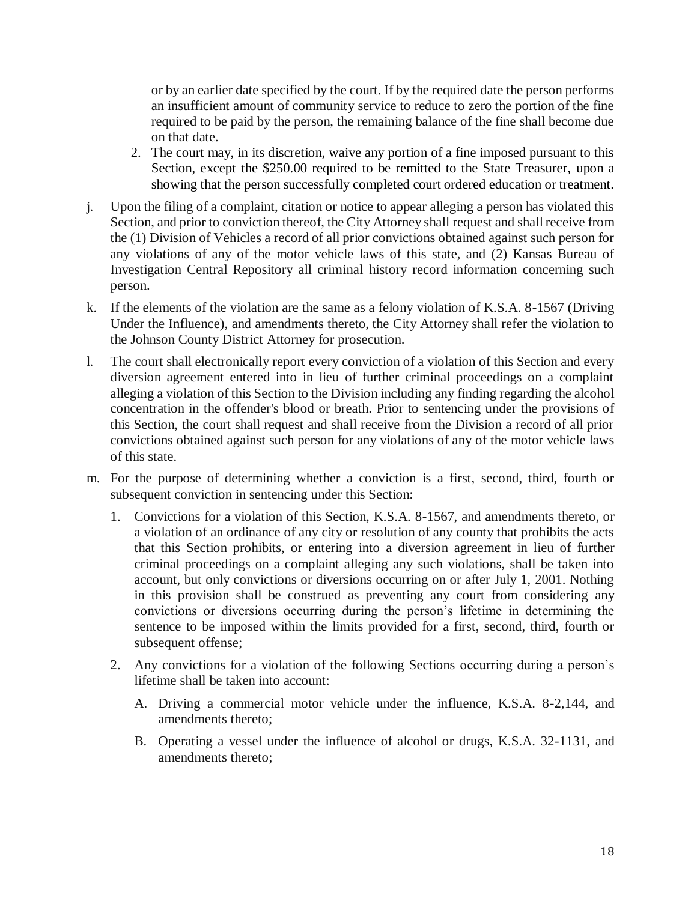or by an earlier date specified by the court. If by the required date the person performs an insufficient amount of community service to reduce to zero the portion of the fine required to be paid by the person, the remaining balance of the fine shall become due on that date.

- 2. The court may, in its discretion, waive any portion of a fine imposed pursuant to this Section, except the \$250.00 required to be remitted to the State Treasurer, upon a showing that the person successfully completed court ordered education or treatment.
- j. Upon the filing of a complaint, citation or notice to appear alleging a person has violated this Section, and prior to conviction thereof, the City Attorney shall request and shall receive from the (1) Division of Vehicles a record of all prior convictions obtained against such person for any violations of any of the motor vehicle laws of this state, and (2) Kansas Bureau of Investigation Central Repository all criminal history record information concerning such person.
- k. If the elements of the violation are the same as a felony violation of K.S.A. 8-1567 (Driving Under the Influence), and amendments thereto, the City Attorney shall refer the violation to the Johnson County District Attorney for prosecution.
- l. The court shall electronically report every conviction of a violation of this Section and every diversion agreement entered into in lieu of further criminal proceedings on a complaint alleging a violation of this Section to the Division including any finding regarding the alcohol concentration in the offender's blood or breath. Prior to sentencing under the provisions of this Section, the court shall request and shall receive from the Division a record of all prior convictions obtained against such person for any violations of any of the motor vehicle laws of this state.
- m. For the purpose of determining whether a conviction is a first, second, third, fourth or subsequent conviction in sentencing under this Section:
	- 1. Convictions for a violation of this Section, K.S.A. 8-1567, and amendments thereto, or a violation of an ordinance of any city or resolution of any county that prohibits the acts that this Section prohibits, or entering into a diversion agreement in lieu of further criminal proceedings on a complaint alleging any such violations, shall be taken into account, but only convictions or diversions occurring on or after July 1, 2001. Nothing in this provision shall be construed as preventing any court from considering any convictions or diversions occurring during the person's lifetime in determining the sentence to be imposed within the limits provided for a first, second, third, fourth or subsequent offense;
	- 2. Any convictions for a violation of the following Sections occurring during a person's lifetime shall be taken into account:
		- A. Driving a commercial motor vehicle under the influence, K.S.A. 8-2,144, and amendments thereto;
		- B. Operating a vessel under the influence of alcohol or drugs, K.S.A. 32-1131, and amendments thereto;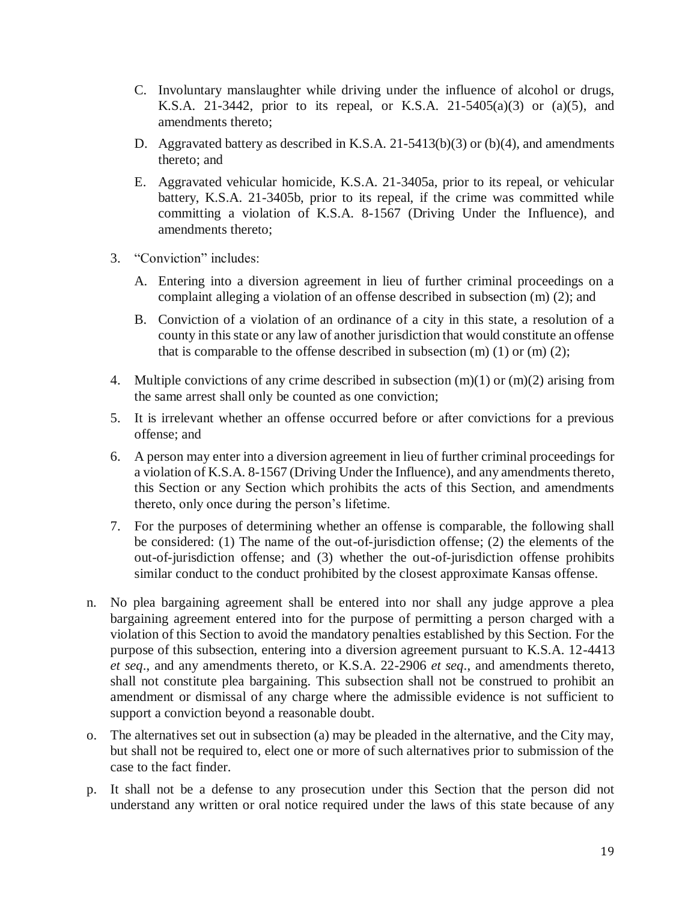- C. Involuntary manslaughter while driving under the influence of alcohol or drugs, K.S.A. 21-3442, prior to its repeal, or K.S.A. 21-5405(a)(3) or (a)(5), and amendments thereto;
- D. Aggravated battery as described in K.S.A. 21-5413(b)(3) or (b)(4), and amendments thereto; and
- E. Aggravated vehicular homicide, K.S.A. 21-3405a, prior to its repeal, or vehicular battery, K.S.A. 21-3405b, prior to its repeal, if the crime was committed while committing a violation of K.S.A. 8-1567 (Driving Under the Influence), and amendments thereto;
- 3. "Conviction" includes:
	- A. Entering into a diversion agreement in lieu of further criminal proceedings on a complaint alleging a violation of an offense described in subsection (m) (2); and
	- B. Conviction of a violation of an ordinance of a city in this state, a resolution of a county in this state or any law of another jurisdiction that would constitute an offense that is comparable to the offense described in subsection  $(m)$  (1) or  $(m)$  (2);
- 4. Multiple convictions of any crime described in subsection (m)(1) or (m)(2) arising from the same arrest shall only be counted as one conviction;
- 5. It is irrelevant whether an offense occurred before or after convictions for a previous offense; and
- 6. A person may enter into a diversion agreement in lieu of further criminal proceedings for a violation of K.S.A. 8-1567 (Driving Under the Influence), and any amendments thereto, this Section or any Section which prohibits the acts of this Section, and amendments thereto, only once during the person's lifetime.
- 7. For the purposes of determining whether an offense is comparable, the following shall be considered: (1) The name of the out-of-jurisdiction offense; (2) the elements of the out-of-jurisdiction offense; and (3) whether the out-of-jurisdiction offense prohibits similar conduct to the conduct prohibited by the closest approximate Kansas offense.
- n. No plea bargaining agreement shall be entered into nor shall any judge approve a plea bargaining agreement entered into for the purpose of permitting a person charged with a violation of this Section to avoid the mandatory penalties established by this Section. For the purpose of this subsection, entering into a diversion agreement pursuant to K.S.A. 12-4413 *et seq*., and any amendments thereto, or K.S.A. 22-2906 *et seq*., and amendments thereto, shall not constitute plea bargaining. This subsection shall not be construed to prohibit an amendment or dismissal of any charge where the admissible evidence is not sufficient to support a conviction beyond a reasonable doubt.
- o. The alternatives set out in subsection (a) may be pleaded in the alternative, and the City may, but shall not be required to, elect one or more of such alternatives prior to submission of the case to the fact finder.
- p. It shall not be a defense to any prosecution under this Section that the person did not understand any written or oral notice required under the laws of this state because of any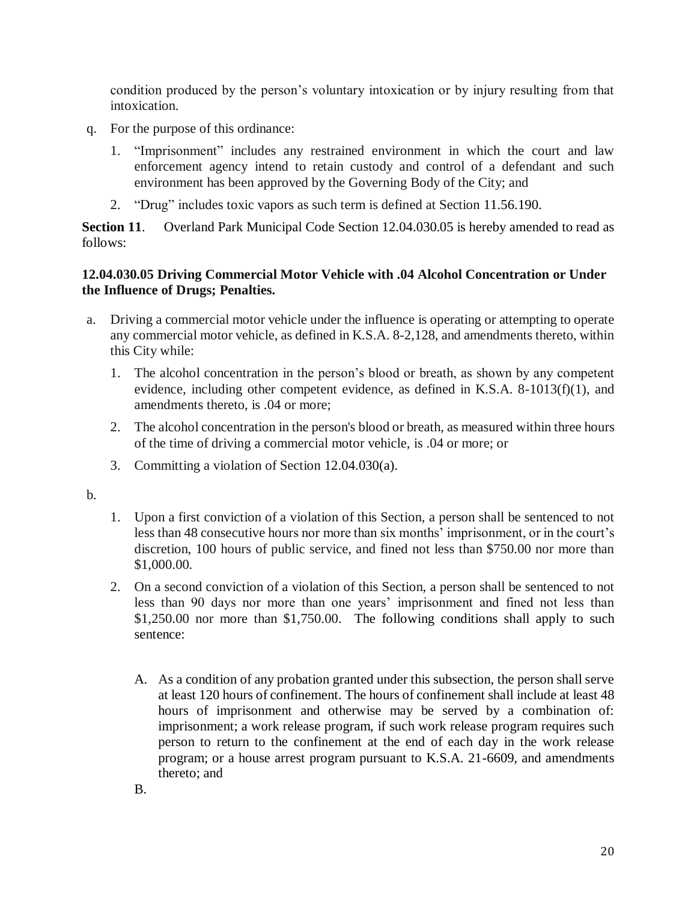condition produced by the person's voluntary intoxication or by injury resulting from that intoxication.

- q. For the purpose of this ordinance:
	- 1. "Imprisonment" includes any restrained environment in which the court and law enforcement agency intend to retain custody and control of a defendant and such environment has been approved by the Governing Body of the City; and
	- 2. "Drug" includes toxic vapors as such term is defined at Section 11.56.190.

**Section 11**. Overland Park Municipal Code Section 12.04.030.05 is hereby amended to read as follows:

#### **12.04.030.05 Driving Commercial Motor Vehicle with .04 Alcohol Concentration or Under the Influence of Drugs; Penalties.**

- a. Driving a commercial motor vehicle under the influence is operating or attempting to operate any commercial motor vehicle, as defined in K.S.A. 8-2,128, and amendments thereto, within this City while:
	- 1. The alcohol concentration in the person's blood or breath, as shown by any competent evidence, including other competent evidence, as defined in K.S.A. 8-1013(f)(1), and amendments thereto, is .04 or more;
	- 2. The alcohol concentration in the person's blood or breath, as measured within three hours of the time of driving a commercial motor vehicle, is .04 or more; or
	- 3. Committing a violation of Section 12.04.030(a).

b.

- 1. Upon a first conviction of a violation of this Section, a person shall be sentenced to not less than 48 consecutive hours nor more than six months' imprisonment, or in the court's discretion, 100 hours of public service, and fined not less than \$750.00 nor more than \$1,000.00.
- 2. On a second conviction of a violation of this Section, a person shall be sentenced to not less than 90 days nor more than one years' imprisonment and fined not less than \$1,250.00 nor more than \$1,750.00. The following conditions shall apply to such sentence:
	- A. As a condition of any probation granted under this subsection, the person shall serve at least 120 hours of confinement. The hours of confinement shall include at least 48 hours of imprisonment and otherwise may be served by a combination of: imprisonment; a work release program, if such work release program requires such person to return to the confinement at the end of each day in the work release program; or a house arrest program pursuant to K.S.A. 21-6609, and amendments thereto; and

B.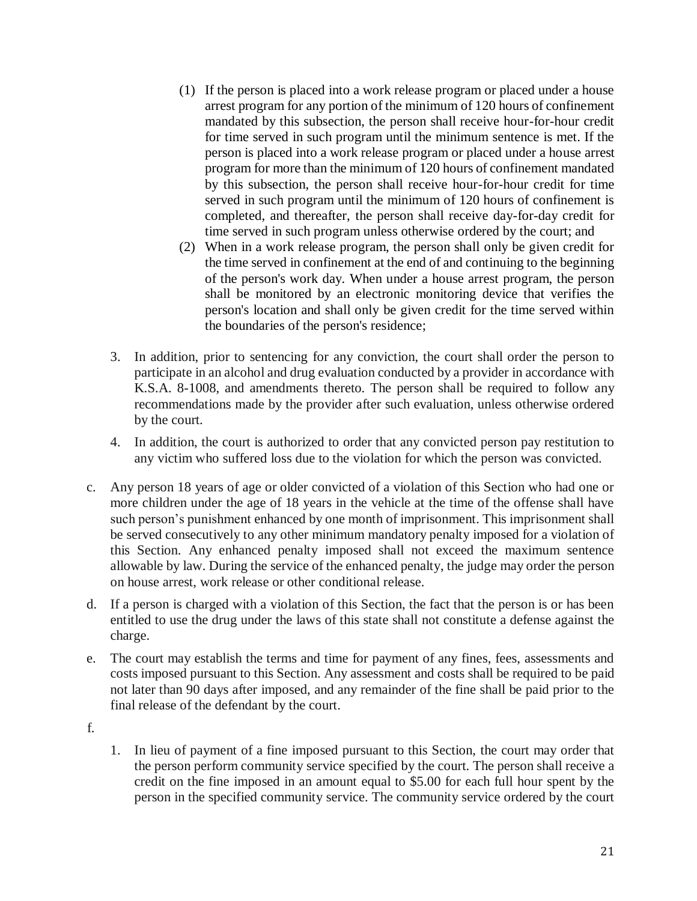- (1) If the person is placed into a work release program or placed under a house arrest program for any portion of the minimum of 120 hours of confinement mandated by this subsection, the person shall receive hour-for-hour credit for time served in such program until the minimum sentence is met. If the person is placed into a work release program or placed under a house arrest program for more than the minimum of 120 hours of confinement mandated by this subsection, the person shall receive hour-for-hour credit for time served in such program until the minimum of 120 hours of confinement is completed, and thereafter, the person shall receive day-for-day credit for time served in such program unless otherwise ordered by the court; and
- (2) When in a work release program, the person shall only be given credit for the time served in confinement at the end of and continuing to the beginning of the person's work day. When under a house arrest program, the person shall be monitored by an electronic monitoring device that verifies the person's location and shall only be given credit for the time served within the boundaries of the person's residence;
- 3. In addition, prior to sentencing for any conviction, the court shall order the person to participate in an alcohol and drug evaluation conducted by a provider in accordance with K.S.A. 8-1008, and amendments thereto. The person shall be required to follow any recommendations made by the provider after such evaluation, unless otherwise ordered by the court.
- 4. In addition, the court is authorized to order that any convicted person pay restitution to any victim who suffered loss due to the violation for which the person was convicted.
- c. Any person 18 years of age or older convicted of a violation of this Section who had one or more children under the age of 18 years in the vehicle at the time of the offense shall have such person's punishment enhanced by one month of imprisonment. This imprisonment shall be served consecutively to any other minimum mandatory penalty imposed for a violation of this Section. Any enhanced penalty imposed shall not exceed the maximum sentence allowable by law. During the service of the enhanced penalty, the judge may order the person on house arrest, work release or other conditional release.
- d. If a person is charged with a violation of this Section, the fact that the person is or has been entitled to use the drug under the laws of this state shall not constitute a defense against the charge.
- e. The court may establish the terms and time for payment of any fines, fees, assessments and costs imposed pursuant to this Section. Any assessment and costs shall be required to be paid not later than 90 days after imposed, and any remainder of the fine shall be paid prior to the final release of the defendant by the court.
- f.
- 1. In lieu of payment of a fine imposed pursuant to this Section, the court may order that the person perform community service specified by the court. The person shall receive a credit on the fine imposed in an amount equal to \$5.00 for each full hour spent by the person in the specified community service. The community service ordered by the court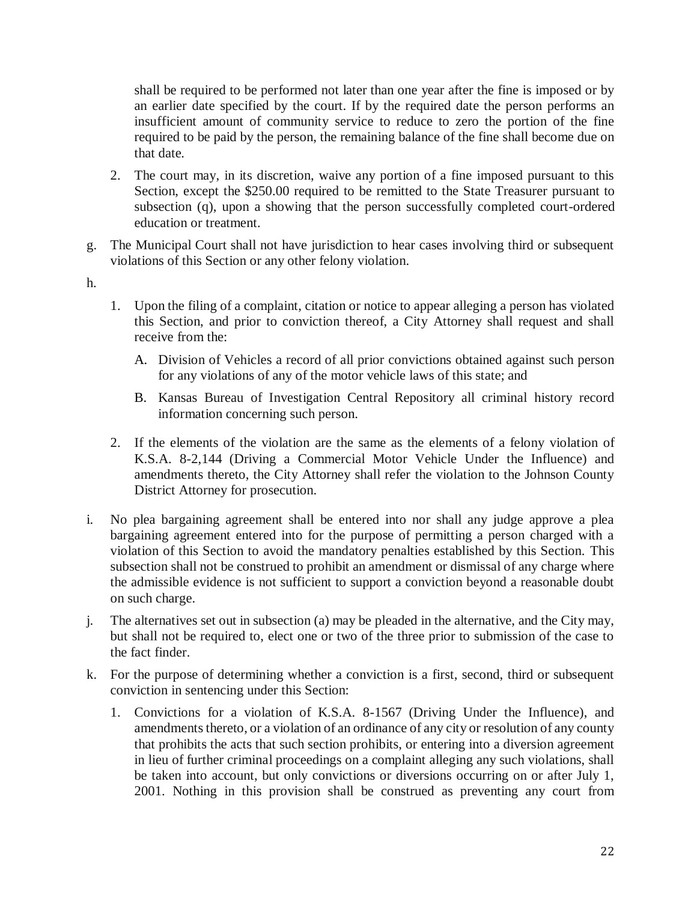shall be required to be performed not later than one year after the fine is imposed or by an earlier date specified by the court. If by the required date the person performs an insufficient amount of community service to reduce to zero the portion of the fine required to be paid by the person, the remaining balance of the fine shall become due on that date.

- 2. The court may, in its discretion, waive any portion of a fine imposed pursuant to this Section, except the \$250.00 required to be remitted to the State Treasurer pursuant to subsection (q), upon a showing that the person successfully completed court-ordered education or treatment.
- g. The Municipal Court shall not have jurisdiction to hear cases involving third or subsequent violations of this Section or any other felony violation.
- h.
- 1. Upon the filing of a complaint, citation or notice to appear alleging a person has violated this Section, and prior to conviction thereof, a City Attorney shall request and shall receive from the:
	- A. Division of Vehicles a record of all prior convictions obtained against such person for any violations of any of the motor vehicle laws of this state; and
	- B. Kansas Bureau of Investigation Central Repository all criminal history record information concerning such person.
- 2. If the elements of the violation are the same as the elements of a felony violation of K.S.A. 8-2,144 (Driving a Commercial Motor Vehicle Under the Influence) and amendments thereto, the City Attorney shall refer the violation to the Johnson County District Attorney for prosecution.
- i. No plea bargaining agreement shall be entered into nor shall any judge approve a plea bargaining agreement entered into for the purpose of permitting a person charged with a violation of this Section to avoid the mandatory penalties established by this Section. This subsection shall not be construed to prohibit an amendment or dismissal of any charge where the admissible evidence is not sufficient to support a conviction beyond a reasonable doubt on such charge.
- j. The alternatives set out in subsection (a) may be pleaded in the alternative, and the City may, but shall not be required to, elect one or two of the three prior to submission of the case to the fact finder.
- k. For the purpose of determining whether a conviction is a first, second, third or subsequent conviction in sentencing under this Section:
	- 1. Convictions for a violation of K.S.A. 8-1567 (Driving Under the Influence), and amendments thereto, or a violation of an ordinance of any city or resolution of any county that prohibits the acts that such section prohibits, or entering into a diversion agreement in lieu of further criminal proceedings on a complaint alleging any such violations, shall be taken into account, but only convictions or diversions occurring on or after July 1, 2001. Nothing in this provision shall be construed as preventing any court from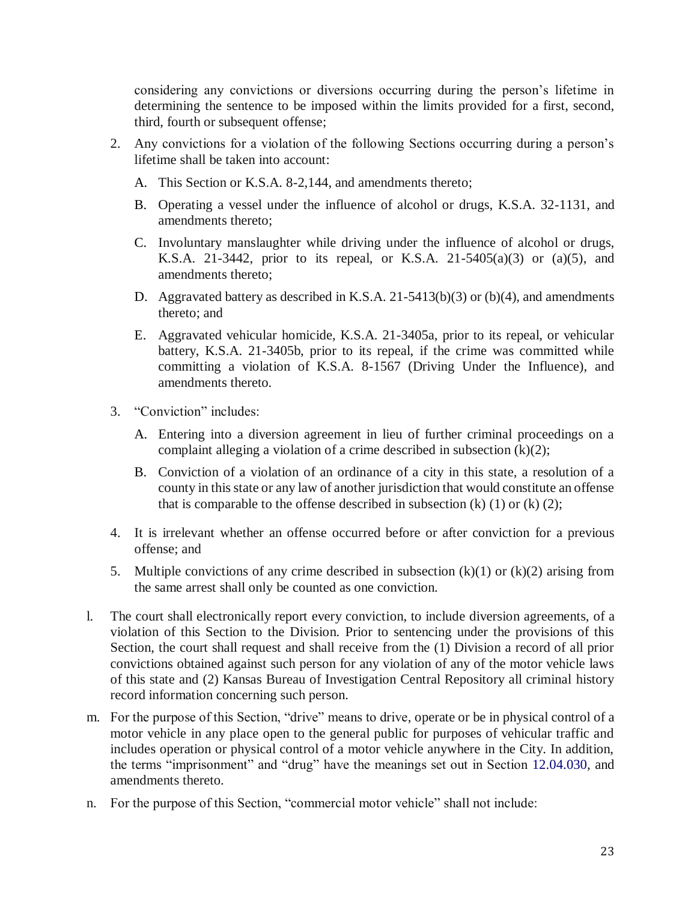considering any convictions or diversions occurring during the person's lifetime in determining the sentence to be imposed within the limits provided for a first, second, third, fourth or subsequent offense;

- 2. Any convictions for a violation of the following Sections occurring during a person's lifetime shall be taken into account:
	- A. This Section or K.S.A. 8-2,144, and amendments thereto;
	- B. Operating a vessel under the influence of alcohol or drugs, K.S.A. 32-1131, and amendments thereto;
	- C. Involuntary manslaughter while driving under the influence of alcohol or drugs, K.S.A. 21-3442, prior to its repeal, or K.S.A. 21-5405(a)(3) or (a)(5), and amendments thereto;
	- D. Aggravated battery as described in K.S.A. 21-5413(b)(3) or (b)(4), and amendments thereto; and
	- E. Aggravated vehicular homicide, K.S.A. 21-3405a, prior to its repeal, or vehicular battery, K.S.A. 21-3405b, prior to its repeal, if the crime was committed while committing a violation of K.S.A. 8-1567 (Driving Under the Influence), and amendments thereto.
- 3. "Conviction" includes:
	- A. Entering into a diversion agreement in lieu of further criminal proceedings on a complaint alleging a violation of a crime described in subsection  $(k)(2)$ ;
	- B. Conviction of a violation of an ordinance of a city in this state, a resolution of a county in this state or any law of another jurisdiction that would constitute an offense that is comparable to the offense described in subsection  $(k)$  (1) or  $(k)$  (2);
- 4. It is irrelevant whether an offense occurred before or after conviction for a previous offense; and
- 5. Multiple convictions of any crime described in subsection  $(k)(1)$  or  $(k)(2)$  arising from the same arrest shall only be counted as one conviction.
- l. The court shall electronically report every conviction, to include diversion agreements, of a violation of this Section to the Division. Prior to sentencing under the provisions of this Section, the court shall request and shall receive from the (1) Division a record of all prior convictions obtained against such person for any violation of any of the motor vehicle laws of this state and (2) Kansas Bureau of Investigation Central Repository all criminal history record information concerning such person.
- m. For the purpose of this Section, "drive" means to drive, operate or be in physical control of a motor vehicle in any place open to the general public for purposes of vehicular traffic and includes operation or physical control of a motor vehicle anywhere in the City. In addition, the terms "imprisonment" and "drug" have the meanings set out in Section 12.04.030, and amendments thereto.
- n. For the purpose of this Section, "commercial motor vehicle" shall not include: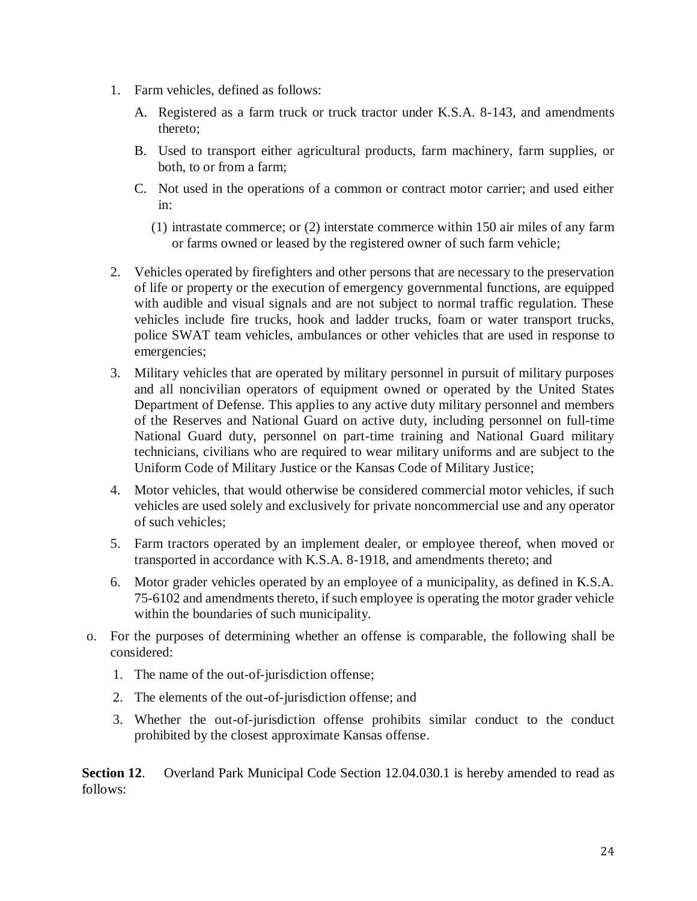- 1. Farm vehicles, defined as follows:
	- A. Registered as a farm truck or truck tractor under K.S.A. 8-143, and amendments thereto;
	- B. Used to transport either agricultural products, farm machinery, farm supplies, or both, to or from a farm;
	- C. Not used in the operations of a common or contract motor carrier; and used either in:
		- (1) intrastate commerce; or (2) interstate commerce within 150 air miles of any farm or farms owned or leased by the registered owner of such farm vehicle;
- 2. Vehicles operated by firefighters and other persons that are necessary to the preservation of life or property or the execution of emergency governmental functions, are equipped with audible and visual signals and are not subject to normal traffic regulation. These vehicles include fire trucks, hook and ladder trucks, foam or water transport trucks, police SWAT team vehicles, ambulances or other vehicles that are used in response to emergencies;
- 3. Military vehicles that are operated by military personnel in pursuit of military purposes and all noncivilian operators of equipment owned or operated by the United States Department of Defense. This applies to any active duty military personnel and members of the Reserves and National Guard on active duty, including personnel on full-time National Guard duty, personnel on part-time training and National Guard military technicians, civilians who are required to wear military uniforms and are subject to the Uniform Code of Military Justice or the Kansas Code of Military Justice;
- 4. Motor vehicles, that would otherwise be considered commercial motor vehicles, if such vehicles are used solely and exclusively for private noncommercial use and any operator of such vehicles;
- 5. Farm tractors operated by an implement dealer, or employee thereof, when moved or transported in accordance with K.S.A. 8-1918, and amendments thereto; and
- 6. Motor grader vehicles operated by an employee of a municipality, as defined in K.S.A. 75-6102 and amendments thereto, if such employee is operating the motor grader vehicle within the boundaries of such municipality.
- o. For the purposes of determining whether an offense is comparable, the following shall be considered:
	- 1. The name of the out-of-jurisdiction offense;
	- 2. The elements of the out-of-jurisdiction offense; and
	- 3. Whether the out-of-jurisdiction offense prohibits similar conduct to the conduct prohibited by the closest approximate Kansas offense.

**Section 12**. Overland Park Municipal Code Section 12.04.030.1 is hereby amended to read as follows: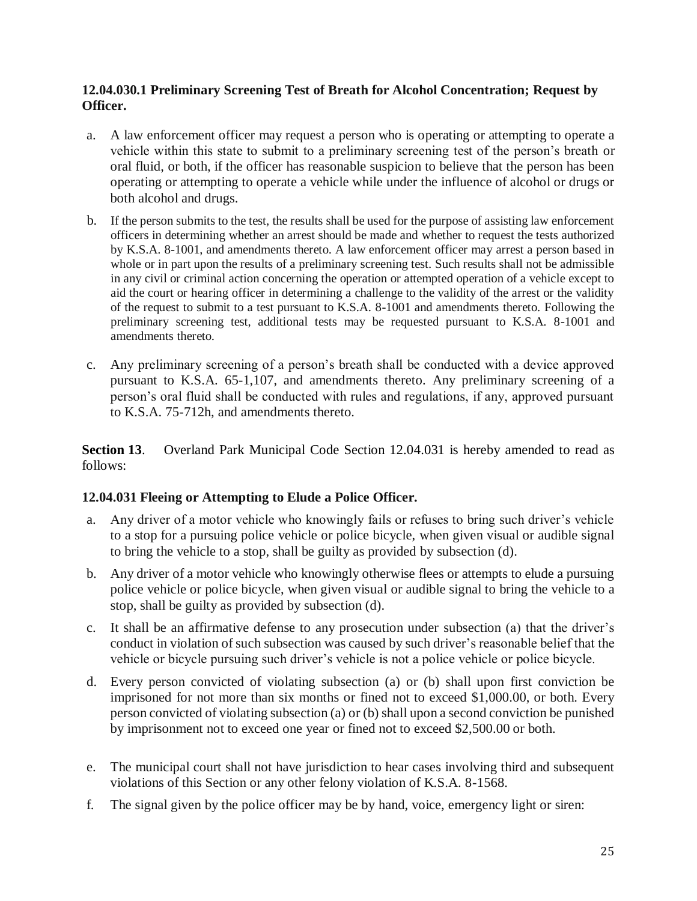#### **12.04.030.1 Preliminary Screening Test of Breath for Alcohol Concentration; Request by Officer.**

- a. A law enforcement officer may request a person who is operating or attempting to operate a vehicle within this state to submit to a preliminary screening test of the person's breath or oral fluid, or both, if the officer has reasonable suspicion to believe that the person has been operating or attempting to operate a vehicle while under the influence of alcohol or drugs or both alcohol and drugs.
- b. If the person submits to the test, the results shall be used for the purpose of assisting law enforcement officers in determining whether an arrest should be made and whether to request the tests authorized by K.S.A. 8-1001, and amendments thereto. A law enforcement officer may arrest a person based in whole or in part upon the results of a preliminary screening test. Such results shall not be admissible in any civil or criminal action concerning the operation or attempted operation of a vehicle except to aid the court or hearing officer in determining a challenge to the validity of the arrest or the validity of the request to submit to a test pursuant to K.S.A. 8-1001 and amendments thereto. Following the preliminary screening test, additional tests may be requested pursuant to K.S.A. 8-1001 and amendments thereto.
- c. Any preliminary screening of a person's breath shall be conducted with a device approved pursuant to K.S.A. 65-1,107, and amendments thereto. Any preliminary screening of a person's oral fluid shall be conducted with rules and regulations, if any, approved pursuant to K.S.A. 75-712h, and amendments thereto.

**Section 13**. Overland Park Municipal Code Section 12.04.031 is hereby amended to read as follows:

### **12.04.031 Fleeing or Attempting to Elude a Police Officer.**

- a. Any driver of a motor vehicle who knowingly fails or refuses to bring such driver's vehicle to a stop for a pursuing police vehicle or police bicycle, when given visual or audible signal to bring the vehicle to a stop, shall be guilty as provided by subsection (d).
- b. Any driver of a motor vehicle who knowingly otherwise flees or attempts to elude a pursuing police vehicle or police bicycle, when given visual or audible signal to bring the vehicle to a stop, shall be guilty as provided by subsection (d).
- c. It shall be an affirmative defense to any prosecution under subsection (a) that the driver's conduct in violation of such subsection was caused by such driver's reasonable belief that the vehicle or bicycle pursuing such driver's vehicle is not a police vehicle or police bicycle.
- d. Every person convicted of violating subsection (a) or (b) shall upon first conviction be imprisoned for not more than six months or fined not to exceed \$1,000.00, or both. Every person convicted of violating subsection (a) or (b) shall upon a second conviction be punished by imprisonment not to exceed one year or fined not to exceed \$2,500.00 or both.
- e. The municipal court shall not have jurisdiction to hear cases involving third and subsequent violations of this Section or any other felony violation of K.S.A. 8-1568.
- f. The signal given by the police officer may be by hand, voice, emergency light or siren: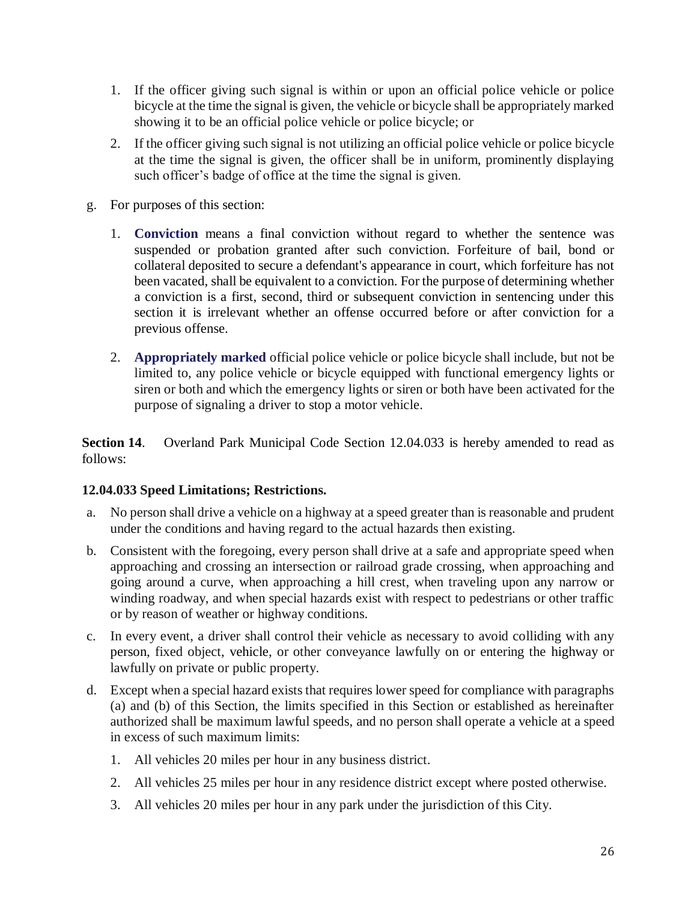- 1. If the officer giving such signal is within or upon an official police vehicle or police bicycle at the time the signal is given, the vehicle or bicycle shall be appropriately marked showing it to be an official police vehicle or police bicycle; or
- 2. If the officer giving such signal is not utilizing an official police vehicle or police bicycle at the time the signal is given, the officer shall be in uniform, prominently displaying such officer's badge of office at the time the signal is given.
- g. For purposes of this section:
	- 1. **Conviction** means a final conviction without regard to whether the sentence was suspended or probation granted after such conviction. Forfeiture of bail, bond or collateral deposited to secure a defendant's appearance in court, which forfeiture has not been vacated, shall be equivalent to a conviction. For the purpose of determining whether a conviction is a first, second, third or subsequent conviction in sentencing under this section it is irrelevant whether an offense occurred before or after conviction for a previous offense.
	- 2. **Appropriately marked** official police vehicle or police bicycle shall include, but not be limited to, any police vehicle or bicycle equipped with functional emergency lights or siren or both and which the emergency lights or siren or both have been activated for the purpose of signaling a driver to stop a motor vehicle.

**Section 14**. Overland Park Municipal Code Section 12.04.033 is hereby amended to read as follows:

### **12.04.033 Speed Limitations; Restrictions.**

- a. No person shall drive a vehicle on a highway at a speed greater than is reasonable and prudent under the conditions and having regard to the actual hazards then existing.
- b. Consistent with the foregoing, every person shall drive at a safe and appropriate speed when approaching and crossing an intersection or railroad grade crossing, when approaching and going around a curve, when approaching a hill crest, when traveling upon any narrow or winding roadway, and when special hazards exist with respect to pedestrians or other traffic or by reason of weather or highway conditions.
- c. In every event, a driver shall control their vehicle as necessary to avoid colliding with any person, fixed object, vehicle, or other conveyance lawfully on or entering the highway or lawfully on private or public property.
- d. Except when a special hazard exists that requires lower speed for compliance with paragraphs (a) and (b) of this Section, the limits specified in this Section or established as hereinafter authorized shall be maximum lawful speeds, and no person shall operate a vehicle at a speed in excess of such maximum limits:
	- 1. All vehicles 20 miles per hour in any business district.
	- 2. All vehicles 25 miles per hour in any residence district except where posted otherwise.
	- 3. All vehicles 20 miles per hour in any park under the jurisdiction of this City.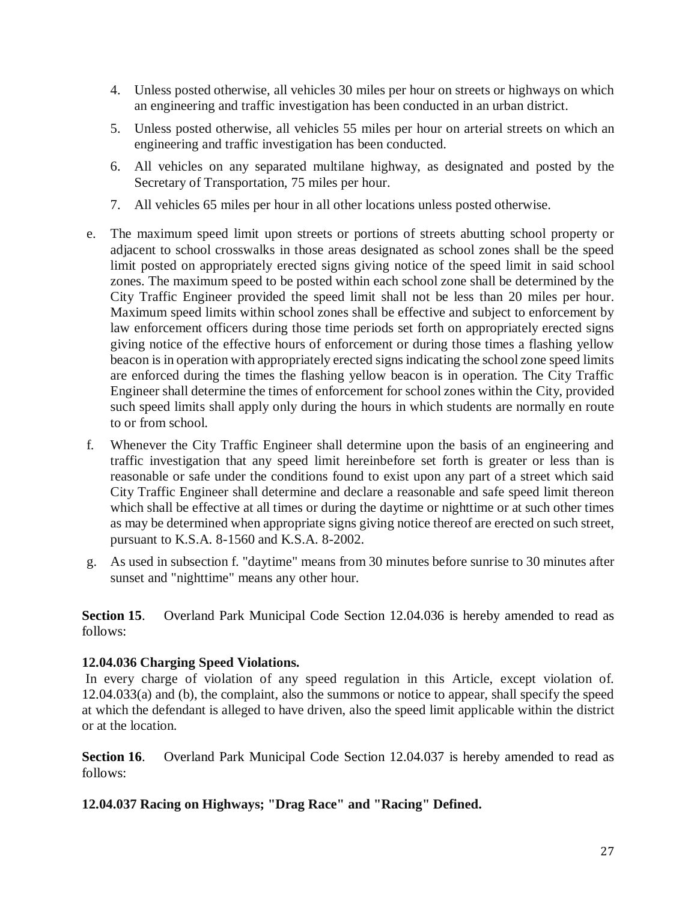- 4. Unless posted otherwise, all vehicles 30 miles per hour on streets or highways on which an engineering and traffic investigation has been conducted in an urban district.
- 5. Unless posted otherwise, all vehicles 55 miles per hour on arterial streets on which an engineering and traffic investigation has been conducted.
- 6. All vehicles on any separated multilane highway, as designated and posted by the Secretary of Transportation, 75 miles per hour.
- 7. All vehicles 65 miles per hour in all other locations unless posted otherwise.
- e. The maximum speed limit upon streets or portions of streets abutting school property or adjacent to school crosswalks in those areas designated as school zones shall be the speed limit posted on appropriately erected signs giving notice of the speed limit in said school zones. The maximum speed to be posted within each school zone shall be determined by the City Traffic Engineer provided the speed limit shall not be less than 20 miles per hour. Maximum speed limits within school zones shall be effective and subject to enforcement by law enforcement officers during those time periods set forth on appropriately erected signs giving notice of the effective hours of enforcement or during those times a flashing yellow beacon is in operation with appropriately erected signs indicating the school zone speed limits are enforced during the times the flashing yellow beacon is in operation. The City Traffic Engineer shall determine the times of enforcement for school zones within the City, provided such speed limits shall apply only during the hours in which students are normally en route to or from school.
- f. Whenever the City Traffic Engineer shall determine upon the basis of an engineering and traffic investigation that any speed limit hereinbefore set forth is greater or less than is reasonable or safe under the conditions found to exist upon any part of a street which said City Traffic Engineer shall determine and declare a reasonable and safe speed limit thereon which shall be effective at all times or during the daytime or nighttime or at such other times as may be determined when appropriate signs giving notice thereof are erected on such street, pursuant to K.S.A. 8-1560 and K.S.A. 8-2002.
- g. As used in subsection f. "daytime" means from 30 minutes before sunrise to 30 minutes after sunset and "nighttime" means any other hour.

**Section 15.** Overland Park Municipal Code Section 12.04.036 is hereby amended to read as follows:

## **12.04.036 Charging Speed Violations.**

In every charge of violation of any speed regulation in this Article, except violation of. 12.04.033(a) and (b), the complaint, also the summons or notice to appear, shall specify the speed at which the defendant is alleged to have driven, also the speed limit applicable within the district or at the location.

**Section 16.** Overland Park Municipal Code Section 12.04.037 is hereby amended to read as follows:

## **12.04.037 Racing on Highways; "Drag Race" and "Racing" Defined.**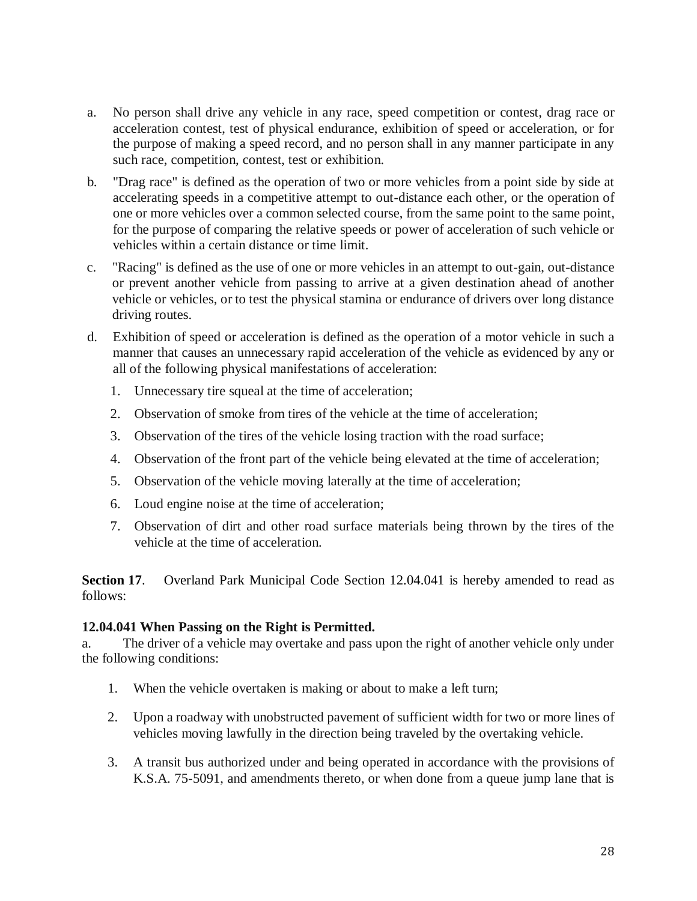- a. No person shall drive any vehicle in any race, speed competition or contest, drag race or acceleration contest, test of physical endurance, exhibition of speed or acceleration, or for the purpose of making a speed record, and no person shall in any manner participate in any such race, competition, contest, test or exhibition.
- b. "Drag race" is defined as the operation of two or more vehicles from a point side by side at accelerating speeds in a competitive attempt to out-distance each other, or the operation of one or more vehicles over a common selected course, from the same point to the same point, for the purpose of comparing the relative speeds or power of acceleration of such vehicle or vehicles within a certain distance or time limit.
- c. "Racing" is defined as the use of one or more vehicles in an attempt to out-gain, out-distance or prevent another vehicle from passing to arrive at a given destination ahead of another vehicle or vehicles, or to test the physical stamina or endurance of drivers over long distance driving routes.
- d. Exhibition of speed or acceleration is defined as the operation of a motor vehicle in such a manner that causes an unnecessary rapid acceleration of the vehicle as evidenced by any or all of the following physical manifestations of acceleration:
	- 1. Unnecessary tire squeal at the time of acceleration;
	- 2. Observation of smoke from tires of the vehicle at the time of acceleration;
	- 3. Observation of the tires of the vehicle losing traction with the road surface;
	- 4. Observation of the front part of the vehicle being elevated at the time of acceleration;
	- 5. Observation of the vehicle moving laterally at the time of acceleration;
	- 6. Loud engine noise at the time of acceleration;
	- 7. Observation of dirt and other road surface materials being thrown by the tires of the vehicle at the time of acceleration.

**Section 17.** Overland Park Municipal Code Section 12.04.041 is hereby amended to read as follows:

### **12.04.041 When Passing on the Right is Permitted.**

a. The driver of a vehicle may overtake and pass upon the right of another vehicle only under the following conditions:

- 1. When the vehicle overtaken is making or about to make a left turn;
- 2. Upon a roadway with unobstructed pavement of sufficient width for two or more lines of vehicles moving lawfully in the direction being traveled by the overtaking vehicle.
- 3. A transit bus authorized under and being operated in accordance with the provisions of K.S.A. 75-5091, and amendments thereto, or when done from a queue jump lane that is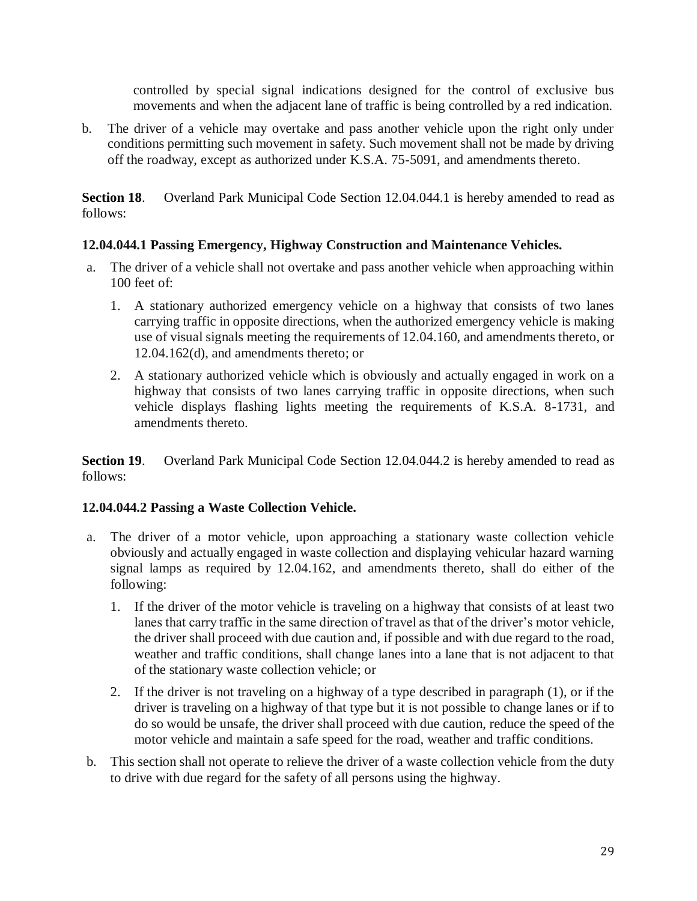controlled by special signal indications designed for the control of exclusive bus movements and when the adjacent lane of traffic is being controlled by a red indication.

b. The driver of a vehicle may overtake and pass another vehicle upon the right only under conditions permitting such movement in safety. Such movement shall not be made by driving off the roadway, except as authorized under K.S.A. 75-5091, and amendments thereto.

**Section 18**. Overland Park Municipal Code Section 12.04.044.1 is hereby amended to read as follows:

### **12.04.044.1 Passing Emergency, Highway Construction and Maintenance Vehicles.**

- a. The driver of a vehicle shall not overtake and pass another vehicle when approaching within 100 feet of:
	- 1. A stationary authorized emergency vehicle on a highway that consists of two lanes carrying traffic in opposite directions, when the authorized emergency vehicle is making use of visual signals meeting the requirements of 12.04.160, and amendments thereto, or 12.04.162(d), and amendments thereto; or
	- 2. A stationary authorized vehicle which is obviously and actually engaged in work on a highway that consists of two lanes carrying traffic in opposite directions, when such vehicle displays flashing lights meeting the requirements of K.S.A. 8-1731, and amendments thereto.

**Section 19**. Overland Park Municipal Code Section 12.04.044.2 is hereby amended to read as follows:

### **12.04.044.2 Passing a Waste Collection Vehicle.**

- a. The driver of a motor vehicle, upon approaching a stationary waste collection vehicle obviously and actually engaged in waste collection and displaying vehicular hazard warning signal lamps as required by 12.04.162, and amendments thereto, shall do either of the following:
	- 1. If the driver of the motor vehicle is traveling on a highway that consists of at least two lanes that carry traffic in the same direction of travel as that of the driver's motor vehicle, the driver shall proceed with due caution and, if possible and with due regard to the road, weather and traffic conditions, shall change lanes into a lane that is not adjacent to that of the stationary waste collection vehicle; or
	- 2. If the driver is not traveling on a highway of a type described in paragraph (1), or if the driver is traveling on a highway of that type but it is not possible to change lanes or if to do so would be unsafe, the driver shall proceed with due caution, reduce the speed of the motor vehicle and maintain a safe speed for the road, weather and traffic conditions.
- b. This section shall not operate to relieve the driver of a waste collection vehicle from the duty to drive with due regard for the safety of all persons using the highway.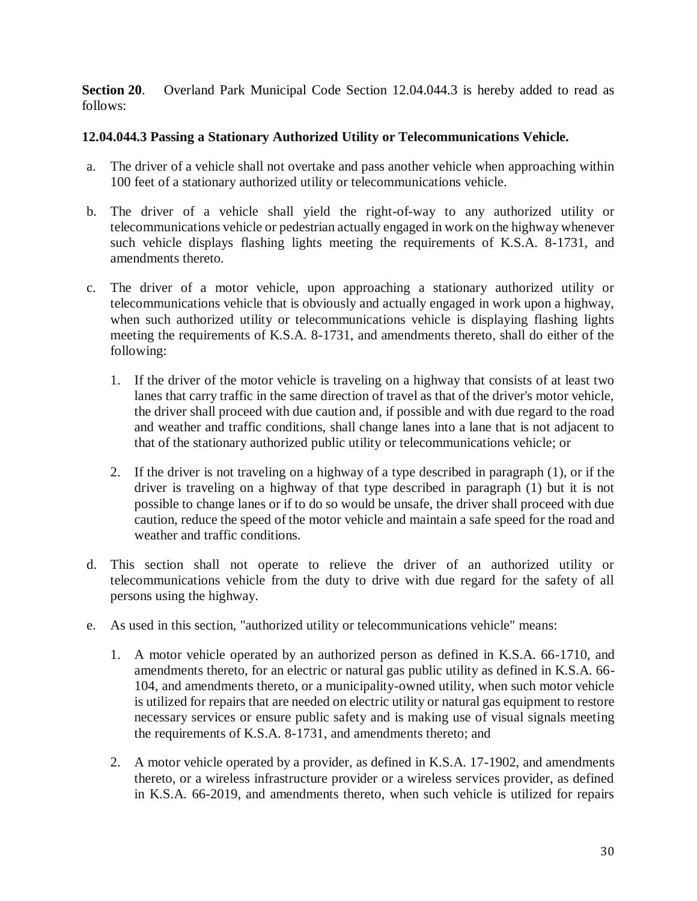**Section 20.** Overland Park Municipal Code Section 12.04.044.3 is hereby added to read as follows:

### **12.04.044.3 Passing a Stationary Authorized Utility or Telecommunications Vehicle.**

- a. The driver of a vehicle shall not overtake and pass another vehicle when approaching within 100 feet of a stationary authorized utility or telecommunications vehicle.
- b. The driver of a vehicle shall yield the right-of-way to any authorized utility or telecommunications vehicle or pedestrian actually engaged in work on the highway whenever such vehicle displays flashing lights meeting the requirements of K.S.A. 8-1731, and amendments thereto.
- c. The driver of a motor vehicle, upon approaching a stationary authorized utility or telecommunications vehicle that is obviously and actually engaged in work upon a highway, when such authorized utility or telecommunications vehicle is displaying flashing lights meeting the requirements of K.S.A. 8-1731, and amendments thereto, shall do either of the following:
	- 1. If the driver of the motor vehicle is traveling on a highway that consists of at least two lanes that carry traffic in the same direction of travel as that of the driver's motor vehicle, the driver shall proceed with due caution and, if possible and with due regard to the road and weather and traffic conditions, shall change lanes into a lane that is not adjacent to that of the stationary authorized public utility or telecommunications vehicle; or
	- 2. If the driver is not traveling on a highway of a type described in paragraph (1), or if the driver is traveling on a highway of that type described in paragraph (1) but it is not possible to change lanes or if to do so would be unsafe, the driver shall proceed with due caution, reduce the speed of the motor vehicle and maintain a safe speed for the road and weather and traffic conditions.
- d. This section shall not operate to relieve the driver of an authorized utility or telecommunications vehicle from the duty to drive with due regard for the safety of all persons using the highway.
- e. As used in this section, "authorized utility or telecommunications vehicle" means:
	- 1. A motor vehicle operated by an authorized person as defined in K.S.A. 66-1710, and amendments thereto, for an electric or natural gas public utility as defined in K.S.A. 66- 104, and amendments thereto, or a municipality-owned utility, when such motor vehicle is utilized for repairs that are needed on electric utility or natural gas equipment to restore necessary services or ensure public safety and is making use of visual signals meeting the requirements of K.S.A. 8-1731, and amendments thereto; and
	- 2. A motor vehicle operated by a provider, as defined in K.S.A. 17-1902, and amendments thereto, or a wireless infrastructure provider or a wireless services provider, as defined in K.S.A. 66-2019, and amendments thereto, when such vehicle is utilized for repairs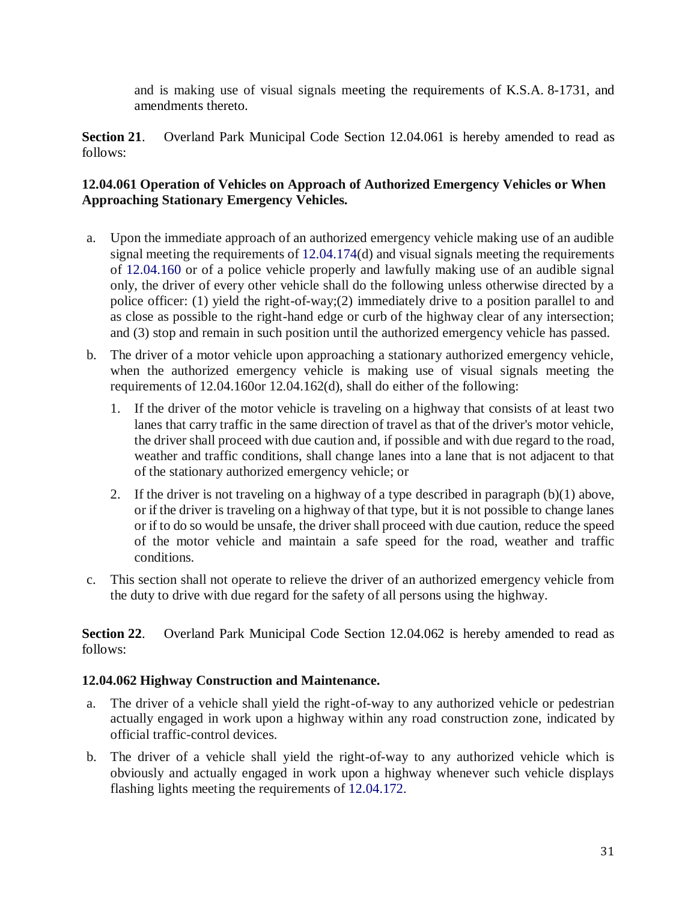and is making use of visual signals meeting the requirements of K.S.A. 8-1731, and amendments thereto.

**Section 21**. Overland Park Municipal Code Section 12.04.061 is hereby amended to read as follows:

### **12.04.061 Operation of Vehicles on Approach of Authorized Emergency Vehicles or When Approaching Stationary Emergency Vehicles.**

- a. Upon the immediate approach of an authorized emergency vehicle making use of an audible signal meeting the requirements of 12.04.174(d) and visual signals meeting the requirements of 12.04.160 or of a police vehicle properly and lawfully making use of an audible signal only, the driver of every other vehicle shall do the following unless otherwise directed by a police officer: (1) yield the right-of-way;(2) immediately drive to a position parallel to and as close as possible to the right-hand edge or curb of the highway clear of any intersection; and (3) stop and remain in such position until the authorized emergency vehicle has passed.
- b. The driver of a motor vehicle upon approaching a stationary authorized emergency vehicle, when the authorized emergency vehicle is making use of visual signals meeting the requirements of 12.04.160or 12.04.162(d), shall do either of the following:
	- 1. If the driver of the motor vehicle is traveling on a highway that consists of at least two lanes that carry traffic in the same direction of travel as that of the driver's motor vehicle, the driver shall proceed with due caution and, if possible and with due regard to the road, weather and traffic conditions, shall change lanes into a lane that is not adjacent to that of the stationary authorized emergency vehicle; or
	- 2. If the driver is not traveling on a highway of a type described in paragraph (b)(1) above, or if the driver is traveling on a highway of that type, but it is not possible to change lanes or if to do so would be unsafe, the driver shall proceed with due caution, reduce the speed of the motor vehicle and maintain a safe speed for the road, weather and traffic conditions.
- c. This section shall not operate to relieve the driver of an authorized emergency vehicle from the duty to drive with due regard for the safety of all persons using the highway.

**Section 22**. Overland Park Municipal Code Section 12.04.062 is hereby amended to read as follows:

### **12.04.062 Highway Construction and Maintenance.**

- a. The driver of a vehicle shall yield the right-of-way to any authorized vehicle or pedestrian actually engaged in work upon a highway within any road construction zone, indicated by official traffic-control devices.
- b. The driver of a vehicle shall yield the right-of-way to any authorized vehicle which is obviously and actually engaged in work upon a highway whenever such vehicle displays flashing lights meeting the requirements of 12.04.172.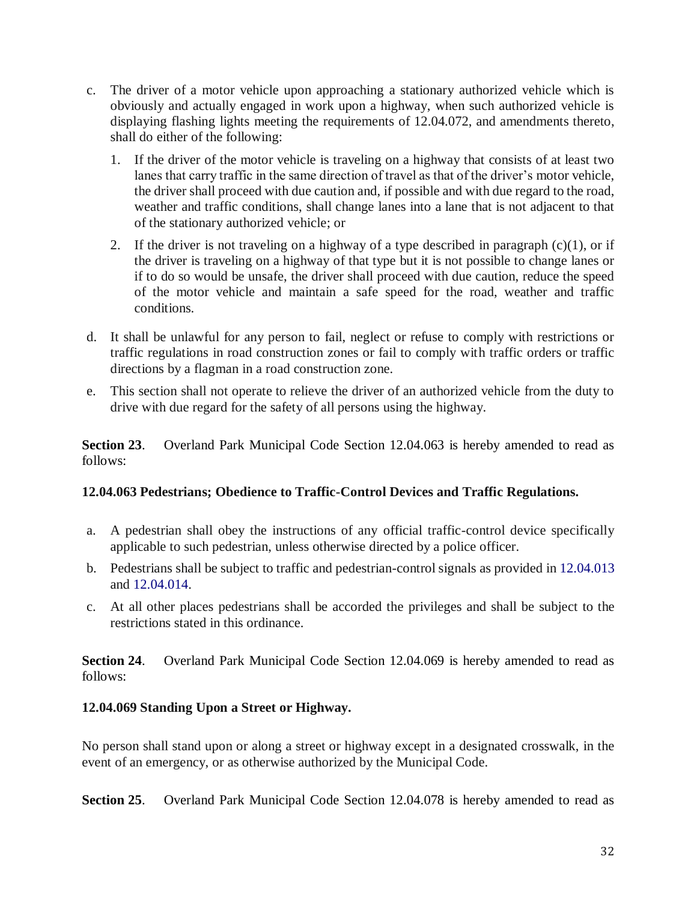- c. The driver of a motor vehicle upon approaching a stationary authorized vehicle which is obviously and actually engaged in work upon a highway, when such authorized vehicle is displaying flashing lights meeting the requirements of 12.04.072, and amendments thereto, shall do either of the following:
	- 1. If the driver of the motor vehicle is traveling on a highway that consists of at least two lanes that carry traffic in the same direction of travel as that of the driver's motor vehicle, the driver shall proceed with due caution and, if possible and with due regard to the road, weather and traffic conditions, shall change lanes into a lane that is not adjacent to that of the stationary authorized vehicle; or
	- 2. If the driver is not traveling on a highway of a type described in paragraph  $(c)(1)$ , or if the driver is traveling on a highway of that type but it is not possible to change lanes or if to do so would be unsafe, the driver shall proceed with due caution, reduce the speed of the motor vehicle and maintain a safe speed for the road, weather and traffic conditions.
- d. It shall be unlawful for any person to fail, neglect or refuse to comply with restrictions or traffic regulations in road construction zones or fail to comply with traffic orders or traffic directions by a flagman in a road construction zone.
- e. This section shall not operate to relieve the driver of an authorized vehicle from the duty to drive with due regard for the safety of all persons using the highway.

**Section 23**. Overland Park Municipal Code Section 12.04.063 is hereby amended to read as follows:

### **12.04.063 Pedestrians; Obedience to Traffic-Control Devices and Traffic Regulations.**

- a. A pedestrian shall obey the instructions of any official traffic-control device specifically applicable to such pedestrian, unless otherwise directed by a police officer.
- b. Pedestrians shall be subject to traffic and pedestrian-control signals as provided in 12.04.013 and 12.04.014.
- c. At all other places pedestrians shall be accorded the privileges and shall be subject to the restrictions stated in this ordinance.

**Section 24**. Overland Park Municipal Code Section 12.04.069 is hereby amended to read as follows:

### **12.04.069 Standing Upon a Street or Highway.**

No person shall stand upon or along a street or highway except in a designated crosswalk, in the event of an emergency, or as otherwise authorized by the Municipal Code.

**Section 25**. Overland Park Municipal Code Section 12.04.078 is hereby amended to read as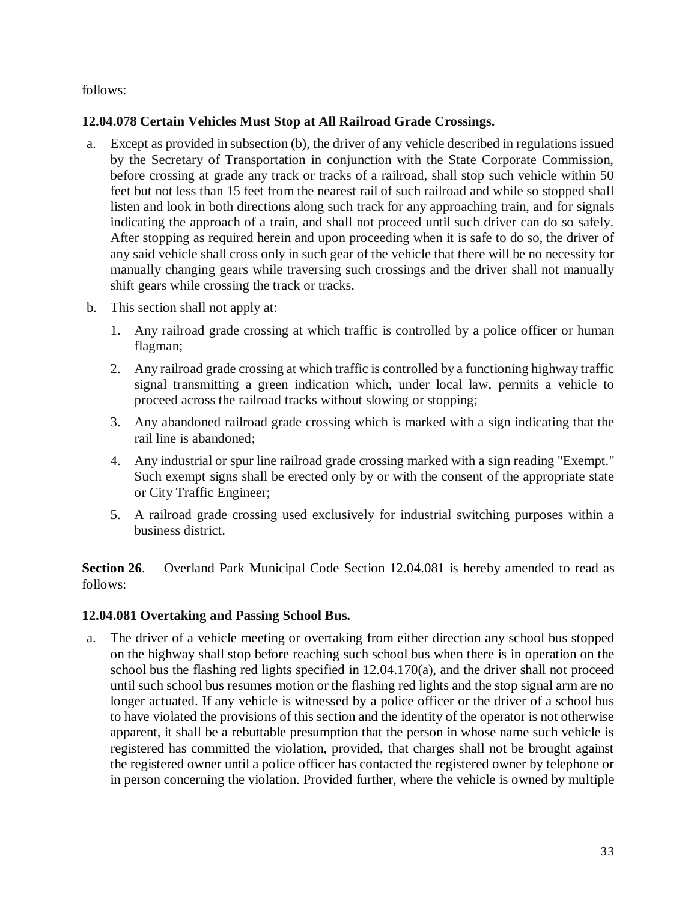follows:

### **12.04.078 Certain Vehicles Must Stop at All Railroad Grade Crossings.**

- a. Except as provided in subsection (b), the driver of any vehicle described in regulations issued by the Secretary of Transportation in conjunction with the State Corporate Commission, before crossing at grade any track or tracks of a railroad, shall stop such vehicle within 50 feet but not less than 15 feet from the nearest rail of such railroad and while so stopped shall listen and look in both directions along such track for any approaching train, and for signals indicating the approach of a train, and shall not proceed until such driver can do so safely. After stopping as required herein and upon proceeding when it is safe to do so, the driver of any said vehicle shall cross only in such gear of the vehicle that there will be no necessity for manually changing gears while traversing such crossings and the driver shall not manually shift gears while crossing the track or tracks.
- b. This section shall not apply at:
	- 1. Any railroad grade crossing at which traffic is controlled by a police officer or human flagman;
	- 2. Any railroad grade crossing at which traffic is controlled by a functioning highway traffic signal transmitting a green indication which, under local law, permits a vehicle to proceed across the railroad tracks without slowing or stopping;
	- 3. Any abandoned railroad grade crossing which is marked with a sign indicating that the rail line is abandoned;
	- 4. Any industrial or spur line railroad grade crossing marked with a sign reading "Exempt." Such exempt signs shall be erected only by or with the consent of the appropriate state or City Traffic Engineer;
	- 5. A railroad grade crossing used exclusively for industrial switching purposes within a business district.

**Section 26**. Overland Park Municipal Code Section 12.04.081 is hereby amended to read as follows:

### **12.04.081 Overtaking and Passing School Bus.**

a. The driver of a vehicle meeting or overtaking from either direction any school bus stopped on the highway shall stop before reaching such school bus when there is in operation on the school bus the flashing red lights specified in 12.04.170(a), and the driver shall not proceed until such school bus resumes motion or the flashing red lights and the stop signal arm are no longer actuated. If any vehicle is witnessed by a police officer or the driver of a school bus to have violated the provisions of this section and the identity of the operator is not otherwise apparent, it shall be a rebuttable presumption that the person in whose name such vehicle is registered has committed the violation, provided, that charges shall not be brought against the registered owner until a police officer has contacted the registered owner by telephone or in person concerning the violation. Provided further, where the vehicle is owned by multiple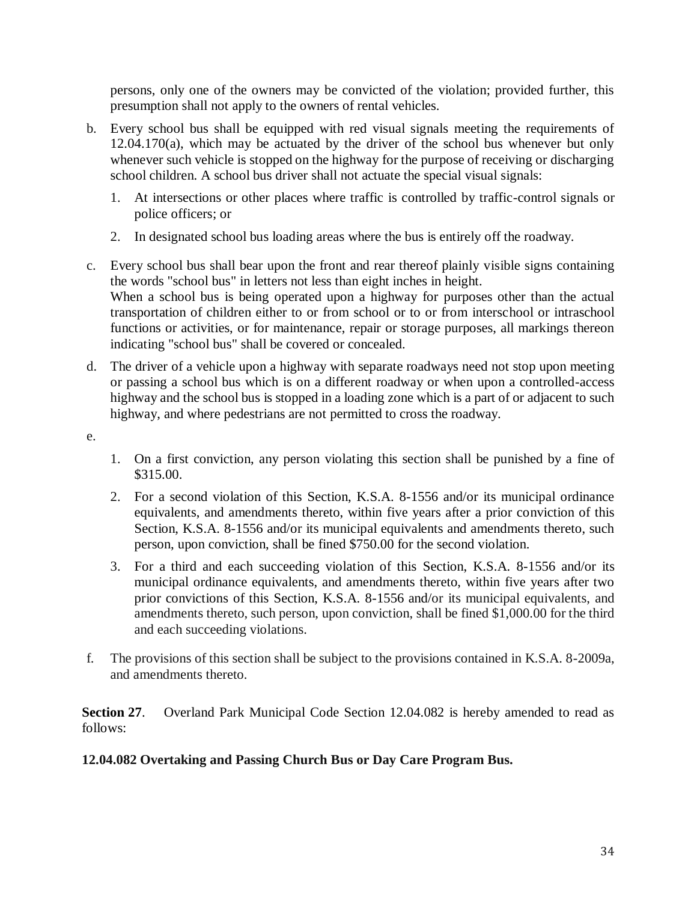persons, only one of the owners may be convicted of the violation; provided further, this presumption shall not apply to the owners of rental vehicles.

- b. Every school bus shall be equipped with red visual signals meeting the requirements of  $12.04.170(a)$ , which may be actuated by the driver of the school bus whenever but only whenever such vehicle is stopped on the highway for the purpose of receiving or discharging school children. A school bus driver shall not actuate the special visual signals:
	- 1. At intersections or other places where traffic is controlled by traffic-control signals or police officers; or
	- 2. In designated school bus loading areas where the bus is entirely off the roadway.
- c. Every school bus shall bear upon the front and rear thereof plainly visible signs containing the words "school bus" in letters not less than eight inches in height. When a school bus is being operated upon a highway for purposes other than the actual transportation of children either to or from school or to or from interschool or intraschool functions or activities, or for maintenance, repair or storage purposes, all markings thereon indicating "school bus" shall be covered or concealed.
- d. The driver of a vehicle upon a highway with separate roadways need not stop upon meeting or passing a school bus which is on a different roadway or when upon a controlled-access highway and the school bus is stopped in a loading zone which is a part of or adjacent to such highway, and where pedestrians are not permitted to cross the roadway.
- e.
- 1. On a first conviction, any person violating this section shall be punished by a fine of \$315.00.
- 2. For a second violation of this Section, K.S.A. 8-1556 and/or its municipal ordinance equivalents, and amendments thereto, within five years after a prior conviction of this Section, K.S.A. 8-1556 and/or its municipal equivalents and amendments thereto, such person, upon conviction, shall be fined \$750.00 for the second violation.
- 3. For a third and each succeeding violation of this Section, K.S.A. 8-1556 and/or its municipal ordinance equivalents, and amendments thereto, within five years after two prior convictions of this Section, K.S.A. 8-1556 and/or its municipal equivalents, and amendments thereto, such person, upon conviction, shall be fined \$1,000.00 for the third and each succeeding violations.
- f. The provisions of this section shall be subject to the provisions contained in K.S.A. 8-2009a, and amendments thereto.

**Section 27**. Overland Park Municipal Code Section 12.04.082 is hereby amended to read as follows:

## **12.04.082 Overtaking and Passing Church Bus or Day Care Program Bus.**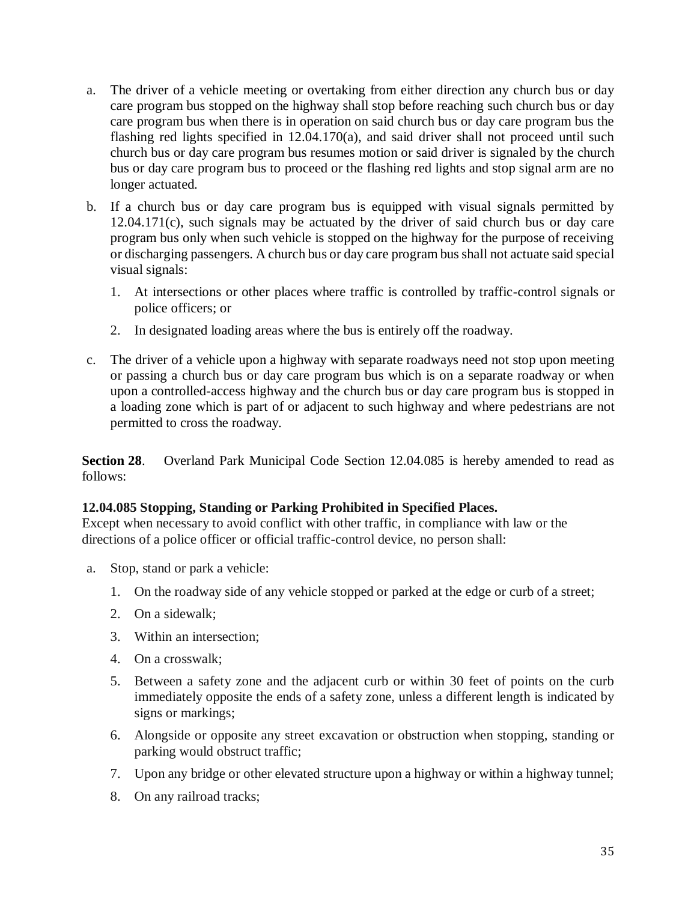- a. The driver of a vehicle meeting or overtaking from either direction any church bus or day care program bus stopped on the highway shall stop before reaching such church bus or day care program bus when there is in operation on said church bus or day care program bus the flashing red lights specified in 12.04.170(a), and said driver shall not proceed until such church bus or day care program bus resumes motion or said driver is signaled by the church bus or day care program bus to proceed or the flashing red lights and stop signal arm are no longer actuated.
- b. If a church bus or day care program bus is equipped with visual signals permitted by 12.04.171(c), such signals may be actuated by the driver of said church bus or day care program bus only when such vehicle is stopped on the highway for the purpose of receiving or discharging passengers. A church bus or day care program bus shall not actuate said special visual signals:
	- 1. At intersections or other places where traffic is controlled by traffic-control signals or police officers; or
	- 2. In designated loading areas where the bus is entirely off the roadway.
- c. The driver of a vehicle upon a highway with separate roadways need not stop upon meeting or passing a church bus or day care program bus which is on a separate roadway or when upon a controlled-access highway and the church bus or day care program bus is stopped in a loading zone which is part of or adjacent to such highway and where pedestrians are not permitted to cross the roadway.

**Section 28**. Overland Park Municipal Code Section 12.04.085 is hereby amended to read as follows:

### **12.04.085 Stopping, Standing or Parking Prohibited in Specified Places.**

Except when necessary to avoid conflict with other traffic, in compliance with law or the directions of a police officer or official traffic-control device, no person shall:

- a. Stop, stand or park a vehicle:
	- 1. On the roadway side of any vehicle stopped or parked at the edge or curb of a street;
	- 2. On a sidewalk;
	- 3. Within an intersection;
	- 4. On a crosswalk;
	- 5. Between a safety zone and the adjacent curb or within 30 feet of points on the curb immediately opposite the ends of a safety zone, unless a different length is indicated by signs or markings;
	- 6. Alongside or opposite any street excavation or obstruction when stopping, standing or parking would obstruct traffic;
	- 7. Upon any bridge or other elevated structure upon a highway or within a highway tunnel;
	- 8. On any railroad tracks;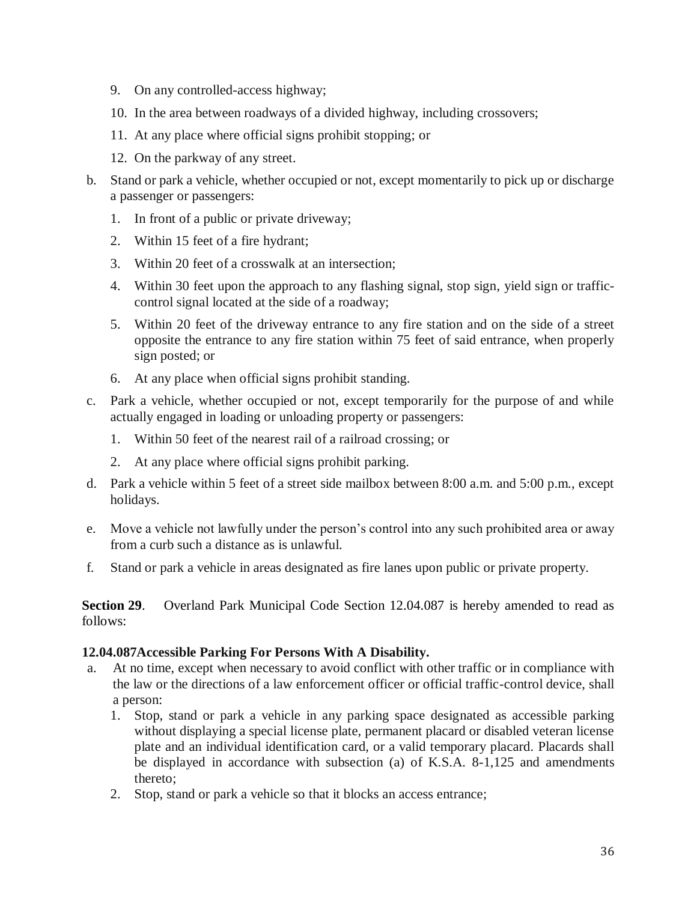- 9. On any controlled-access highway;
- 10. In the area between roadways of a divided highway, including crossovers;
- 11. At any place where official signs prohibit stopping; or
- 12. On the parkway of any street.
- b. Stand or park a vehicle, whether occupied or not, except momentarily to pick up or discharge a passenger or passengers:
	- 1. In front of a public or private driveway;
	- 2. Within 15 feet of a fire hydrant;
	- 3. Within 20 feet of a crosswalk at an intersection;
	- 4. Within 30 feet upon the approach to any flashing signal, stop sign, yield sign or trafficcontrol signal located at the side of a roadway;
	- 5. Within 20 feet of the driveway entrance to any fire station and on the side of a street opposite the entrance to any fire station within 75 feet of said entrance, when properly sign posted; or
	- 6. At any place when official signs prohibit standing.
- c. Park a vehicle, whether occupied or not, except temporarily for the purpose of and while actually engaged in loading or unloading property or passengers:
	- 1. Within 50 feet of the nearest rail of a railroad crossing; or
	- 2. At any place where official signs prohibit parking.
- d. Park a vehicle within 5 feet of a street side mailbox between 8:00 a.m. and 5:00 p.m., except holidays.
- e. Move a vehicle not lawfully under the person's control into any such prohibited area or away from a curb such a distance as is unlawful.
- f. Stand or park a vehicle in areas designated as fire lanes upon public or private property.

**Section 29**. Overland Park Municipal Code Section 12.04.087 is hereby amended to read as follows:

#### **12.04.087Accessible Parking For Persons With A Disability.**

- a. At no time, except when necessary to avoid conflict with other traffic or in compliance with the law or the directions of a law enforcement officer or official traffic-control device, shall a person:
	- 1. Stop, stand or park a vehicle in any parking space designated as accessible parking without displaying a special license plate, permanent placard or disabled veteran license plate and an individual identification card, or a valid temporary placard. Placards shall be displayed in accordance with subsection (a) of K.S.A. 8-1,125 and amendments thereto;
	- 2. Stop, stand or park a vehicle so that it blocks an access entrance;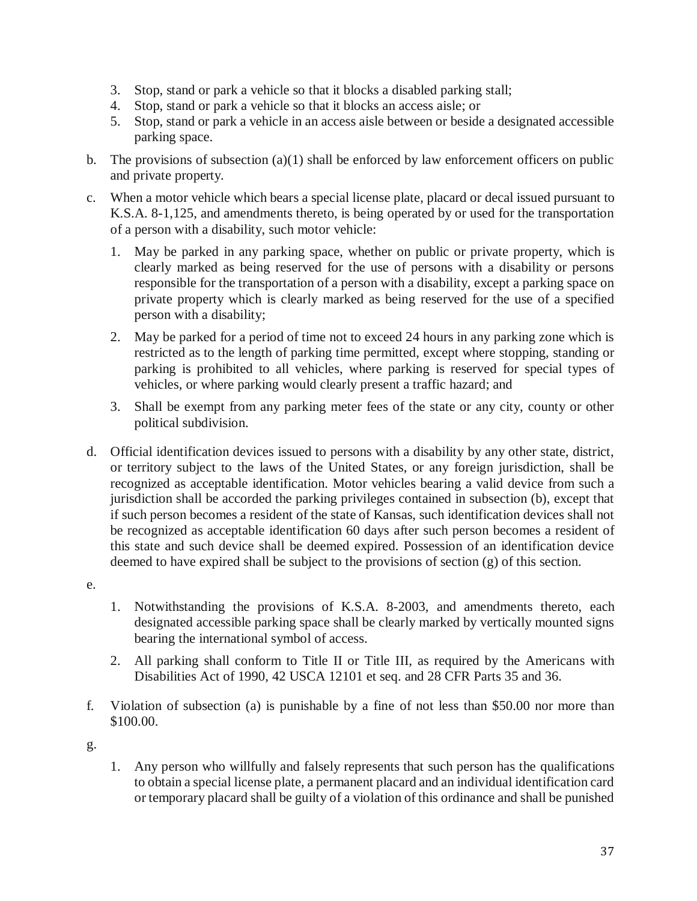- 3. Stop, stand or park a vehicle so that it blocks a disabled parking stall;
- 4. Stop, stand or park a vehicle so that it blocks an access aisle; or
- 5. Stop, stand or park a vehicle in an access aisle between or beside a designated accessible parking space.
- b. The provisions of subsection  $(a)(1)$  shall be enforced by law enforcement officers on public and private property.
- c. When a motor vehicle which bears a special license plate, placard or decal issued pursuant to K.S.A. 8-1,125, and amendments thereto, is being operated by or used for the transportation of a person with a disability, such motor vehicle:
	- 1. May be parked in any parking space, whether on public or private property, which is clearly marked as being reserved for the use of persons with a disability or persons responsible for the transportation of a person with a disability, except a parking space on private property which is clearly marked as being reserved for the use of a specified person with a disability;
	- 2. May be parked for a period of time not to exceed 24 hours in any parking zone which is restricted as to the length of parking time permitted, except where stopping, standing or parking is prohibited to all vehicles, where parking is reserved for special types of vehicles, or where parking would clearly present a traffic hazard; and
	- 3. Shall be exempt from any parking meter fees of the state or any city, county or other political subdivision.
- d. Official identification devices issued to persons with a disability by any other state, district, or territory subject to the laws of the United States, or any foreign jurisdiction, shall be recognized as acceptable identification. Motor vehicles bearing a valid device from such a jurisdiction shall be accorded the parking privileges contained in subsection (b), except that if such person becomes a resident of the state of Kansas, such identification devices shall not be recognized as acceptable identification 60 days after such person becomes a resident of this state and such device shall be deemed expired. Possession of an identification device deemed to have expired shall be subject to the provisions of section (g) of this section.
- e.
- 1. Notwithstanding the provisions of K.S.A. 8-2003, and amendments thereto, each designated accessible parking space shall be clearly marked by vertically mounted signs bearing the international symbol of access.
- 2. All parking shall conform to Title II or Title III, as required by the Americans with Disabilities Act of 1990, 42 USCA 12101 et seq. and 28 CFR Parts 35 and 36.
- f. Violation of subsection (a) is punishable by a fine of not less than \$50.00 nor more than \$100.00.

g.

1. Any person who willfully and falsely represents that such person has the qualifications to obtain a special license plate, a permanent placard and an individual identification card or temporary placard shall be guilty of a violation of this ordinance and shall be punished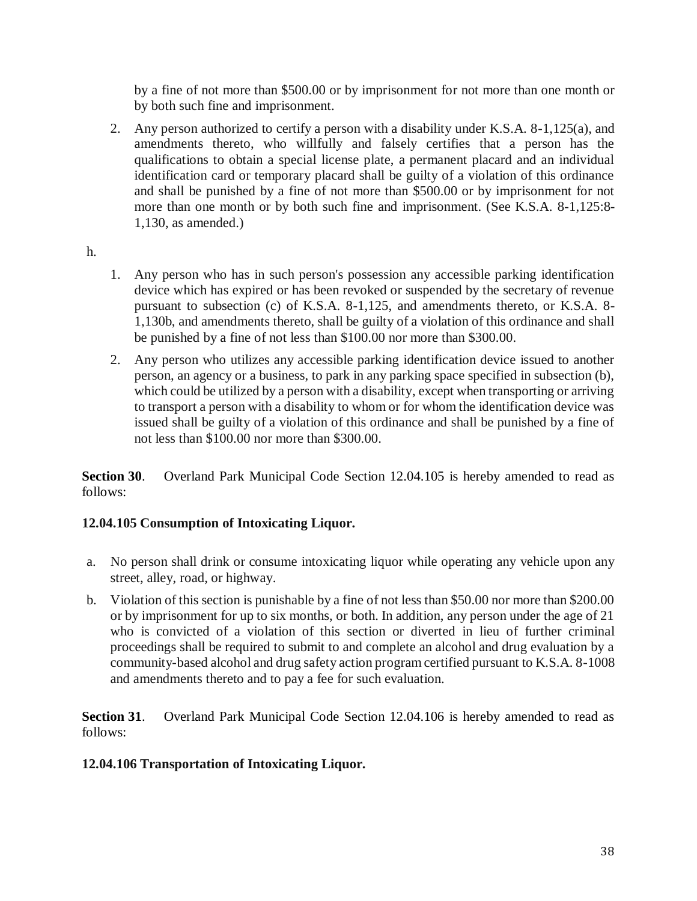by a fine of not more than \$500.00 or by imprisonment for not more than one month or by both such fine and imprisonment.

2. Any person authorized to certify a person with a disability under K.S.A. 8-1,125(a), and amendments thereto, who willfully and falsely certifies that a person has the qualifications to obtain a special license plate, a permanent placard and an individual identification card or temporary placard shall be guilty of a violation of this ordinance and shall be punished by a fine of not more than \$500.00 or by imprisonment for not more than one month or by both such fine and imprisonment. (See K.S.A. 8-1,125:8- 1,130, as amended.)

### h.

- 1. Any person who has in such person's possession any accessible parking identification device which has expired or has been revoked or suspended by the secretary of revenue pursuant to subsection (c) of K.S.A. 8-1,125, and amendments thereto, or K.S.A. 8- 1,130b, and amendments thereto, shall be guilty of a violation of this ordinance and shall be punished by a fine of not less than \$100.00 nor more than \$300.00.
- 2. Any person who utilizes any accessible parking identification device issued to another person, an agency or a business, to park in any parking space specified in subsection (b), which could be utilized by a person with a disability, except when transporting or arriving to transport a person with a disability to whom or for whom the identification device was issued shall be guilty of a violation of this ordinance and shall be punished by a fine of not less than \$100.00 nor more than \$300.00.

**Section 30**. Overland Park Municipal Code Section 12.04.105 is hereby amended to read as follows:

## **12.04.105 Consumption of Intoxicating Liquor.**

- a. No person shall drink or consume intoxicating liquor while operating any vehicle upon any street, alley, road, or highway.
- b. Violation of this section is punishable by a fine of not less than \$50.00 nor more than \$200.00 or by imprisonment for up to six months, or both. In addition, any person under the age of 21 who is convicted of a violation of this section or diverted in lieu of further criminal proceedings shall be required to submit to and complete an alcohol and drug evaluation by a community-based alcohol and drug safety action program certified pursuant to K.S.A. 8-1008 and amendments thereto and to pay a fee for such evaluation.

**Section 31**. Overland Park Municipal Code Section 12.04.106 is hereby amended to read as follows:

## **12.04.106 Transportation of Intoxicating Liquor.**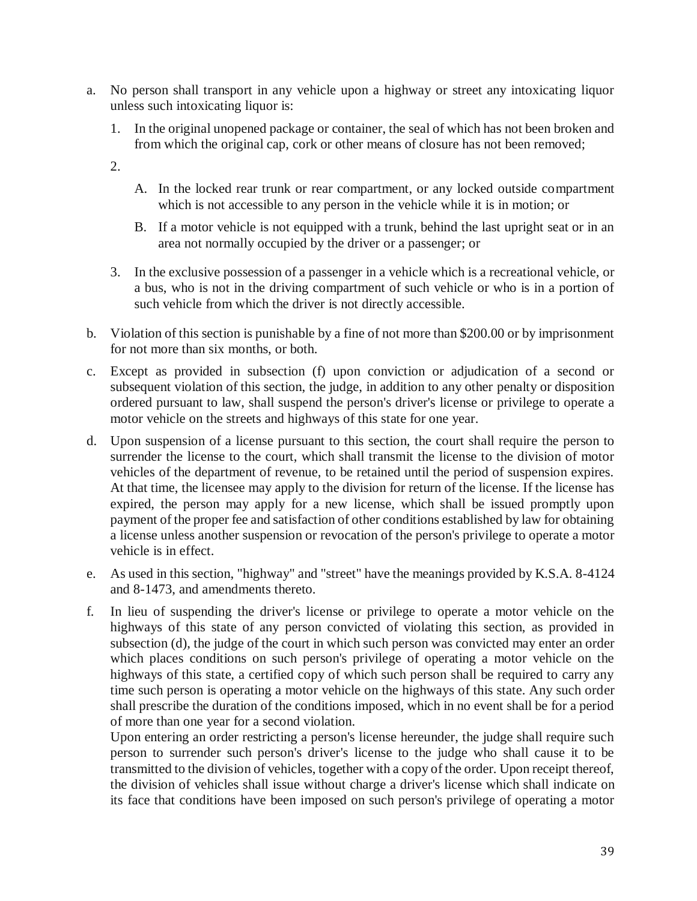- a. No person shall transport in any vehicle upon a highway or street any intoxicating liquor unless such intoxicating liquor is:
	- 1. In the original unopened package or container, the seal of which has not been broken and from which the original cap, cork or other means of closure has not been removed;
	- 2.
- A. In the locked rear trunk or rear compartment, or any locked outside compartment which is not accessible to any person in the vehicle while it is in motion; or
- B. If a motor vehicle is not equipped with a trunk, behind the last upright seat or in an area not normally occupied by the driver or a passenger; or
- 3. In the exclusive possession of a passenger in a vehicle which is a recreational vehicle, or a bus, who is not in the driving compartment of such vehicle or who is in a portion of such vehicle from which the driver is not directly accessible.
- b. Violation of this section is punishable by a fine of not more than \$200.00 or by imprisonment for not more than six months, or both.
- c. Except as provided in subsection (f) upon conviction or adjudication of a second or subsequent violation of this section, the judge, in addition to any other penalty or disposition ordered pursuant to law, shall suspend the person's driver's license or privilege to operate a motor vehicle on the streets and highways of this state for one year.
- d. Upon suspension of a license pursuant to this section, the court shall require the person to surrender the license to the court, which shall transmit the license to the division of motor vehicles of the department of revenue, to be retained until the period of suspension expires. At that time, the licensee may apply to the division for return of the license. If the license has expired, the person may apply for a new license, which shall be issued promptly upon payment of the proper fee and satisfaction of other conditions established by law for obtaining a license unless another suspension or revocation of the person's privilege to operate a motor vehicle is in effect.
- e. As used in this section, "highway" and "street" have the meanings provided by K.S.A. 8-4124 and 8-1473, and amendments thereto.
- f. In lieu of suspending the driver's license or privilege to operate a motor vehicle on the highways of this state of any person convicted of violating this section, as provided in subsection (d), the judge of the court in which such person was convicted may enter an order which places conditions on such person's privilege of operating a motor vehicle on the highways of this state, a certified copy of which such person shall be required to carry any time such person is operating a motor vehicle on the highways of this state. Any such order shall prescribe the duration of the conditions imposed, which in no event shall be for a period of more than one year for a second violation.

Upon entering an order restricting a person's license hereunder, the judge shall require such person to surrender such person's driver's license to the judge who shall cause it to be transmitted to the division of vehicles, together with a copy of the order. Upon receipt thereof, the division of vehicles shall issue without charge a driver's license which shall indicate on its face that conditions have been imposed on such person's privilege of operating a motor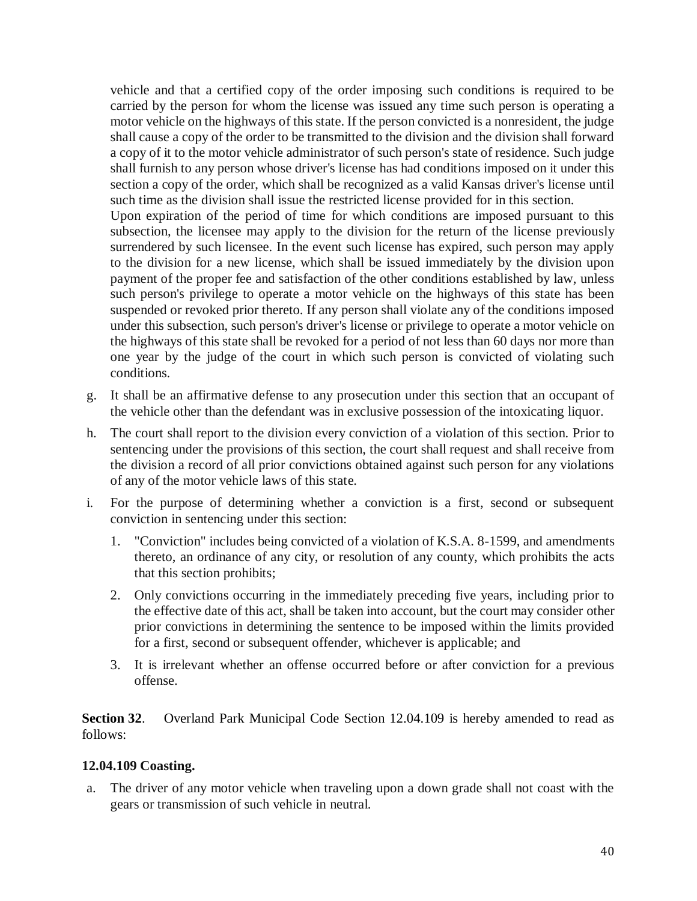vehicle and that a certified copy of the order imposing such conditions is required to be carried by the person for whom the license was issued any time such person is operating a motor vehicle on the highways of this state. If the person convicted is a nonresident, the judge shall cause a copy of the order to be transmitted to the division and the division shall forward a copy of it to the motor vehicle administrator of such person's state of residence. Such judge shall furnish to any person whose driver's license has had conditions imposed on it under this section a copy of the order, which shall be recognized as a valid Kansas driver's license until such time as the division shall issue the restricted license provided for in this section.

Upon expiration of the period of time for which conditions are imposed pursuant to this subsection, the licensee may apply to the division for the return of the license previously surrendered by such licensee. In the event such license has expired, such person may apply to the division for a new license, which shall be issued immediately by the division upon payment of the proper fee and satisfaction of the other conditions established by law, unless such person's privilege to operate a motor vehicle on the highways of this state has been suspended or revoked prior thereto. If any person shall violate any of the conditions imposed under this subsection, such person's driver's license or privilege to operate a motor vehicle on the highways of this state shall be revoked for a period of not less than 60 days nor more than one year by the judge of the court in which such person is convicted of violating such conditions.

- g. It shall be an affirmative defense to any prosecution under this section that an occupant of the vehicle other than the defendant was in exclusive possession of the intoxicating liquor.
- h. The court shall report to the division every conviction of a violation of this section. Prior to sentencing under the provisions of this section, the court shall request and shall receive from the division a record of all prior convictions obtained against such person for any violations of any of the motor vehicle laws of this state.
- i. For the purpose of determining whether a conviction is a first, second or subsequent conviction in sentencing under this section:
	- 1. "Conviction" includes being convicted of a violation of K.S.A. 8-1599, and amendments thereto, an ordinance of any city, or resolution of any county, which prohibits the acts that this section prohibits;
	- 2. Only convictions occurring in the immediately preceding five years, including prior to the effective date of this act, shall be taken into account, but the court may consider other prior convictions in determining the sentence to be imposed within the limits provided for a first, second or subsequent offender, whichever is applicable; and
	- 3. It is irrelevant whether an offense occurred before or after conviction for a previous offense.

**Section 32**. Overland Park Municipal Code Section 12.04.109 is hereby amended to read as follows:

## **12.04.109 Coasting.**

a. The driver of any motor vehicle when traveling upon a down grade shall not coast with the gears or transmission of such vehicle in neutral.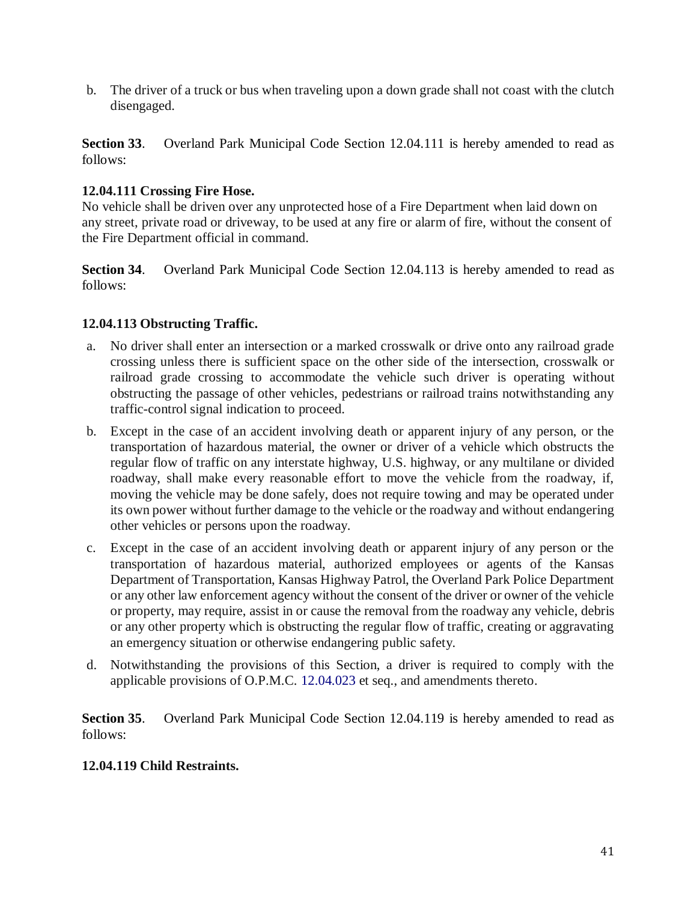b. The driver of a truck or bus when traveling upon a down grade shall not coast with the clutch disengaged.

**Section 33**. Overland Park Municipal Code Section 12.04.111 is hereby amended to read as follows:

### **12.04.111 Crossing Fire Hose.**

No vehicle shall be driven over any unprotected hose of a Fire Department when laid down on any street, private road or driveway, to be used at any fire or alarm of fire, without the consent of the Fire Department official in command.

**Section 34**. Overland Park Municipal Code Section 12.04.113 is hereby amended to read as follows:

## **12.04.113 Obstructing Traffic.**

- a. No driver shall enter an intersection or a marked crosswalk or drive onto any railroad grade crossing unless there is sufficient space on the other side of the intersection, crosswalk or railroad grade crossing to accommodate the vehicle such driver is operating without obstructing the passage of other vehicles, pedestrians or railroad trains notwithstanding any traffic-control signal indication to proceed.
- b. Except in the case of an accident involving death or apparent injury of any person, or the transportation of hazardous material, the owner or driver of a vehicle which obstructs the regular flow of traffic on any interstate highway, U.S. highway, or any multilane or divided roadway, shall make every reasonable effort to move the vehicle from the roadway, if, moving the vehicle may be done safely, does not require towing and may be operated under its own power without further damage to the vehicle or the roadway and without endangering other vehicles or persons upon the roadway.
- c. Except in the case of an accident involving death or apparent injury of any person or the transportation of hazardous material, authorized employees or agents of the Kansas Department of Transportation, Kansas Highway Patrol, the Overland Park Police Department or any other law enforcement agency without the consent of the driver or owner of the vehicle or property, may require, assist in or cause the removal from the roadway any vehicle, debris or any other property which is obstructing the regular flow of traffic, creating or aggravating an emergency situation or otherwise endangering public safety.
- d. Notwithstanding the provisions of this Section, a driver is required to comply with the applicable provisions of O.P.M.C. 12.04.023 et seq., and amendments thereto.

**Section 35.** Overland Park Municipal Code Section 12.04.119 is hereby amended to read as follows:

### **12.04.119 Child Restraints.**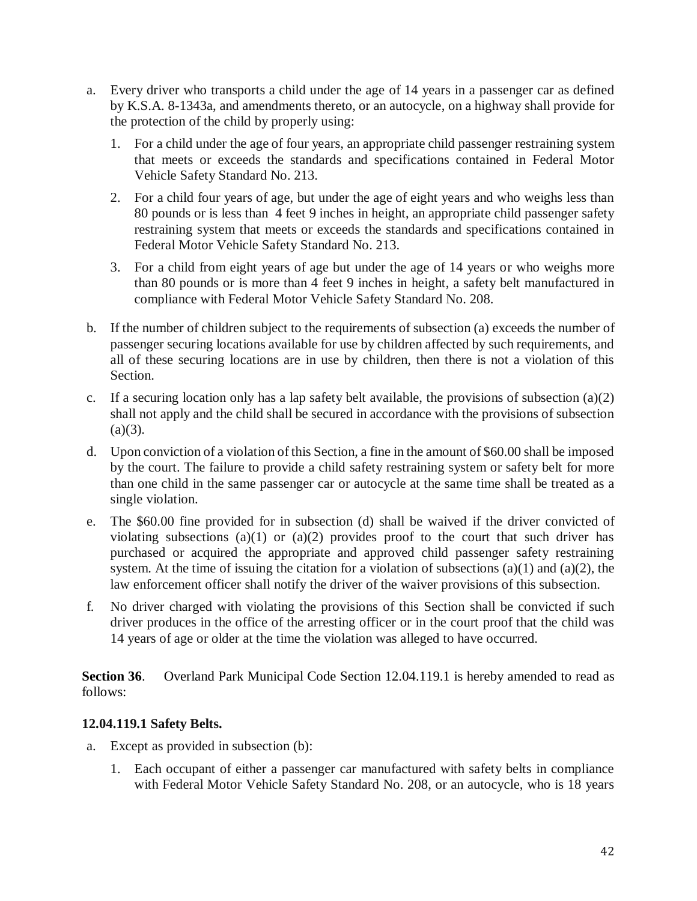- a. Every driver who transports a child under the age of 14 years in a passenger car as defined by K.S.A. 8-1343a, and amendments thereto, or an autocycle, on a highway shall provide for the protection of the child by properly using:
	- 1. For a child under the age of four years, an appropriate child passenger restraining system that meets or exceeds the standards and specifications contained in Federal Motor Vehicle Safety Standard No. 213.
	- 2. For a child four years of age, but under the age of eight years and who weighs less than 80 pounds or is less than 4 feet 9 inches in height, an appropriate child passenger safety restraining system that meets or exceeds the standards and specifications contained in Federal Motor Vehicle Safety Standard No. 213.
	- 3. For a child from eight years of age but under the age of 14 years or who weighs more than 80 pounds or is more than 4 feet 9 inches in height, a safety belt manufactured in compliance with Federal Motor Vehicle Safety Standard No. 208.
- b. If the number of children subject to the requirements of subsection (a) exceeds the number of passenger securing locations available for use by children affected by such requirements, and all of these securing locations are in use by children, then there is not a violation of this Section.
- c. If a securing location only has a lap safety belt available, the provisions of subsection  $(a)(2)$ shall not apply and the child shall be secured in accordance with the provisions of subsection  $(a)(3)$ .
- d. Upon conviction of a violation of this Section, a fine in the amount of \$60.00 shall be imposed by the court. The failure to provide a child safety restraining system or safety belt for more than one child in the same passenger car or autocycle at the same time shall be treated as a single violation.
- e. The \$60.00 fine provided for in subsection (d) shall be waived if the driver convicted of violating subsections (a)(1) or (a)(2) provides proof to the court that such driver has purchased or acquired the appropriate and approved child passenger safety restraining system. At the time of issuing the citation for a violation of subsections  $(a)(1)$  and  $(a)(2)$ , the law enforcement officer shall notify the driver of the waiver provisions of this subsection.
- f. No driver charged with violating the provisions of this Section shall be convicted if such driver produces in the office of the arresting officer or in the court proof that the child was 14 years of age or older at the time the violation was alleged to have occurred.

**Section 36.** Overland Park Municipal Code Section 12.04.119.1 is hereby amended to read as follows:

## **12.04.119.1 Safety Belts.**

- a. Except as provided in subsection (b):
	- 1. Each occupant of either a passenger car manufactured with safety belts in compliance with Federal Motor Vehicle Safety Standard No. 208, or an autocycle, who is 18 years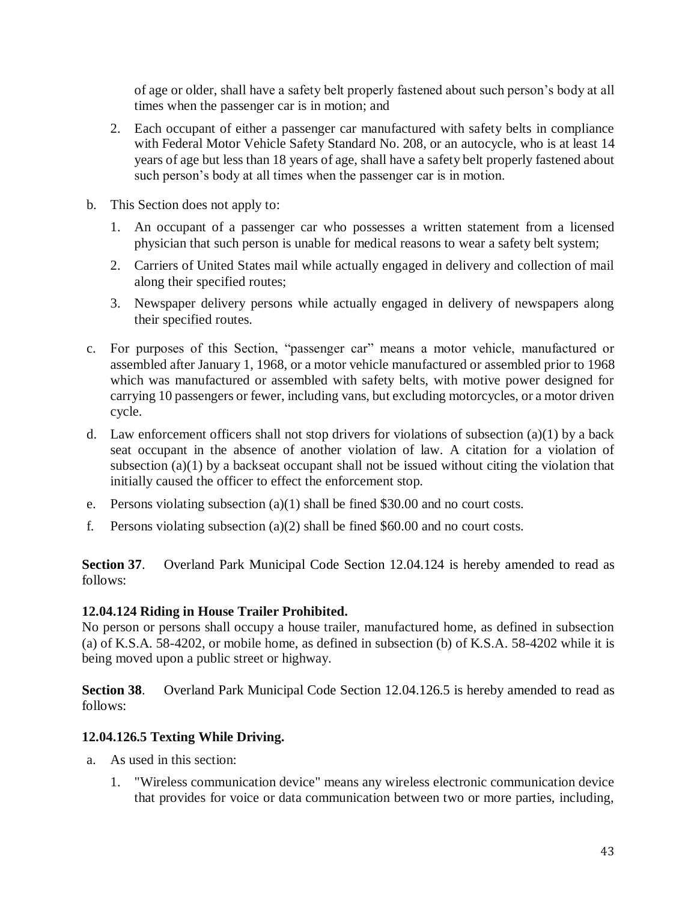of age or older, shall have a safety belt properly fastened about such person's body at all times when the passenger car is in motion; and

- 2. Each occupant of either a passenger car manufactured with safety belts in compliance with Federal Motor Vehicle Safety Standard No. 208, or an autocycle, who is at least 14 years of age but less than 18 years of age, shall have a safety belt properly fastened about such person's body at all times when the passenger car is in motion.
- b. This Section does not apply to:
	- 1. An occupant of a passenger car who possesses a written statement from a licensed physician that such person is unable for medical reasons to wear a safety belt system;
	- 2. Carriers of United States mail while actually engaged in delivery and collection of mail along their specified routes;
	- 3. Newspaper delivery persons while actually engaged in delivery of newspapers along their specified routes.
- c. For purposes of this Section, "passenger car" means a motor vehicle, manufactured or assembled after January 1, 1968, or a motor vehicle manufactured or assembled prior to 1968 which was manufactured or assembled with safety belts, with motive power designed for carrying 10 passengers or fewer, including vans, but excluding motorcycles, or a motor driven cycle.
- d. Law enforcement officers shall not stop drivers for violations of subsection (a)(1) by a back seat occupant in the absence of another violation of law. A citation for a violation of subsection (a)(1) by a backseat occupant shall not be issued without citing the violation that initially caused the officer to effect the enforcement stop.
- e. Persons violating subsection  $(a)(1)$  shall be fined \$30.00 and no court costs.
- f. Persons violating subsection (a)(2) shall be fined  $$60.00$  and no court costs.

**Section 37**. Overland Park Municipal Code Section 12.04.124 is hereby amended to read as follows:

## **12.04.124 Riding in House Trailer Prohibited.**

No person or persons shall occupy a house trailer, manufactured home, as defined in subsection (a) of K.S.A. 58-4202, or mobile home, as defined in subsection (b) of K.S.A. 58-4202 while it is being moved upon a public street or highway.

**Section 38**. Overland Park Municipal Code Section 12.04.126.5 is hereby amended to read as follows:

## **12.04.126.5 Texting While Driving.**

- a. As used in this section:
	- 1. "Wireless communication device" means any wireless electronic communication device that provides for voice or data communication between two or more parties, including,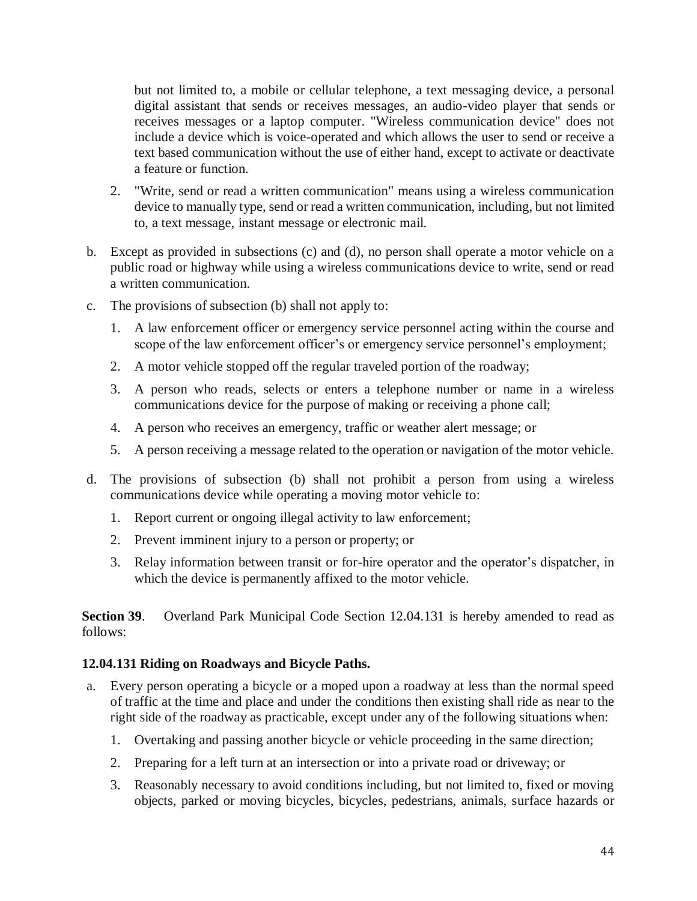but not limited to, a mobile or cellular telephone, a text messaging device, a personal digital assistant that sends or receives messages, an audio-video player that sends or receives messages or a laptop computer. "Wireless communication device" does not include a device which is voice-operated and which allows the user to send or receive a text based communication without the use of either hand, except to activate or deactivate a feature or function.

- 2. "Write, send or read a written communication" means using a wireless communication device to manually type, send or read a written communication, including, but not limited to, a text message, instant message or electronic mail.
- b. Except as provided in subsections (c) and (d), no person shall operate a motor vehicle on a public road or highway while using a wireless communications device to write, send or read a written communication.
- c. The provisions of subsection (b) shall not apply to:
	- 1. A law enforcement officer or emergency service personnel acting within the course and scope of the law enforcement officer's or emergency service personnel's employment;
	- 2. A motor vehicle stopped off the regular traveled portion of the roadway;
	- 3. A person who reads, selects or enters a telephone number or name in a wireless communications device for the purpose of making or receiving a phone call;
	- 4. A person who receives an emergency, traffic or weather alert message; or
	- 5. A person receiving a message related to the operation or navigation of the motor vehicle.
- d. The provisions of subsection (b) shall not prohibit a person from using a wireless communications device while operating a moving motor vehicle to:
	- 1. Report current or ongoing illegal activity to law enforcement;
	- 2. Prevent imminent injury to a person or property; or
	- 3. Relay information between transit or for-hire operator and the operator's dispatcher, in which the device is permanently affixed to the motor vehicle.

**Section 39.** Overland Park Municipal Code Section 12.04.131 is hereby amended to read as follows:

#### **12.04.131 Riding on Roadways and Bicycle Paths.**

- a. Every person operating a bicycle or a moped upon a roadway at less than the normal speed of traffic at the time and place and under the conditions then existing shall ride as near to the right side of the roadway as practicable, except under any of the following situations when:
	- 1. Overtaking and passing another bicycle or vehicle proceeding in the same direction;
	- 2. Preparing for a left turn at an intersection or into a private road or driveway; or
	- 3. Reasonably necessary to avoid conditions including, but not limited to, fixed or moving objects, parked or moving bicycles, bicycles, pedestrians, animals, surface hazards or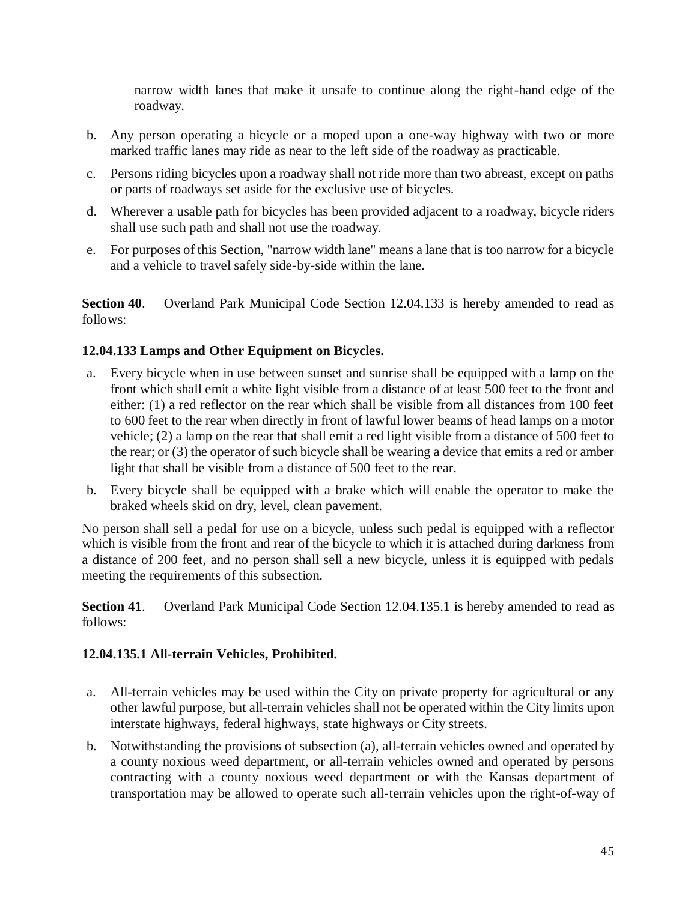narrow width lanes that make it unsafe to continue along the right-hand edge of the roadway.

- b. Any person operating a bicycle or a moped upon a one-way highway with two or more marked traffic lanes may ride as near to the left side of the roadway as practicable.
- c. Persons riding bicycles upon a roadway shall not ride more than two abreast, except on paths or parts of roadways set aside for the exclusive use of bicycles.
- d. Wherever a usable path for bicycles has been provided adjacent to a roadway, bicycle riders shall use such path and shall not use the roadway.
- e. For purposes of this Section, "narrow width lane" means a lane that is too narrow for a bicycle and a vehicle to travel safely side-by-side within the lane.

**Section 40**. Overland Park Municipal Code Section 12.04.133 is hereby amended to read as follows:

# **12.04.133 Lamps and Other Equipment on Bicycles.**

- a. Every bicycle when in use between sunset and sunrise shall be equipped with a lamp on the front which shall emit a white light visible from a distance of at least 500 feet to the front and either: (1) a red reflector on the rear which shall be visible from all distances from 100 feet to 600 feet to the rear when directly in front of lawful lower beams of head lamps on a motor vehicle; (2) a lamp on the rear that shall emit a red light visible from a distance of 500 feet to the rear; or (3) the operator of such bicycle shall be wearing a device that emits a red or amber light that shall be visible from a distance of 500 feet to the rear.
- b. Every bicycle shall be equipped with a brake which will enable the operator to make the braked wheels skid on dry, level, clean pavement.

No person shall sell a pedal for use on a bicycle, unless such pedal is equipped with a reflector which is visible from the front and rear of the bicycle to which it is attached during darkness from a distance of 200 feet, and no person shall sell a new bicycle, unless it is equipped with pedals meeting the requirements of this subsection.

**Section 41**. Overland Park Municipal Code Section 12.04.135.1 is hereby amended to read as follows:

## **12.04.135.1 All-terrain Vehicles, Prohibited.**

- a. All-terrain vehicles may be used within the City on private property for agricultural or any other lawful purpose, but all-terrain vehicles shall not be operated within the City limits upon interstate highways, federal highways, state highways or City streets.
- b. Notwithstanding the provisions of subsection (a), all-terrain vehicles owned and operated by a county noxious weed department, or all-terrain vehicles owned and operated by persons contracting with a county noxious weed department or with the Kansas department of transportation may be allowed to operate such all-terrain vehicles upon the right-of-way of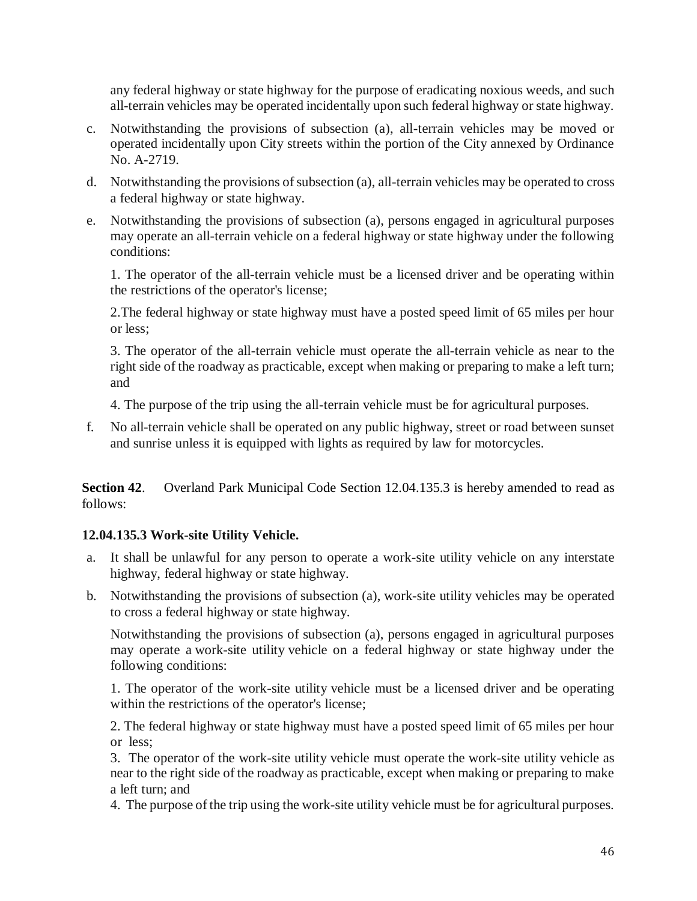any federal highway or state highway for the purpose of eradicating noxious weeds, and such all-terrain vehicles may be operated incidentally upon such federal highway or state highway.

- c. Notwithstanding the provisions of subsection (a), all-terrain vehicles may be moved or operated incidentally upon City streets within the portion of the City annexed by Ordinance No. A-2719.
- d. Notwithstanding the provisions of subsection (a), all-terrain vehicles may be operated to cross a federal highway or state highway.
- e. Notwithstanding the provisions of subsection (a), persons engaged in agricultural purposes may operate an all-terrain vehicle on a federal highway or state highway under the following conditions:

1. The operator of the all-terrain vehicle must be a licensed driver and be operating within the restrictions of the operator's license;

2.The federal highway or state highway must have a posted speed limit of 65 miles per hour or less;

3. The operator of the all-terrain vehicle must operate the all-terrain vehicle as near to the right side of the roadway as practicable, except when making or preparing to make a left turn; and

4. The purpose of the trip using the all-terrain vehicle must be for agricultural purposes.

f. No all-terrain vehicle shall be operated on any public highway, street or road between sunset and sunrise unless it is equipped with lights as required by law for motorcycles.

**Section 42**. Overland Park Municipal Code Section 12.04.135.3 is hereby amended to read as follows:

## **12.04.135.3 Work-site Utility Vehicle.**

- a. It shall be unlawful for any person to operate a work-site utility vehicle on any interstate highway, federal highway or state highway.
- b. Notwithstanding the provisions of subsection (a), work-site utility vehicles may be operated to cross a federal highway or state highway.

Notwithstanding the provisions of subsection (a), persons engaged in agricultural purposes may operate a work-site utility vehicle on a federal highway or state highway under the following conditions:

1. The operator of the work-site utility vehicle must be a licensed driver and be operating within the restrictions of the operator's license;

2. The federal highway or state highway must have a posted speed limit of 65 miles per hour or less;

3. The operator of the work-site utility vehicle must operate the work-site utility vehicle as near to the right side of the roadway as practicable, except when making or preparing to make a left turn; and

4. The purpose of the trip using the work-site utility vehicle must be for agricultural purposes.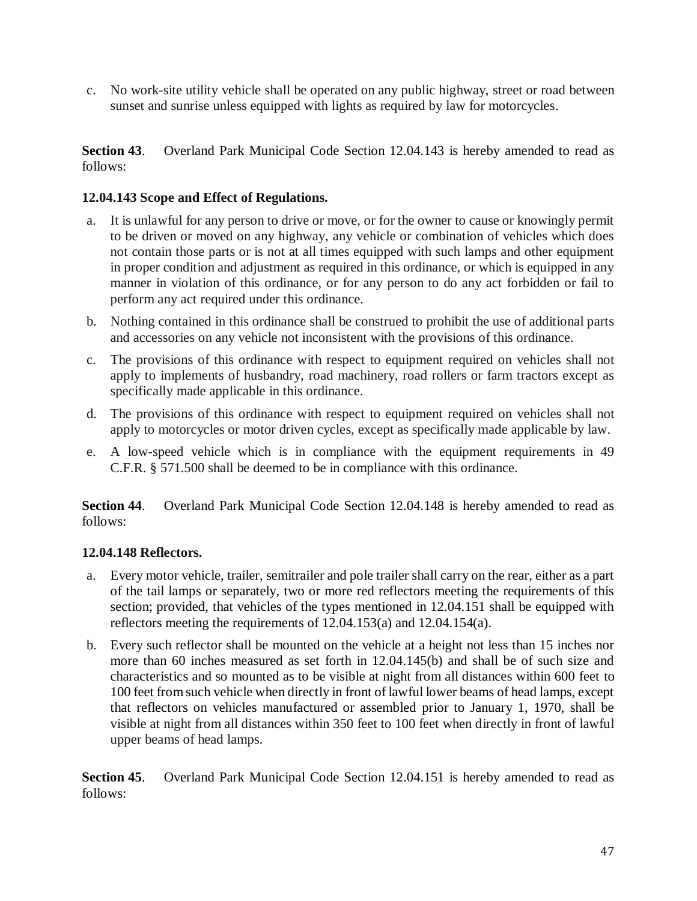c. No work-site utility vehicle shall be operated on any public highway, street or road between sunset and sunrise unless equipped with lights as required by law for motorcycles.

**Section 43**. Overland Park Municipal Code Section 12.04.143 is hereby amended to read as follows:

## **12.04.143 Scope and Effect of Regulations.**

- a. It is unlawful for any person to drive or move, or for the owner to cause or knowingly permit to be driven or moved on any highway, any vehicle or combination of vehicles which does not contain those parts or is not at all times equipped with such lamps and other equipment in proper condition and adjustment as required in this ordinance, or which is equipped in any manner in violation of this ordinance, or for any person to do any act forbidden or fail to perform any act required under this ordinance.
- b. Nothing contained in this ordinance shall be construed to prohibit the use of additional parts and accessories on any vehicle not inconsistent with the provisions of this ordinance.
- c. The provisions of this ordinance with respect to equipment required on vehicles shall not apply to implements of husbandry, road machinery, road rollers or farm tractors except as specifically made applicable in this ordinance.
- d. The provisions of this ordinance with respect to equipment required on vehicles shall not apply to motorcycles or motor driven cycles, except as specifically made applicable by law.
- e. A low-speed vehicle which is in compliance with the equipment requirements in 49 C.F.R. § 571.500 shall be deemed to be in compliance with this ordinance.

**Section 44**. Overland Park Municipal Code Section 12.04.148 is hereby amended to read as follows:

#### **12.04.148 Reflectors.**

- a. Every motor vehicle, trailer, semitrailer and pole trailer shall carry on the rear, either as a part of the tail lamps or separately, two or more red reflectors meeting the requirements of this section; provided, that vehicles of the types mentioned in 12.04.151 shall be equipped with reflectors meeting the requirements of 12.04.153(a) and 12.04.154(a).
- b. Every such reflector shall be mounted on the vehicle at a height not less than 15 inches nor more than 60 inches measured as set forth in 12.04.145(b) and shall be of such size and characteristics and so mounted as to be visible at night from all distances within 600 feet to 100 feet from such vehicle when directly in front of lawful lower beams of head lamps, except that reflectors on vehicles manufactured or assembled prior to January 1, 1970, shall be visible at night from all distances within 350 feet to 100 feet when directly in front of lawful upper beams of head lamps.

**Section 45.** Overland Park Municipal Code Section 12.04.151 is hereby amended to read as follows: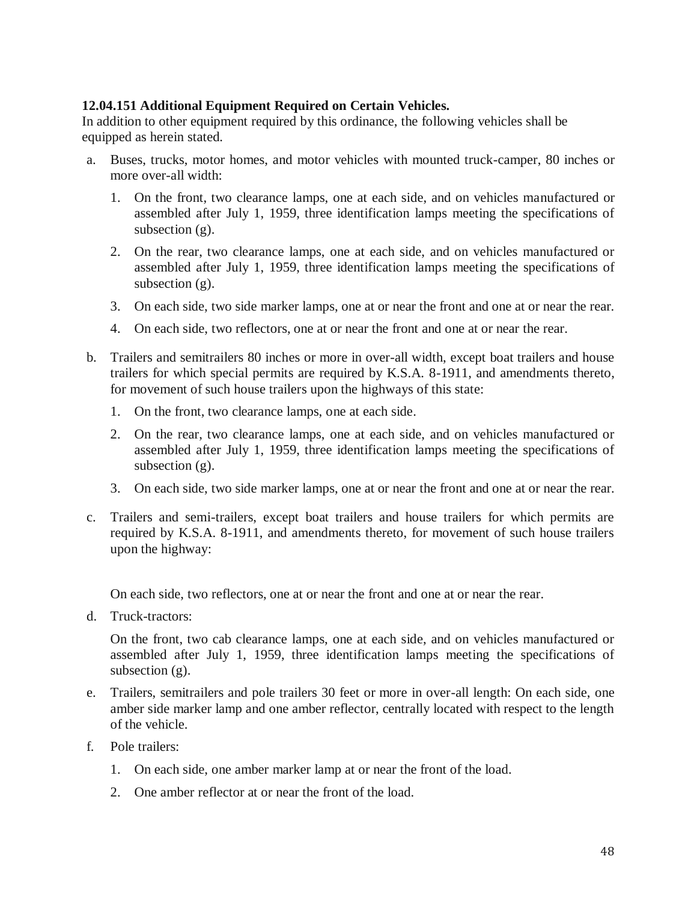## **12.04.151 Additional Equipment Required on Certain Vehicles.**

In addition to other equipment required by this ordinance, the following vehicles shall be equipped as herein stated.

- a. Buses, trucks, motor homes, and motor vehicles with mounted truck-camper, 80 inches or more over-all width:
	- 1. On the front, two clearance lamps, one at each side, and on vehicles manufactured or assembled after July 1, 1959, three identification lamps meeting the specifications of subsection  $(g)$ .
	- 2. On the rear, two clearance lamps, one at each side, and on vehicles manufactured or assembled after July 1, 1959, three identification lamps meeting the specifications of subsection  $(g)$ .
	- 3. On each side, two side marker lamps, one at or near the front and one at or near the rear.
	- 4. On each side, two reflectors, one at or near the front and one at or near the rear.
- b. Trailers and semitrailers 80 inches or more in over-all width, except boat trailers and house trailers for which special permits are required by K.S.A. 8-1911, and amendments thereto, for movement of such house trailers upon the highways of this state:
	- 1. On the front, two clearance lamps, one at each side.
	- 2. On the rear, two clearance lamps, one at each side, and on vehicles manufactured or assembled after July 1, 1959, three identification lamps meeting the specifications of subsection (g).
	- 3. On each side, two side marker lamps, one at or near the front and one at or near the rear.
- c. Trailers and semi-trailers, except boat trailers and house trailers for which permits are required by K.S.A. 8-1911, and amendments thereto, for movement of such house trailers upon the highway:

On each side, two reflectors, one at or near the front and one at or near the rear.

d. Truck-tractors:

On the front, two cab clearance lamps, one at each side, and on vehicles manufactured or assembled after July 1, 1959, three identification lamps meeting the specifications of subsection (g).

- e. Trailers, semitrailers and pole trailers 30 feet or more in over-all length: On each side, one amber side marker lamp and one amber reflector, centrally located with respect to the length of the vehicle.
- f. Pole trailers:
	- 1. On each side, one amber marker lamp at or near the front of the load.
	- 2. One amber reflector at or near the front of the load.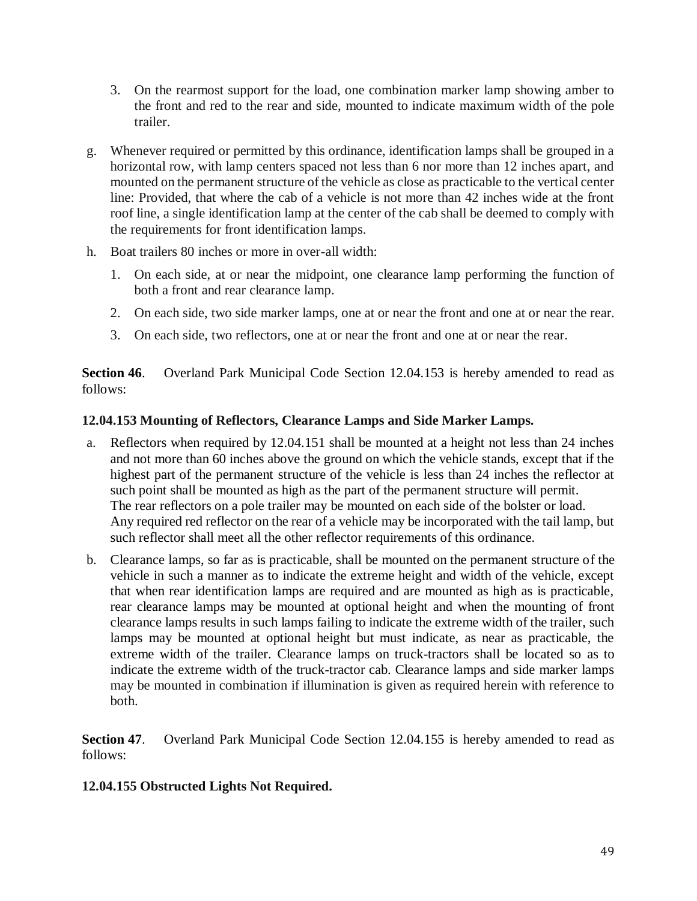- 3. On the rearmost support for the load, one combination marker lamp showing amber to the front and red to the rear and side, mounted to indicate maximum width of the pole trailer.
- g. Whenever required or permitted by this ordinance, identification lamps shall be grouped in a horizontal row, with lamp centers spaced not less than 6 nor more than 12 inches apart, and mounted on the permanent structure of the vehicle as close as practicable to the vertical center line: Provided, that where the cab of a vehicle is not more than 42 inches wide at the front roof line, a single identification lamp at the center of the cab shall be deemed to comply with the requirements for front identification lamps.
- h. Boat trailers 80 inches or more in over-all width:
	- 1. On each side, at or near the midpoint, one clearance lamp performing the function of both a front and rear clearance lamp.
	- 2. On each side, two side marker lamps, one at or near the front and one at or near the rear.
	- 3. On each side, two reflectors, one at or near the front and one at or near the rear.

**Section 46.** Overland Park Municipal Code Section 12.04.153 is hereby amended to read as follows:

### **12.04.153 Mounting of Reflectors, Clearance Lamps and Side Marker Lamps.**

- a. Reflectors when required by 12.04.151 shall be mounted at a height not less than 24 inches and not more than 60 inches above the ground on which the vehicle stands, except that if the highest part of the permanent structure of the vehicle is less than 24 inches the reflector at such point shall be mounted as high as the part of the permanent structure will permit. The rear reflectors on a pole trailer may be mounted on each side of the bolster or load. Any required red reflector on the rear of a vehicle may be incorporated with the tail lamp, but such reflector shall meet all the other reflector requirements of this ordinance.
- b. Clearance lamps, so far as is practicable, shall be mounted on the permanent structure of the vehicle in such a manner as to indicate the extreme height and width of the vehicle, except that when rear identification lamps are required and are mounted as high as is practicable, rear clearance lamps may be mounted at optional height and when the mounting of front clearance lamps results in such lamps failing to indicate the extreme width of the trailer, such lamps may be mounted at optional height but must indicate, as near as practicable, the extreme width of the trailer. Clearance lamps on truck-tractors shall be located so as to indicate the extreme width of the truck-tractor cab. Clearance lamps and side marker lamps may be mounted in combination if illumination is given as required herein with reference to both.

**Section 47.** Overland Park Municipal Code Section 12.04.155 is hereby amended to read as follows:

## **12.04.155 Obstructed Lights Not Required.**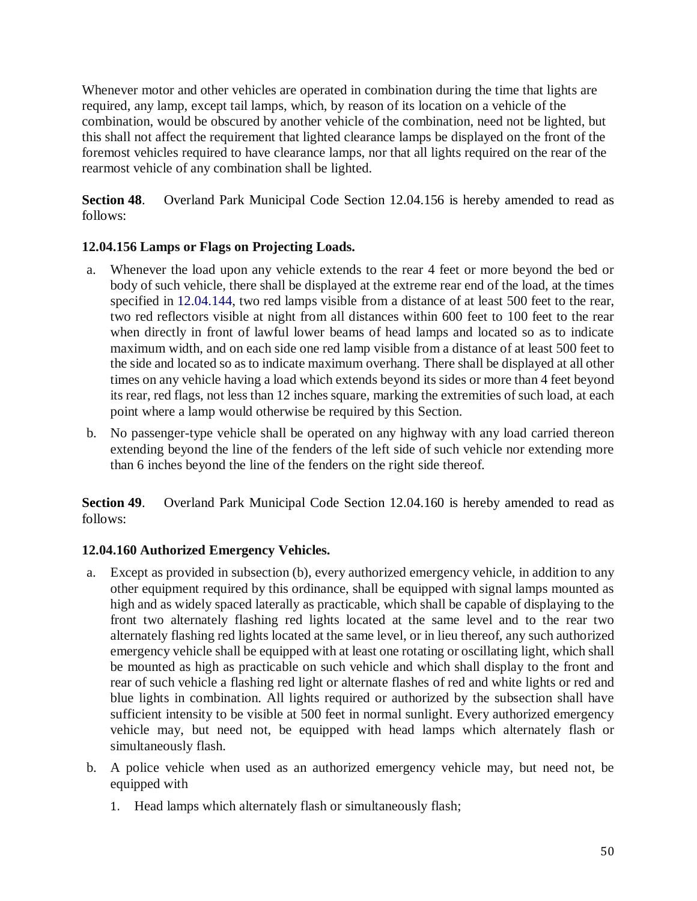Whenever motor and other vehicles are operated in combination during the time that lights are required, any lamp, except tail lamps, which, by reason of its location on a vehicle of the combination, would be obscured by another vehicle of the combination, need not be lighted, but this shall not affect the requirement that lighted clearance lamps be displayed on the front of the foremost vehicles required to have clearance lamps, nor that all lights required on the rear of the rearmost vehicle of any combination shall be lighted.

**Section 48**. Overland Park Municipal Code Section 12.04.156 is hereby amended to read as follows:

# **12.04.156 Lamps or Flags on Projecting Loads.**

- a. Whenever the load upon any vehicle extends to the rear 4 feet or more beyond the bed or body of such vehicle, there shall be displayed at the extreme rear end of the load, at the times specified in 12.04.144, two red lamps visible from a distance of at least 500 feet to the rear, two red reflectors visible at night from all distances within 600 feet to 100 feet to the rear when directly in front of lawful lower beams of head lamps and located so as to indicate maximum width, and on each side one red lamp visible from a distance of at least 500 feet to the side and located so as to indicate maximum overhang. There shall be displayed at all other times on any vehicle having a load which extends beyond its sides or more than 4 feet beyond its rear, red flags, not less than 12 inches square, marking the extremities of such load, at each point where a lamp would otherwise be required by this Section.
- b. No passenger-type vehicle shall be operated on any highway with any load carried thereon extending beyond the line of the fenders of the left side of such vehicle nor extending more than 6 inches beyond the line of the fenders on the right side thereof.

**Section 49.** Overland Park Municipal Code Section 12.04.160 is hereby amended to read as follows:

## **12.04.160 Authorized Emergency Vehicles.**

- a. Except as provided in subsection (b), every authorized emergency vehicle, in addition to any other equipment required by this ordinance, shall be equipped with signal lamps mounted as high and as widely spaced laterally as practicable, which shall be capable of displaying to the front two alternately flashing red lights located at the same level and to the rear two alternately flashing red lights located at the same level, or in lieu thereof, any such authorized emergency vehicle shall be equipped with at least one rotating or oscillating light, which shall be mounted as high as practicable on such vehicle and which shall display to the front and rear of such vehicle a flashing red light or alternate flashes of red and white lights or red and blue lights in combination. All lights required or authorized by the subsection shall have sufficient intensity to be visible at 500 feet in normal sunlight. Every authorized emergency vehicle may, but need not, be equipped with head lamps which alternately flash or simultaneously flash.
- b. A police vehicle when used as an authorized emergency vehicle may, but need not, be equipped with
	- 1. Head lamps which alternately flash or simultaneously flash;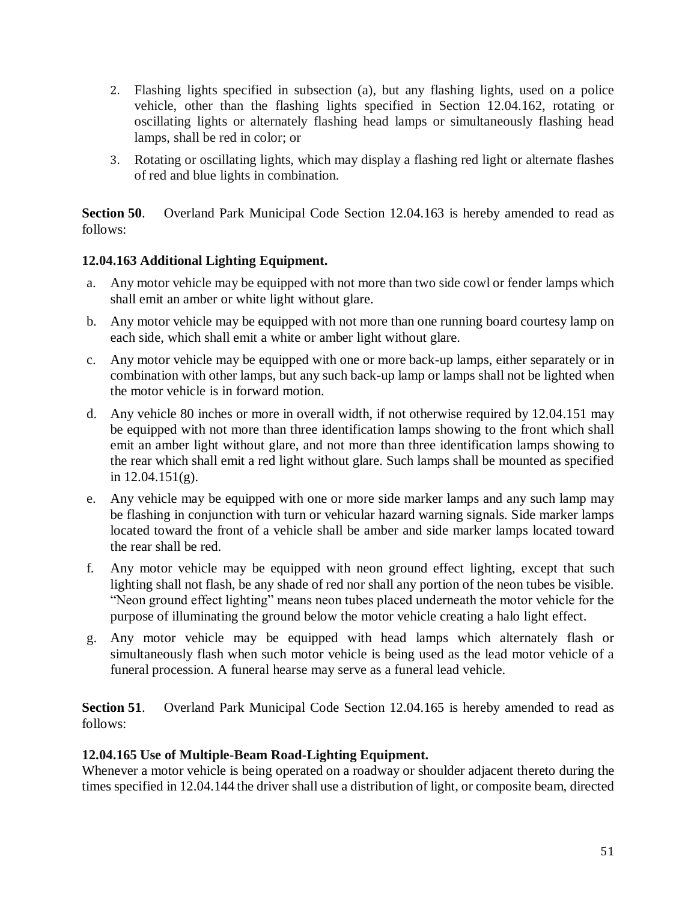- 2. Flashing lights specified in subsection (a), but any flashing lights, used on a police vehicle, other than the flashing lights specified in Section 12.04.162, rotating or oscillating lights or alternately flashing head lamps or simultaneously flashing head lamps, shall be red in color; or
- 3. Rotating or oscillating lights, which may display a flashing red light or alternate flashes of red and blue lights in combination.

**Section 50.** Overland Park Municipal Code Section 12.04.163 is hereby amended to read as follows:

## **12.04.163 Additional Lighting Equipment.**

- a. Any motor vehicle may be equipped with not more than two side cowl or fender lamps which shall emit an amber or white light without glare.
- b. Any motor vehicle may be equipped with not more than one running board courtesy lamp on each side, which shall emit a white or amber light without glare.
- c. Any motor vehicle may be equipped with one or more back-up lamps, either separately or in combination with other lamps, but any such back-up lamp or lamps shall not be lighted when the motor vehicle is in forward motion.
- d. Any vehicle 80 inches or more in overall width, if not otherwise required by 12.04.151 may be equipped with not more than three identification lamps showing to the front which shall emit an amber light without glare, and not more than three identification lamps showing to the rear which shall emit a red light without glare. Such lamps shall be mounted as specified in  $12.04.151(g)$ .
- e. Any vehicle may be equipped with one or more side marker lamps and any such lamp may be flashing in conjunction with turn or vehicular hazard warning signals. Side marker lamps located toward the front of a vehicle shall be amber and side marker lamps located toward the rear shall be red.
- f. Any motor vehicle may be equipped with neon ground effect lighting, except that such lighting shall not flash, be any shade of red nor shall any portion of the neon tubes be visible. "Neon ground effect lighting" means neon tubes placed underneath the motor vehicle for the purpose of illuminating the ground below the motor vehicle creating a halo light effect.
- g. Any motor vehicle may be equipped with head lamps which alternately flash or simultaneously flash when such motor vehicle is being used as the lead motor vehicle of a funeral procession. A funeral hearse may serve as a funeral lead vehicle.

**Section 51.** Overland Park Municipal Code Section 12.04.165 is hereby amended to read as follows:

## **12.04.165 Use of Multiple-Beam Road-Lighting Equipment.**

Whenever a motor vehicle is being operated on a roadway or shoulder adjacent thereto during the times specified in 12.04.144 the driver shall use a distribution of light, or composite beam, directed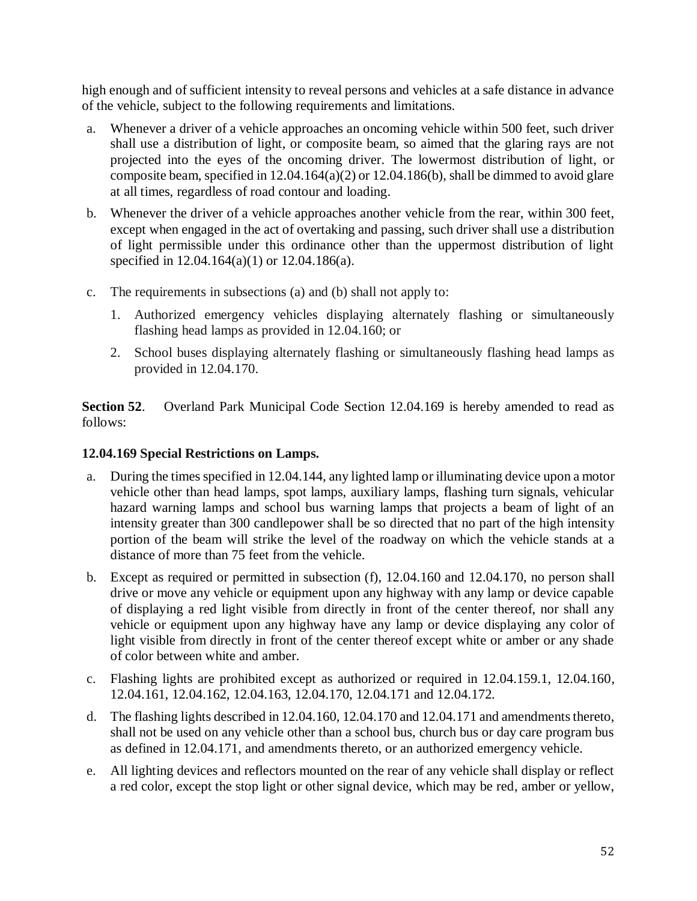high enough and of sufficient intensity to reveal persons and vehicles at a safe distance in advance of the vehicle, subject to the following requirements and limitations.

- a. Whenever a driver of a vehicle approaches an oncoming vehicle within 500 feet, such driver shall use a distribution of light, or composite beam, so aimed that the glaring rays are not projected into the eyes of the oncoming driver. The lowermost distribution of light, or composite beam, specified in 12.04.164(a)(2) or 12.04.186(b), shall be dimmed to avoid glare at all times, regardless of road contour and loading.
- b. Whenever the driver of a vehicle approaches another vehicle from the rear, within 300 feet, except when engaged in the act of overtaking and passing, such driver shall use a distribution of light permissible under this ordinance other than the uppermost distribution of light specified in 12.04.164(a)(1) or 12.04.186(a).
- c. The requirements in subsections (a) and (b) shall not apply to:
	- 1. Authorized emergency vehicles displaying alternately flashing or simultaneously flashing head lamps as provided in 12.04.160; or
	- 2. School buses displaying alternately flashing or simultaneously flashing head lamps as provided in 12.04.170.

**Section 52**. Overland Park Municipal Code Section 12.04.169 is hereby amended to read as follows:

### **12.04.169 Special Restrictions on Lamps.**

- a. During the times specified in 12.04.144, any lighted lamp or illuminating device upon a motor vehicle other than head lamps, spot lamps, auxiliary lamps, flashing turn signals, vehicular hazard warning lamps and school bus warning lamps that projects a beam of light of an intensity greater than 300 candlepower shall be so directed that no part of the high intensity portion of the beam will strike the level of the roadway on which the vehicle stands at a distance of more than 75 feet from the vehicle.
- b. Except as required or permitted in subsection (f), 12.04.160 and 12.04.170, no person shall drive or move any vehicle or equipment upon any highway with any lamp or device capable of displaying a red light visible from directly in front of the center thereof, nor shall any vehicle or equipment upon any highway have any lamp or device displaying any color of light visible from directly in front of the center thereof except white or amber or any shade of color between white and amber.
- c. Flashing lights are prohibited except as authorized or required in 12.04.159.1, 12.04.160, 12.04.161, 12.04.162, 12.04.163, 12.04.170, 12.04.171 and 12.04.172.
- d. The flashing lights described in 12.04.160, 12.04.170 and 12.04.171 and amendments thereto, shall not be used on any vehicle other than a school bus, church bus or day care program bus as defined in 12.04.171, and amendments thereto, or an authorized emergency vehicle.
- e. All lighting devices and reflectors mounted on the rear of any vehicle shall display or reflect a red color, except the stop light or other signal device, which may be red, amber or yellow,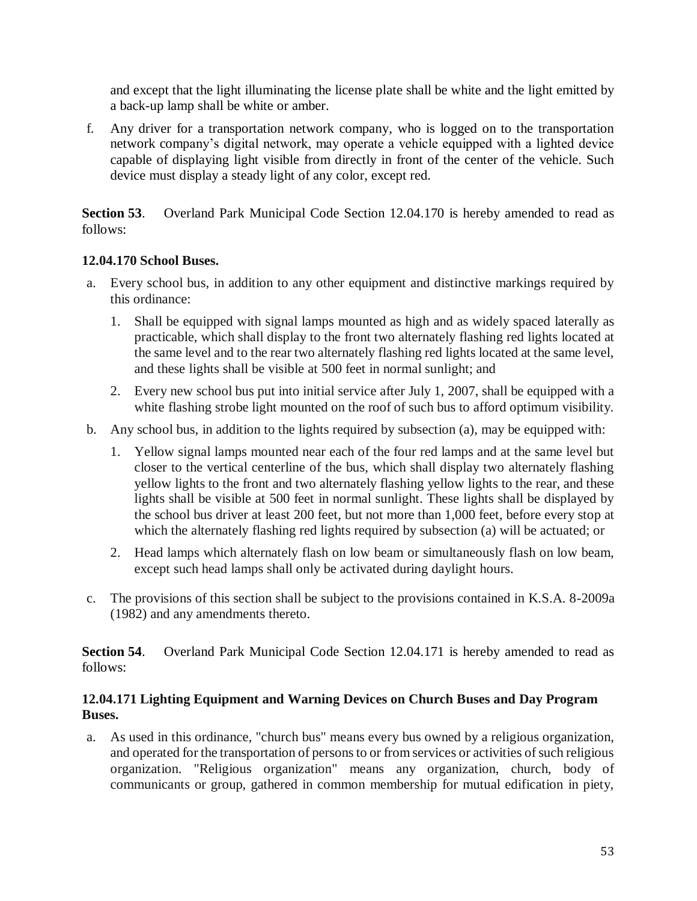and except that the light illuminating the license plate shall be white and the light emitted by a back-up lamp shall be white or amber.

f. Any driver for a transportation network company, who is logged on to the transportation network company's digital network, may operate a vehicle equipped with a lighted device capable of displaying light visible from directly in front of the center of the vehicle. Such device must display a steady light of any color, except red.

**Section 53**. Overland Park Municipal Code Section 12.04.170 is hereby amended to read as follows:

## **12.04.170 School Buses.**

- a. Every school bus, in addition to any other equipment and distinctive markings required by this ordinance:
	- 1. Shall be equipped with signal lamps mounted as high and as widely spaced laterally as practicable, which shall display to the front two alternately flashing red lights located at the same level and to the rear two alternately flashing red lights located at the same level, and these lights shall be visible at 500 feet in normal sunlight; and
	- 2. Every new school bus put into initial service after July 1, 2007, shall be equipped with a white flashing strobe light mounted on the roof of such bus to afford optimum visibility.
- b. Any school bus, in addition to the lights required by subsection (a), may be equipped with:
	- 1. Yellow signal lamps mounted near each of the four red lamps and at the same level but closer to the vertical centerline of the bus, which shall display two alternately flashing yellow lights to the front and two alternately flashing yellow lights to the rear, and these lights shall be visible at 500 feet in normal sunlight. These lights shall be displayed by the school bus driver at least 200 feet, but not more than 1,000 feet, before every stop at which the alternately flashing red lights required by subsection (a) will be actuated; or
	- 2. Head lamps which alternately flash on low beam or simultaneously flash on low beam, except such head lamps shall only be activated during daylight hours.
- c. The provisions of this section shall be subject to the provisions contained in K.S.A. 8-2009a (1982) and any amendments thereto.

**Section 54**. Overland Park Municipal Code Section 12.04.171 is hereby amended to read as follows:

## **12.04.171 Lighting Equipment and Warning Devices on Church Buses and Day Program Buses.**

a. As used in this ordinance, "church bus" means every bus owned by a religious organization, and operated for the transportation of persons to or from services or activities of such religious organization. "Religious organization" means any organization, church, body of communicants or group, gathered in common membership for mutual edification in piety,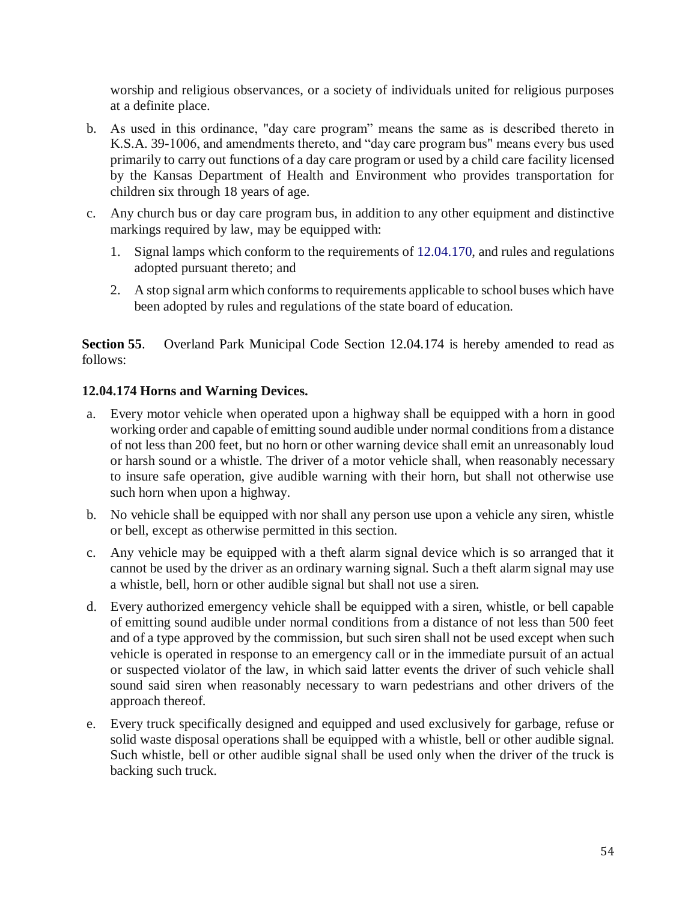worship and religious observances, or a society of individuals united for religious purposes at a definite place.

- b. As used in this ordinance, "day care program" means the same as is described thereto in K.S.A. 39-1006, and amendments thereto, and "day care program bus" means every bus used primarily to carry out functions of a day care program or used by a child care facility licensed by the Kansas Department of Health and Environment who provides transportation for children six through 18 years of age.
- c. Any church bus or day care program bus, in addition to any other equipment and distinctive markings required by law, may be equipped with:
	- 1. Signal lamps which conform to the requirements of 12.04.170, and rules and regulations adopted pursuant thereto; and
	- 2. A stop signal arm which conforms to requirements applicable to school buses which have been adopted by rules and regulations of the state board of education.

**Section 55**. Overland Park Municipal Code Section 12.04.174 is hereby amended to read as follows:

## **12.04.174 Horns and Warning Devices.**

- a. Every motor vehicle when operated upon a highway shall be equipped with a horn in good working order and capable of emitting sound audible under normal conditions from a distance of not less than 200 feet, but no horn or other warning device shall emit an unreasonably loud or harsh sound or a whistle. The driver of a motor vehicle shall, when reasonably necessary to insure safe operation, give audible warning with their horn, but shall not otherwise use such horn when upon a highway.
- b. No vehicle shall be equipped with nor shall any person use upon a vehicle any siren, whistle or bell, except as otherwise permitted in this section.
- c. Any vehicle may be equipped with a theft alarm signal device which is so arranged that it cannot be used by the driver as an ordinary warning signal. Such a theft alarm signal may use a whistle, bell, horn or other audible signal but shall not use a siren.
- d. Every authorized emergency vehicle shall be equipped with a siren, whistle, or bell capable of emitting sound audible under normal conditions from a distance of not less than 500 feet and of a type approved by the commission, but such siren shall not be used except when such vehicle is operated in response to an emergency call or in the immediate pursuit of an actual or suspected violator of the law, in which said latter events the driver of such vehicle shall sound said siren when reasonably necessary to warn pedestrians and other drivers of the approach thereof.
- e. Every truck specifically designed and equipped and used exclusively for garbage, refuse or solid waste disposal operations shall be equipped with a whistle, bell or other audible signal. Such whistle, bell or other audible signal shall be used only when the driver of the truck is backing such truck.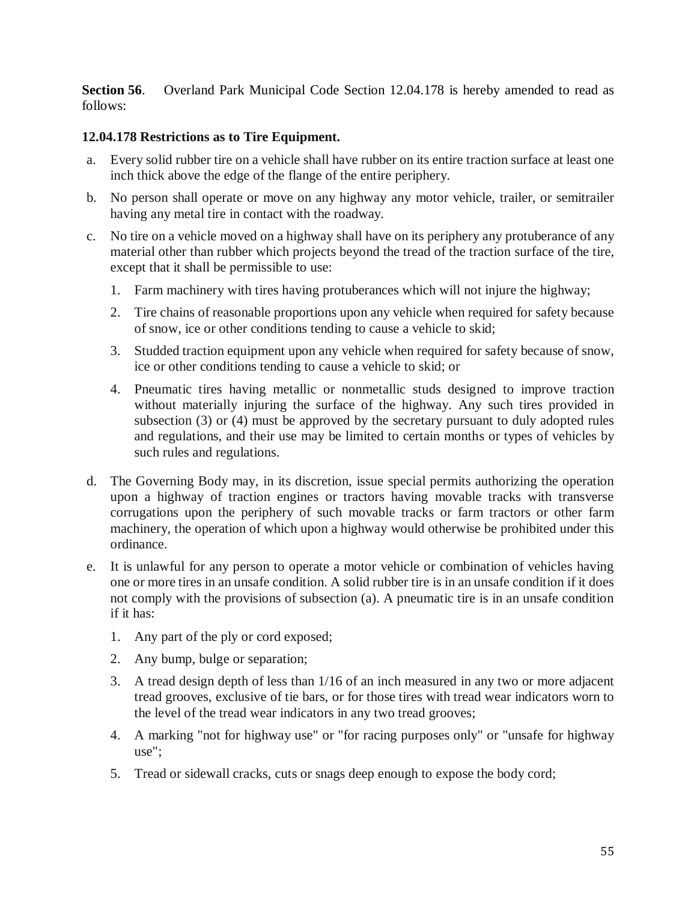**Section 56.** Overland Park Municipal Code Section 12.04.178 is hereby amended to read as follows:

## **12.04.178 Restrictions as to Tire Equipment.**

- a. Every solid rubber tire on a vehicle shall have rubber on its entire traction surface at least one inch thick above the edge of the flange of the entire periphery.
- b. No person shall operate or move on any highway any motor vehicle, trailer, or semitrailer having any metal tire in contact with the roadway.
- c. No tire on a vehicle moved on a highway shall have on its periphery any protuberance of any material other than rubber which projects beyond the tread of the traction surface of the tire, except that it shall be permissible to use:
	- 1. Farm machinery with tires having protuberances which will not injure the highway;
	- 2. Tire chains of reasonable proportions upon any vehicle when required for safety because of snow, ice or other conditions tending to cause a vehicle to skid;
	- 3. Studded traction equipment upon any vehicle when required for safety because of snow, ice or other conditions tending to cause a vehicle to skid; or
	- 4. Pneumatic tires having metallic or nonmetallic studs designed to improve traction without materially injuring the surface of the highway. Any such tires provided in subsection (3) or (4) must be approved by the secretary pursuant to duly adopted rules and regulations, and their use may be limited to certain months or types of vehicles by such rules and regulations.
- d. The Governing Body may, in its discretion, issue special permits authorizing the operation upon a highway of traction engines or tractors having movable tracks with transverse corrugations upon the periphery of such movable tracks or farm tractors or other farm machinery, the operation of which upon a highway would otherwise be prohibited under this ordinance.
- e. It is unlawful for any person to operate a motor vehicle or combination of vehicles having one or more tires in an unsafe condition. A solid rubber tire is in an unsafe condition if it does not comply with the provisions of subsection (a). A pneumatic tire is in an unsafe condition if it has:
	- 1. Any part of the ply or cord exposed;
	- 2. Any bump, bulge or separation;
	- 3. A tread design depth of less than 1/16 of an inch measured in any two or more adjacent tread grooves, exclusive of tie bars, or for those tires with tread wear indicators worn to the level of the tread wear indicators in any two tread grooves;
	- 4. A marking "not for highway use" or "for racing purposes only" or "unsafe for highway use";
	- 5. Tread or sidewall cracks, cuts or snags deep enough to expose the body cord;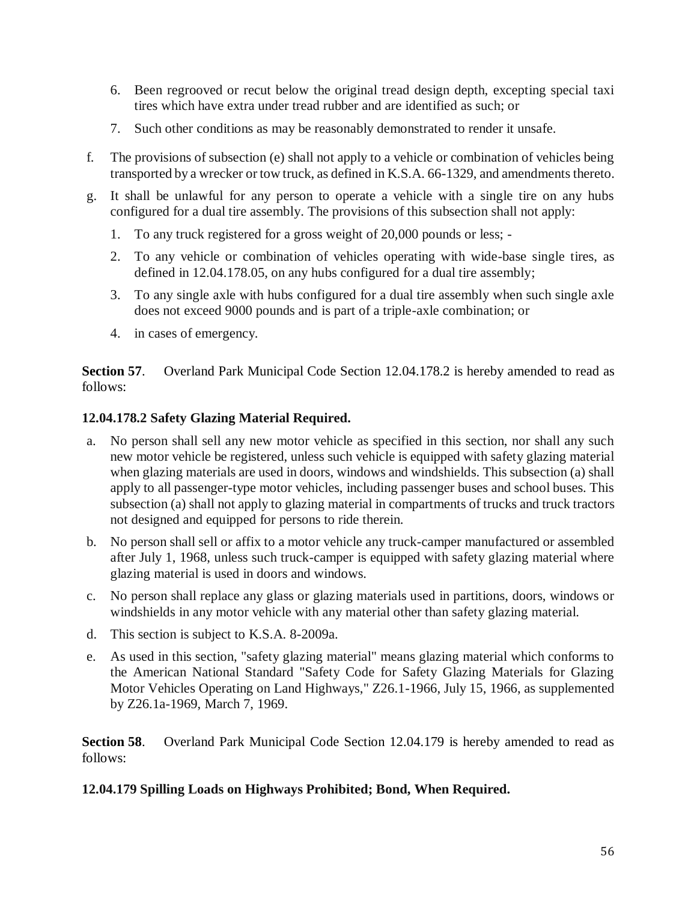- 6. Been regrooved or recut below the original tread design depth, excepting special taxi tires which have extra under tread rubber and are identified as such; or
- 7. Such other conditions as may be reasonably demonstrated to render it unsafe.
- f. The provisions of subsection (e) shall not apply to a vehicle or combination of vehicles being transported by a wrecker or tow truck, as defined in K.S.A. 66-1329, and amendments thereto.
- g. It shall be unlawful for any person to operate a vehicle with a single tire on any hubs configured for a dual tire assembly. The provisions of this subsection shall not apply:
	- 1. To any truck registered for a gross weight of 20,000 pounds or less; -
	- 2. To any vehicle or combination of vehicles operating with wide-base single tires, as defined in 12.04.178.05, on any hubs configured for a dual tire assembly;
	- 3. To any single axle with hubs configured for a dual tire assembly when such single axle does not exceed 9000 pounds and is part of a triple-axle combination; or
	- 4. in cases of emergency.

**Section 57**. Overland Park Municipal Code Section 12.04.178.2 is hereby amended to read as follows:

# **12.04.178.2 Safety Glazing Material Required.**

- a. No person shall sell any new motor vehicle as specified in this section, nor shall any such new motor vehicle be registered, unless such vehicle is equipped with safety glazing material when glazing materials are used in doors, windows and windshields. This subsection (a) shall apply to all passenger-type motor vehicles, including passenger buses and school buses. This subsection (a) shall not apply to glazing material in compartments of trucks and truck tractors not designed and equipped for persons to ride therein.
- b. No person shall sell or affix to a motor vehicle any truck-camper manufactured or assembled after July 1, 1968, unless such truck-camper is equipped with safety glazing material where glazing material is used in doors and windows.
- c. No person shall replace any glass or glazing materials used in partitions, doors, windows or windshields in any motor vehicle with any material other than safety glazing material.
- d. This section is subject to K.S.A. 8-2009a.
- e. As used in this section, "safety glazing material" means glazing material which conforms to the American National Standard "Safety Code for Safety Glazing Materials for Glazing Motor Vehicles Operating on Land Highways," Z26.1-1966, July 15, 1966, as supplemented by Z26.1a-1969, March 7, 1969.

**Section 58**. Overland Park Municipal Code Section 12.04.179 is hereby amended to read as follows:

# **12.04.179 Spilling Loads on Highways Prohibited; Bond, When Required.**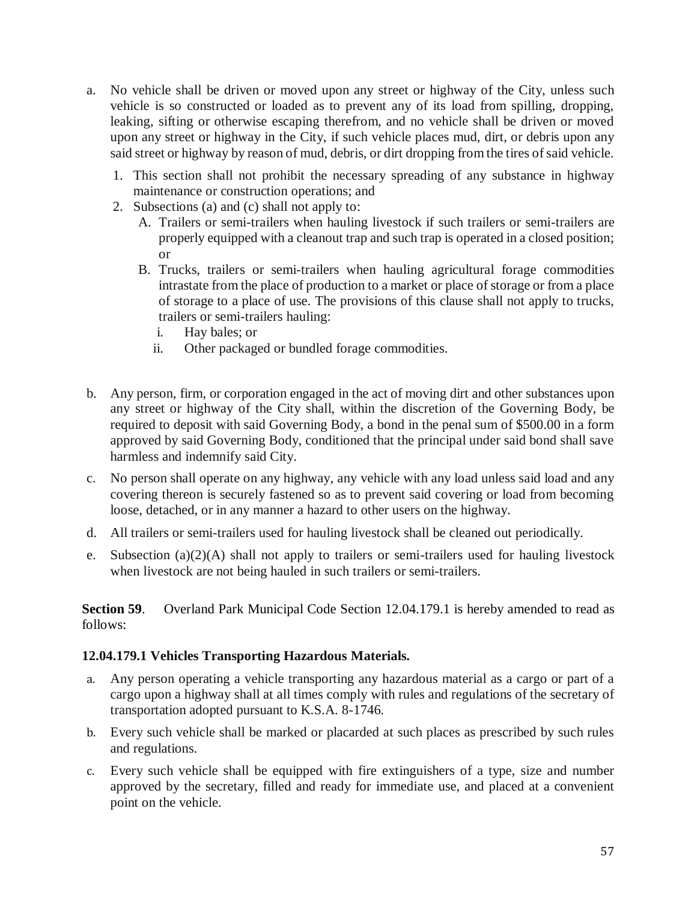- a. No vehicle shall be driven or moved upon any street or highway of the City, unless such vehicle is so constructed or loaded as to prevent any of its load from spilling, dropping, leaking, sifting or otherwise escaping therefrom, and no vehicle shall be driven or moved upon any street or highway in the City, if such vehicle places mud, dirt, or debris upon any said street or highway by reason of mud, debris, or dirt dropping from the tires of said vehicle.
	- 1. This section shall not prohibit the necessary spreading of any substance in highway maintenance or construction operations; and
	- 2. Subsections (a) and (c) shall not apply to:
		- A. Trailers or semi-trailers when hauling livestock if such trailers or semi-trailers are properly equipped with a cleanout trap and such trap is operated in a closed position; or
		- B. Trucks, trailers or semi-trailers when hauling agricultural forage commodities intrastate from the place of production to a market or place of storage or from a place of storage to a place of use. The provisions of this clause shall not apply to trucks, trailers or semi-trailers hauling:
			- i. Hay bales; or
			- ii. Other packaged or bundled forage commodities.
- b. Any person, firm, or corporation engaged in the act of moving dirt and other substances upon any street or highway of the City shall, within the discretion of the Governing Body, be required to deposit with said Governing Body, a bond in the penal sum of \$500.00 in a form approved by said Governing Body, conditioned that the principal under said bond shall save harmless and indemnify said City.
- c. No person shall operate on any highway, any vehicle with any load unless said load and any covering thereon is securely fastened so as to prevent said covering or load from becoming loose, detached, or in any manner a hazard to other users on the highway.
- d. All trailers or semi-trailers used for hauling livestock shall be cleaned out periodically.
- e. Subsection (a)(2)(A) shall not apply to trailers or semi-trailers used for hauling livestock when livestock are not being hauled in such trailers or semi-trailers.

**Section 59.** Overland Park Municipal Code Section 12.04.179.1 is hereby amended to read as follows:

## **12.04.179.1 Vehicles Transporting Hazardous Materials.**

- a. Any person operating a vehicle transporting any hazardous material as a cargo or part of a cargo upon a highway shall at all times comply with rules and regulations of the secretary of transportation adopted pursuant to K.S.A. 8-1746.
- b. Every such vehicle shall be marked or placarded at such places as prescribed by such rules and regulations.
- c. Every such vehicle shall be equipped with fire extinguishers of a type, size and number approved by the secretary, filled and ready for immediate use, and placed at a convenient point on the vehicle.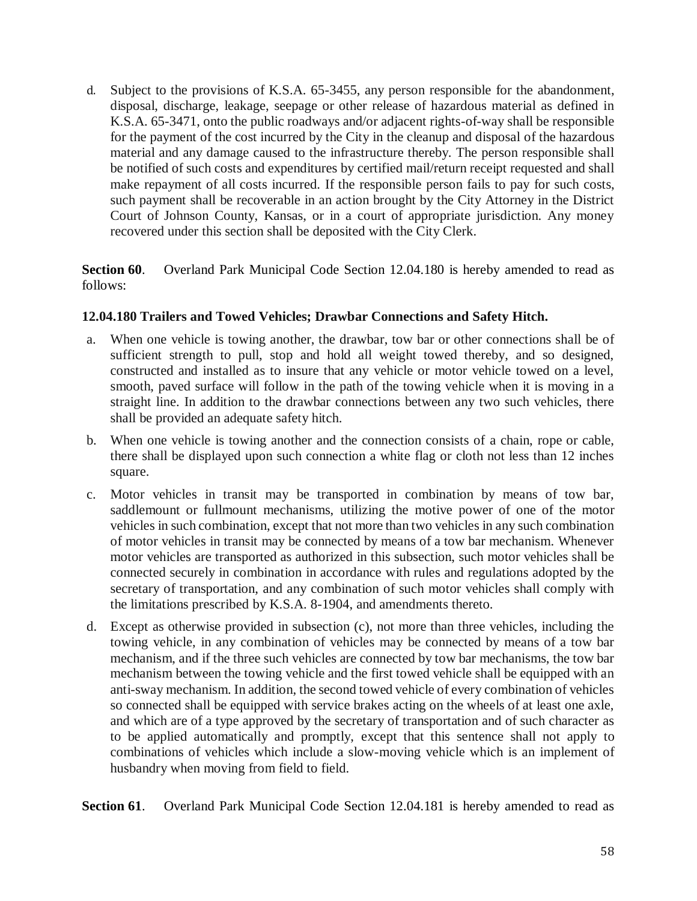d. Subject to the provisions of K.S.A. 65-3455, any person responsible for the abandonment, disposal, discharge, leakage, seepage or other release of hazardous material as defined in K.S.A. 65-3471, onto the public roadways and/or adjacent rights-of-way shall be responsible for the payment of the cost incurred by the City in the cleanup and disposal of the hazardous material and any damage caused to the infrastructure thereby. The person responsible shall be notified of such costs and expenditures by certified mail/return receipt requested and shall make repayment of all costs incurred. If the responsible person fails to pay for such costs, such payment shall be recoverable in an action brought by the City Attorney in the District Court of Johnson County, Kansas, or in a court of appropriate jurisdiction. Any money recovered under this section shall be deposited with the City Clerk.

**Section 60**. Overland Park Municipal Code Section 12.04.180 is hereby amended to read as follows:

## **12.04.180 Trailers and Towed Vehicles; Drawbar Connections and Safety Hitch.**

- a. When one vehicle is towing another, the drawbar, tow bar or other connections shall be of sufficient strength to pull, stop and hold all weight towed thereby, and so designed, constructed and installed as to insure that any vehicle or motor vehicle towed on a level, smooth, paved surface will follow in the path of the towing vehicle when it is moving in a straight line. In addition to the drawbar connections between any two such vehicles, there shall be provided an adequate safety hitch.
- b. When one vehicle is towing another and the connection consists of a chain, rope or cable, there shall be displayed upon such connection a white flag or cloth not less than 12 inches square.
- c. Motor vehicles in transit may be transported in combination by means of tow bar, saddlemount or fullmount mechanisms, utilizing the motive power of one of the motor vehicles in such combination, except that not more than two vehicles in any such combination of motor vehicles in transit may be connected by means of a tow bar mechanism. Whenever motor vehicles are transported as authorized in this subsection, such motor vehicles shall be connected securely in combination in accordance with rules and regulations adopted by the secretary of transportation, and any combination of such motor vehicles shall comply with the limitations prescribed by K.S.A. 8-1904, and amendments thereto.
- d. Except as otherwise provided in subsection (c), not more than three vehicles, including the towing vehicle, in any combination of vehicles may be connected by means of a tow bar mechanism, and if the three such vehicles are connected by tow bar mechanisms, the tow bar mechanism between the towing vehicle and the first towed vehicle shall be equipped with an anti-sway mechanism. In addition, the second towed vehicle of every combination of vehicles so connected shall be equipped with service brakes acting on the wheels of at least one axle, and which are of a type approved by the secretary of transportation and of such character as to be applied automatically and promptly, except that this sentence shall not apply to combinations of vehicles which include a slow-moving vehicle which is an implement of husbandry when moving from field to field.

**Section 61**. Overland Park Municipal Code Section 12.04.181 is hereby amended to read as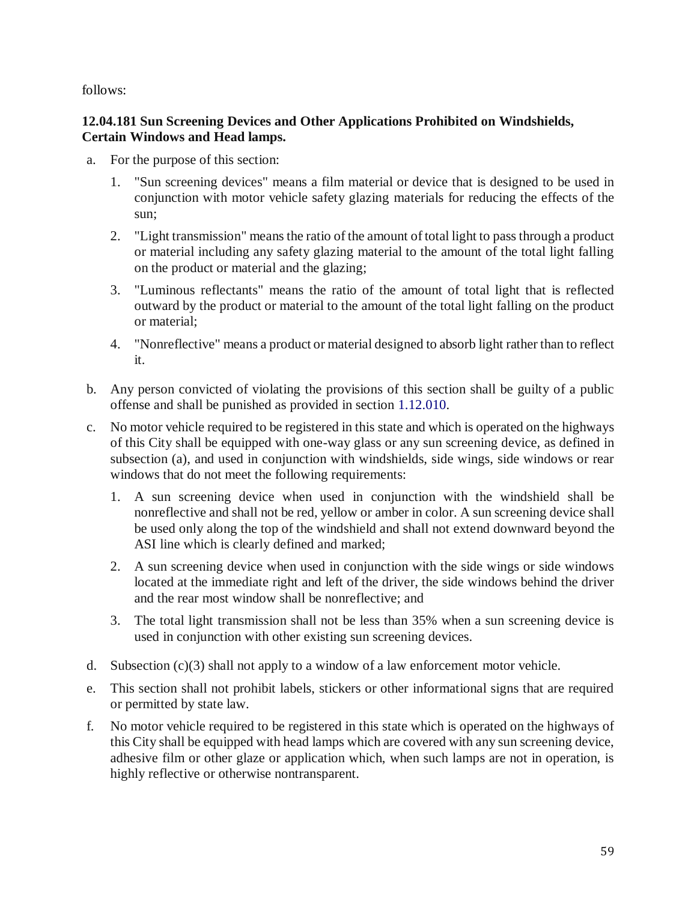follows:

## **12.04.181 Sun Screening Devices and Other Applications Prohibited on Windshields, Certain Windows and Head lamps.**

- a. For the purpose of this section:
	- 1. "Sun screening devices" means a film material or device that is designed to be used in conjunction with motor vehicle safety glazing materials for reducing the effects of the sun;
	- 2. "Light transmission" means the ratio of the amount of total light to pass through a product or material including any safety glazing material to the amount of the total light falling on the product or material and the glazing;
	- 3. "Luminous reflectants" means the ratio of the amount of total light that is reflected outward by the product or material to the amount of the total light falling on the product or material;
	- 4. "Nonreflective" means a product or material designed to absorb light rather than to reflect it.
- b. Any person convicted of violating the provisions of this section shall be guilty of a public offense and shall be punished as provided in section 1.12.010.
- c. No motor vehicle required to be registered in this state and which is operated on the highways of this City shall be equipped with one-way glass or any sun screening device, as defined in subsection (a), and used in conjunction with windshields, side wings, side windows or rear windows that do not meet the following requirements:
	- 1. A sun screening device when used in conjunction with the windshield shall be nonreflective and shall not be red, yellow or amber in color. A sun screening device shall be used only along the top of the windshield and shall not extend downward beyond the ASI line which is clearly defined and marked;
	- 2. A sun screening device when used in conjunction with the side wings or side windows located at the immediate right and left of the driver, the side windows behind the driver and the rear most window shall be nonreflective; and
	- 3. The total light transmission shall not be less than 35% when a sun screening device is used in conjunction with other existing sun screening devices.
- d. Subsection  $(c)(3)$  shall not apply to a window of a law enforcement motor vehicle.
- e. This section shall not prohibit labels, stickers or other informational signs that are required or permitted by state law.
- f. No motor vehicle required to be registered in this state which is operated on the highways of this City shall be equipped with head lamps which are covered with any sun screening device, adhesive film or other glaze or application which, when such lamps are not in operation, is highly reflective or otherwise nontransparent.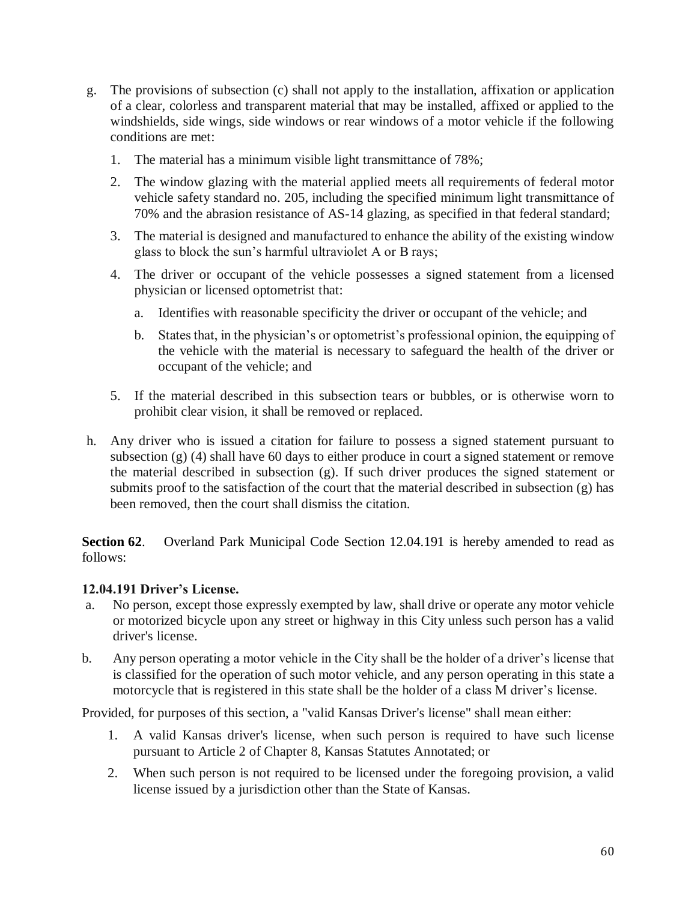- g. The provisions of subsection (c) shall not apply to the installation, affixation or application of a clear, colorless and transparent material that may be installed, affixed or applied to the windshields, side wings, side windows or rear windows of a motor vehicle if the following conditions are met:
	- 1. The material has a minimum visible light transmittance of 78%;
	- 2. The window glazing with the material applied meets all requirements of federal motor vehicle safety standard no. 205, including the specified minimum light transmittance of 70% and the abrasion resistance of AS-14 glazing, as specified in that federal standard;
	- 3. The material is designed and manufactured to enhance the ability of the existing window glass to block the sun's harmful ultraviolet A or B rays;
	- 4. The driver or occupant of the vehicle possesses a signed statement from a licensed physician or licensed optometrist that:
		- a. Identifies with reasonable specificity the driver or occupant of the vehicle; and
		- b. States that, in the physician's or optometrist's professional opinion, the equipping of the vehicle with the material is necessary to safeguard the health of the driver or occupant of the vehicle; and
	- 5. If the material described in this subsection tears or bubbles, or is otherwise worn to prohibit clear vision, it shall be removed or replaced.
- h. Any driver who is issued a citation for failure to possess a signed statement pursuant to subsection (g) (4) shall have 60 days to either produce in court a signed statement or remove the material described in subsection (g). If such driver produces the signed statement or submits proof to the satisfaction of the court that the material described in subsection (g) has been removed, then the court shall dismiss the citation.

**Section 62.** Overland Park Municipal Code Section 12.04.191 is hereby amended to read as follows:

#### **12.04.191 Driver's License.**

- a. No person, except those expressly exempted by law, shall drive or operate any motor vehicle or motorized bicycle upon any street or highway in this City unless such person has a valid driver's license.
- b. Any person operating a motor vehicle in the City shall be the holder of a driver's license that is classified for the operation of such motor vehicle, and any person operating in this state a motorcycle that is registered in this state shall be the holder of a class M driver's license.

Provided, for purposes of this section, a "valid Kansas Driver's license" shall mean either:

- 1. A valid Kansas driver's license, when such person is required to have such license pursuant to Article 2 of Chapter 8, Kansas Statutes Annotated; or
- 2. When such person is not required to be licensed under the foregoing provision, a valid license issued by a jurisdiction other than the State of Kansas.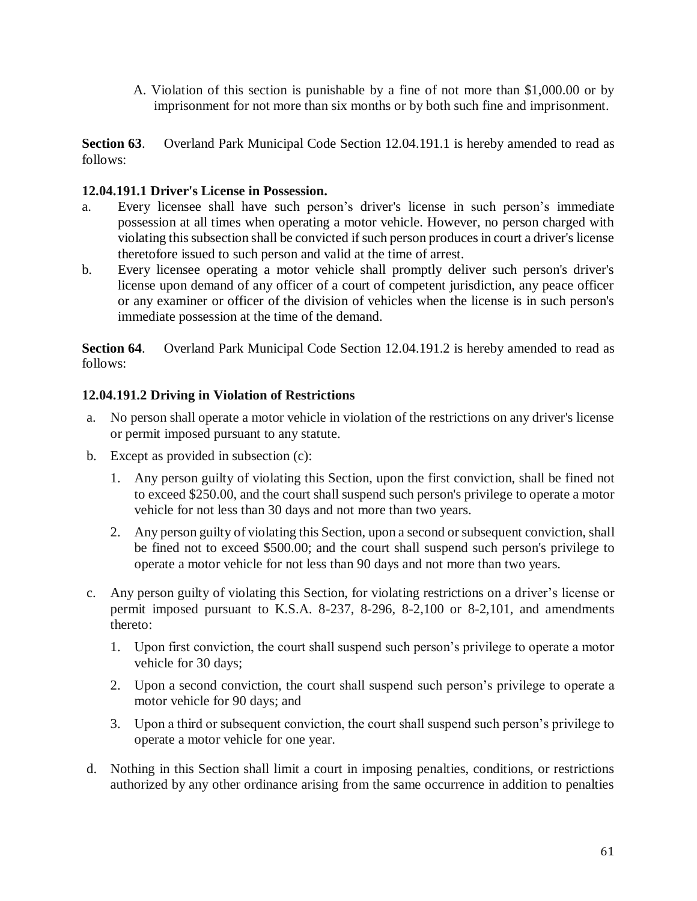A. Violation of this section is punishable by a fine of not more than \$1,000.00 or by imprisonment for not more than six months or by both such fine and imprisonment.

**Section 63**. Overland Park Municipal Code Section 12.04.191.1 is hereby amended to read as follows:

### **12.04.191.1 Driver's License in Possession.**

- a. Every licensee shall have such person's driver's license in such person's immediate possession at all times when operating a motor vehicle. However, no person charged with violating this subsection shall be convicted if such person produces in court a driver's license theretofore issued to such person and valid at the time of arrest.
- b. Every licensee operating a motor vehicle shall promptly deliver such person's driver's license upon demand of any officer of a court of competent jurisdiction, any peace officer or any examiner or officer of the division of vehicles when the license is in such person's immediate possession at the time of the demand.

**Section 64**. Overland Park Municipal Code Section 12.04.191.2 is hereby amended to read as follows:

## **12.04.191.2 Driving in Violation of Restrictions**

- a. No person shall operate a motor vehicle in violation of the restrictions on any driver's license or permit imposed pursuant to any statute.
- b. Except as provided in subsection (c):
	- 1. Any person guilty of violating this Section, upon the first conviction, shall be fined not to exceed \$250.00, and the court shall suspend such person's privilege to operate a motor vehicle for not less than 30 days and not more than two years.
	- 2. Any person guilty of violating this Section, upon a second or subsequent conviction, shall be fined not to exceed \$500.00; and the court shall suspend such person's privilege to operate a motor vehicle for not less than 90 days and not more than two years.
- c. Any person guilty of violating this Section, for violating restrictions on a driver's license or permit imposed pursuant to K.S.A. 8-237, 8-296, 8-2,100 or 8-2,101, and amendments thereto:
	- 1. Upon first conviction, the court shall suspend such person's privilege to operate a motor vehicle for 30 days;
	- 2. Upon a second conviction, the court shall suspend such person's privilege to operate a motor vehicle for 90 days; and
	- 3. Upon a third or subsequent conviction, the court shall suspend such person's privilege to operate a motor vehicle for one year.
- d. Nothing in this Section shall limit a court in imposing penalties, conditions, or restrictions authorized by any other ordinance arising from the same occurrence in addition to penalties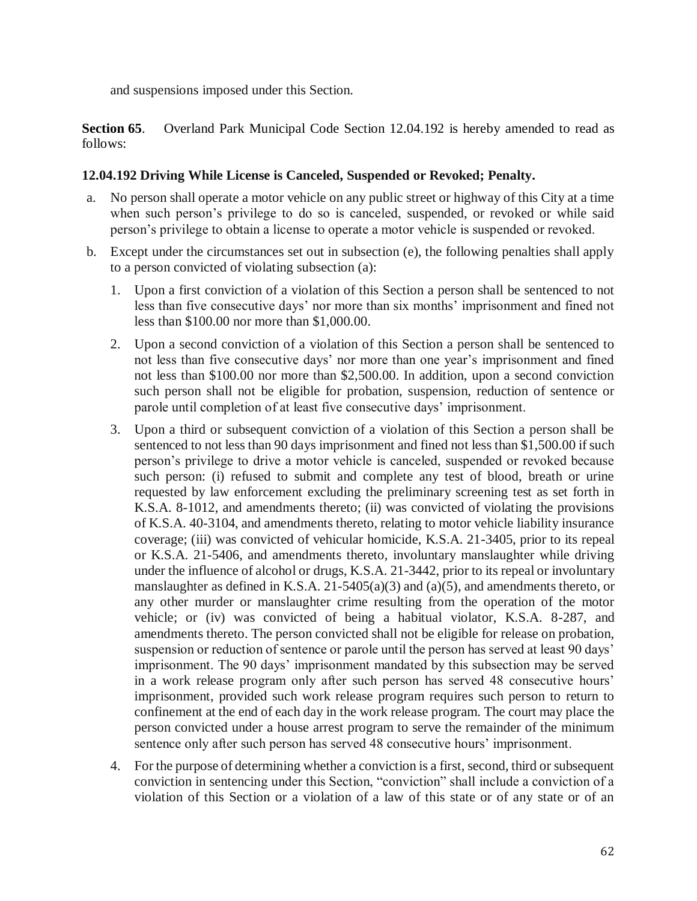and suspensions imposed under this Section.

**Section 65**. Overland Park Municipal Code Section 12.04.192 is hereby amended to read as follows:

### **12.04.192 Driving While License is Canceled, Suspended or Revoked; Penalty.**

- a. No person shall operate a motor vehicle on any public street or highway of this City at a time when such person's privilege to do so is canceled, suspended, or revoked or while said person's privilege to obtain a license to operate a motor vehicle is suspended or revoked.
- b. Except under the circumstances set out in subsection (e), the following penalties shall apply to a person convicted of violating subsection (a):
	- 1. Upon a first conviction of a violation of this Section a person shall be sentenced to not less than five consecutive days' nor more than six months' imprisonment and fined not less than \$100.00 nor more than \$1,000.00.
	- 2. Upon a second conviction of a violation of this Section a person shall be sentenced to not less than five consecutive days' nor more than one year's imprisonment and fined not less than \$100.00 nor more than \$2,500.00. In addition, upon a second conviction such person shall not be eligible for probation, suspension, reduction of sentence or parole until completion of at least five consecutive days' imprisonment.
	- 3. Upon a third or subsequent conviction of a violation of this Section a person shall be sentenced to not less than 90 days imprisonment and fined not less than \$1,500.00 if such person's privilege to drive a motor vehicle is canceled, suspended or revoked because such person: (i) refused to submit and complete any test of blood, breath or urine requested by law enforcement excluding the preliminary screening test as set forth in K.S.A. 8-1012, and amendments thereto; (ii) was convicted of violating the provisions of K.S.A. 40-3104, and amendments thereto, relating to motor vehicle liability insurance coverage; (iii) was convicted of vehicular homicide, K.S.A. 21-3405, prior to its repeal or K.S.A. 21-5406, and amendments thereto, involuntary manslaughter while driving under the influence of alcohol or drugs, K.S.A. 21-3442, prior to its repeal or involuntary manslaughter as defined in K.S.A. 21-5405(a)(3) and (a)(5), and amendments thereto, or any other murder or manslaughter crime resulting from the operation of the motor vehicle; or (iv) was convicted of being a habitual violator, K.S.A. 8-287, and amendments thereto. The person convicted shall not be eligible for release on probation, suspension or reduction of sentence or parole until the person has served at least 90 days' imprisonment. The 90 days' imprisonment mandated by this subsection may be served in a work release program only after such person has served 48 consecutive hours' imprisonment, provided such work release program requires such person to return to confinement at the end of each day in the work release program. The court may place the person convicted under a house arrest program to serve the remainder of the minimum sentence only after such person has served 48 consecutive hours' imprisonment.
	- 4. For the purpose of determining whether a conviction is a first, second, third or subsequent conviction in sentencing under this Section, "conviction" shall include a conviction of a violation of this Section or a violation of a law of this state or of any state or of an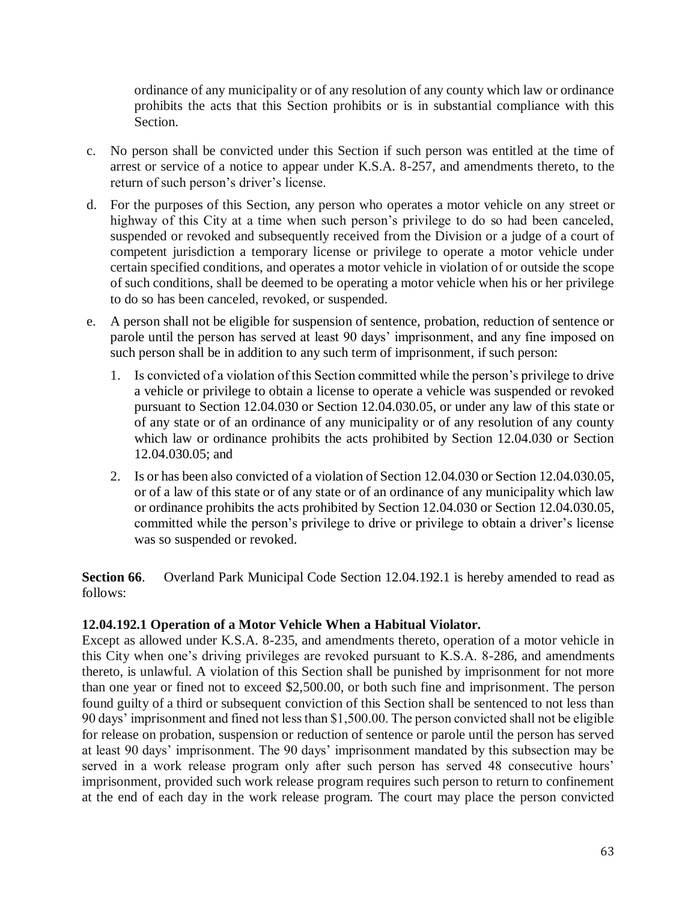ordinance of any municipality or of any resolution of any county which law or ordinance prohibits the acts that this Section prohibits or is in substantial compliance with this Section.

- c. No person shall be convicted under this Section if such person was entitled at the time of arrest or service of a notice to appear under K.S.A. 8-257, and amendments thereto, to the return of such person's driver's license.
- d. For the purposes of this Section, any person who operates a motor vehicle on any street or highway of this City at a time when such person's privilege to do so had been canceled, suspended or revoked and subsequently received from the Division or a judge of a court of competent jurisdiction a temporary license or privilege to operate a motor vehicle under certain specified conditions, and operates a motor vehicle in violation of or outside the scope of such conditions, shall be deemed to be operating a motor vehicle when his or her privilege to do so has been canceled, revoked, or suspended.
- e. A person shall not be eligible for suspension of sentence, probation, reduction of sentence or parole until the person has served at least 90 days' imprisonment, and any fine imposed on such person shall be in addition to any such term of imprisonment, if such person:
	- 1. Is convicted of a violation of this Section committed while the person's privilege to drive a vehicle or privilege to obtain a license to operate a vehicle was suspended or revoked pursuant to Section 12.04.030 or Section 12.04.030.05, or under any law of this state or of any state or of an ordinance of any municipality or of any resolution of any county which law or ordinance prohibits the acts prohibited by Section 12.04.030 or Section 12.04.030.05; and
	- 2. Is or has been also convicted of a violation of Section 12.04.030 or Section 12.04.030.05, or of a law of this state or of any state or of an ordinance of any municipality which law or ordinance prohibits the acts prohibited by Section 12.04.030 or Section 12.04.030.05, committed while the person's privilege to drive or privilege to obtain a driver's license was so suspended or revoked.

**Section 66**. Overland Park Municipal Code Section 12.04.192.1 is hereby amended to read as follows:

## **12.04.192.1 Operation of a Motor Vehicle When a Habitual Violator.**

Except as allowed under K.S.A. 8-235, and amendments thereto, operation of a motor vehicle in this City when one's driving privileges are revoked pursuant to K.S.A. 8-286, and amendments thereto, is unlawful. A violation of this Section shall be punished by imprisonment for not more than one year or fined not to exceed \$2,500.00, or both such fine and imprisonment. The person found guilty of a third or subsequent conviction of this Section shall be sentenced to not less than 90 days' imprisonment and fined not less than \$1,500.00. The person convicted shall not be eligible for release on probation, suspension or reduction of sentence or parole until the person has served at least 90 days' imprisonment. The 90 days' imprisonment mandated by this subsection may be served in a work release program only after such person has served 48 consecutive hours' imprisonment, provided such work release program requires such person to return to confinement at the end of each day in the work release program. The court may place the person convicted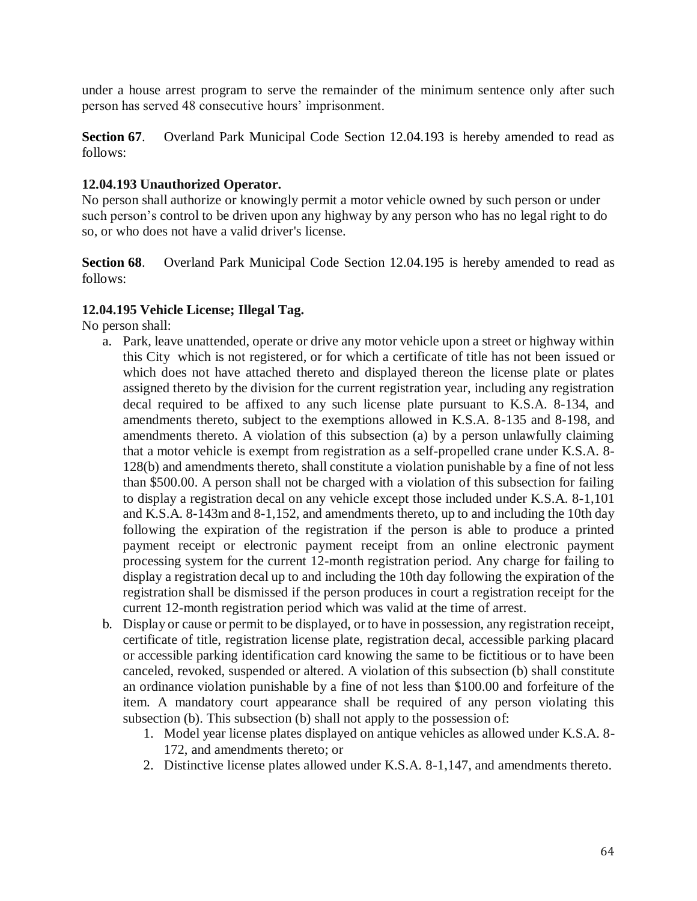under a house arrest program to serve the remainder of the minimum sentence only after such person has served 48 consecutive hours' imprisonment.

**Section 67.** Overland Park Municipal Code Section 12.04.193 is hereby amended to read as follows:

### **12.04.193 Unauthorized Operator.**

No person shall authorize or knowingly permit a motor vehicle owned by such person or under such person's control to be driven upon any highway by any person who has no legal right to do so, or who does not have a valid driver's license.

**Section 68**. Overland Park Municipal Code Section 12.04.195 is hereby amended to read as follows:

### **12.04.195 Vehicle License; Illegal Tag.**

No person shall:

- a. Park, leave unattended, operate or drive any motor vehicle upon a street or highway within this City which is not registered, or for which a certificate of title has not been issued or which does not have attached thereto and displayed thereon the license plate or plates assigned thereto by the division for the current registration year, including any registration decal required to be affixed to any such license plate pursuant to K.S.A. 8-134, and amendments thereto, subject to the exemptions allowed in K.S.A. 8-135 and 8-198, and amendments thereto. A violation of this subsection (a) by a person unlawfully claiming that a motor vehicle is exempt from registration as a self-propelled crane under K.S.A. 8- 128(b) and amendments thereto, shall constitute a violation punishable by a fine of not less than \$500.00. A person shall not be charged with a violation of this subsection for failing to display a registration decal on any vehicle except those included under K.S.A. 8-1,101 and K.S.A. 8-143m and 8-1,152, and amendments thereto, up to and including the 10th day following the expiration of the registration if the person is able to produce a printed payment receipt or electronic payment receipt from an online electronic payment processing system for the current 12-month registration period. Any charge for failing to display a registration decal up to and including the 10th day following the expiration of the registration shall be dismissed if the person produces in court a registration receipt for the current 12-month registration period which was valid at the time of arrest.
- b. Display or cause or permit to be displayed, or to have in possession, any registration receipt, certificate of title, registration license plate, registration decal, accessible parking placard or accessible parking identification card knowing the same to be fictitious or to have been canceled, revoked, suspended or altered. A violation of this subsection (b) shall constitute an ordinance violation punishable by a fine of not less than \$100.00 and forfeiture of the item. A mandatory court appearance shall be required of any person violating this subsection (b). This subsection (b) shall not apply to the possession of:
	- 1. Model year license plates displayed on antique vehicles as allowed under K.S.A. 8- 172, and amendments thereto; or
	- 2. Distinctive license plates allowed under K.S.A. 8-1,147, and amendments thereto.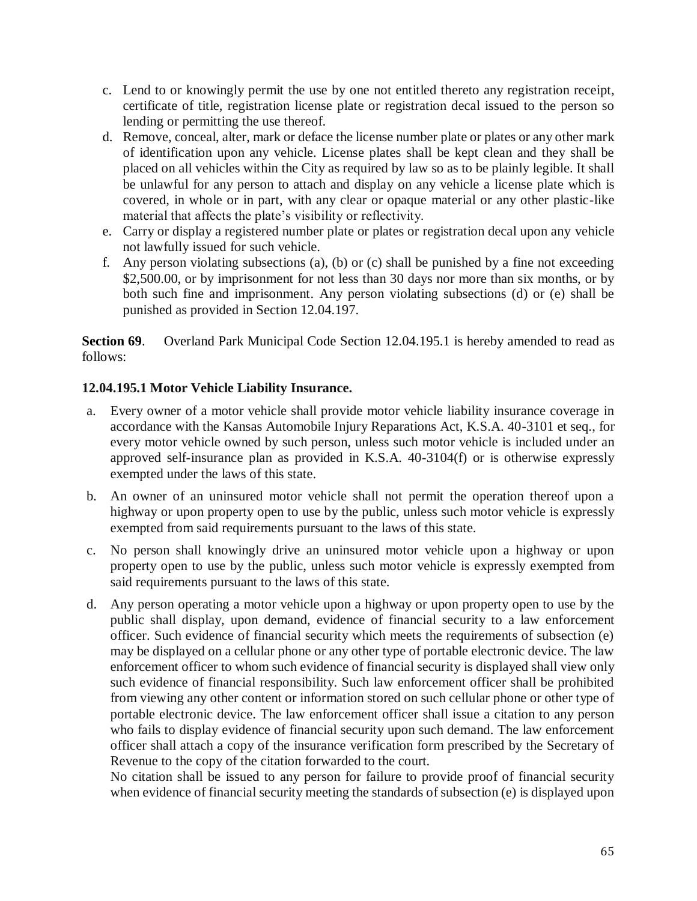- c. Lend to or knowingly permit the use by one not entitled thereto any registration receipt, certificate of title, registration license plate or registration decal issued to the person so lending or permitting the use thereof.
- d. Remove, conceal, alter, mark or deface the license number plate or plates or any other mark of identification upon any vehicle. License plates shall be kept clean and they shall be placed on all vehicles within the City as required by law so as to be plainly legible. It shall be unlawful for any person to attach and display on any vehicle a license plate which is covered, in whole or in part, with any clear or opaque material or any other plastic-like material that affects the plate's visibility or reflectivity.
- e. Carry or display a registered number plate or plates or registration decal upon any vehicle not lawfully issued for such vehicle.
- f. Any person violating subsections (a), (b) or (c) shall be punished by a fine not exceeding \$2,500.00, or by imprisonment for not less than 30 days nor more than six months, or by both such fine and imprisonment. Any person violating subsections (d) or (e) shall be punished as provided in Section 12.04.197.

**Section 69.** Overland Park Municipal Code Section 12.04.195.1 is hereby amended to read as follows:

## **12.04.195.1 Motor Vehicle Liability Insurance.**

- a. Every owner of a motor vehicle shall provide motor vehicle liability insurance coverage in accordance with the Kansas Automobile Injury Reparations Act, K.S.A. 40-3101 et seq., for every motor vehicle owned by such person, unless such motor vehicle is included under an approved self-insurance plan as provided in K.S.A. 40-3104(f) or is otherwise expressly exempted under the laws of this state.
- b. An owner of an uninsured motor vehicle shall not permit the operation thereof upon a highway or upon property open to use by the public, unless such motor vehicle is expressly exempted from said requirements pursuant to the laws of this state.
- c. No person shall knowingly drive an uninsured motor vehicle upon a highway or upon property open to use by the public, unless such motor vehicle is expressly exempted from said requirements pursuant to the laws of this state.
- d. Any person operating a motor vehicle upon a highway or upon property open to use by the public shall display, upon demand, evidence of financial security to a law enforcement officer. Such evidence of financial security which meets the requirements of subsection (e) may be displayed on a cellular phone or any other type of portable electronic device. The law enforcement officer to whom such evidence of financial security is displayed shall view only such evidence of financial responsibility. Such law enforcement officer shall be prohibited from viewing any other content or information stored on such cellular phone or other type of portable electronic device. The law enforcement officer shall issue a citation to any person who fails to display evidence of financial security upon such demand. The law enforcement officer shall attach a copy of the insurance verification form prescribed by the Secretary of Revenue to the copy of the citation forwarded to the court.

No citation shall be issued to any person for failure to provide proof of financial security when evidence of financial security meeting the standards of subsection (e) is displayed upon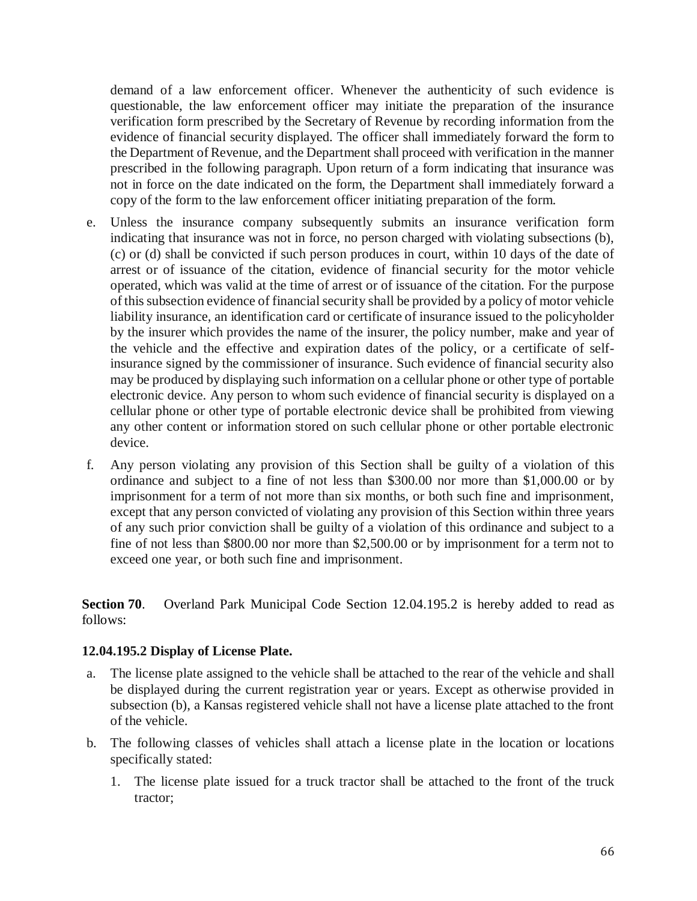demand of a law enforcement officer. Whenever the authenticity of such evidence is questionable, the law enforcement officer may initiate the preparation of the insurance verification form prescribed by the Secretary of Revenue by recording information from the evidence of financial security displayed. The officer shall immediately forward the form to the Department of Revenue, and the Department shall proceed with verification in the manner prescribed in the following paragraph. Upon return of a form indicating that insurance was not in force on the date indicated on the form, the Department shall immediately forward a copy of the form to the law enforcement officer initiating preparation of the form.

- e. Unless the insurance company subsequently submits an insurance verification form indicating that insurance was not in force, no person charged with violating subsections (b), (c) or (d) shall be convicted if such person produces in court, within 10 days of the date of arrest or of issuance of the citation, evidence of financial security for the motor vehicle operated, which was valid at the time of arrest or of issuance of the citation. For the purpose of this subsection evidence of financial security shall be provided by a policy of motor vehicle liability insurance, an identification card or certificate of insurance issued to the policyholder by the insurer which provides the name of the insurer, the policy number, make and year of the vehicle and the effective and expiration dates of the policy, or a certificate of selfinsurance signed by the commissioner of insurance. Such evidence of financial security also may be produced by displaying such information on a cellular phone or other type of portable electronic device. Any person to whom such evidence of financial security is displayed on a cellular phone or other type of portable electronic device shall be prohibited from viewing any other content or information stored on such cellular phone or other portable electronic device.
- f. Any person violating any provision of this Section shall be guilty of a violation of this ordinance and subject to a fine of not less than \$300.00 nor more than \$1,000.00 or by imprisonment for a term of not more than six months, or both such fine and imprisonment, except that any person convicted of violating any provision of this Section within three years of any such prior conviction shall be guilty of a violation of this ordinance and subject to a fine of not less than \$800.00 nor more than \$2,500.00 or by imprisonment for a term not to exceed one year, or both such fine and imprisonment.

**Section 70**. Overland Park Municipal Code Section 12.04.195.2 is hereby added to read as follows:

#### **12.04.195.2 Display of License Plate.**

- a. The license plate assigned to the vehicle shall be attached to the rear of the vehicle and shall be displayed during the current registration year or years. Except as otherwise provided in subsection (b), a Kansas registered vehicle shall not have a license plate attached to the front of the vehicle.
- b. The following classes of vehicles shall attach a license plate in the location or locations specifically stated:
	- 1. The license plate issued for a truck tractor shall be attached to the front of the truck tractor;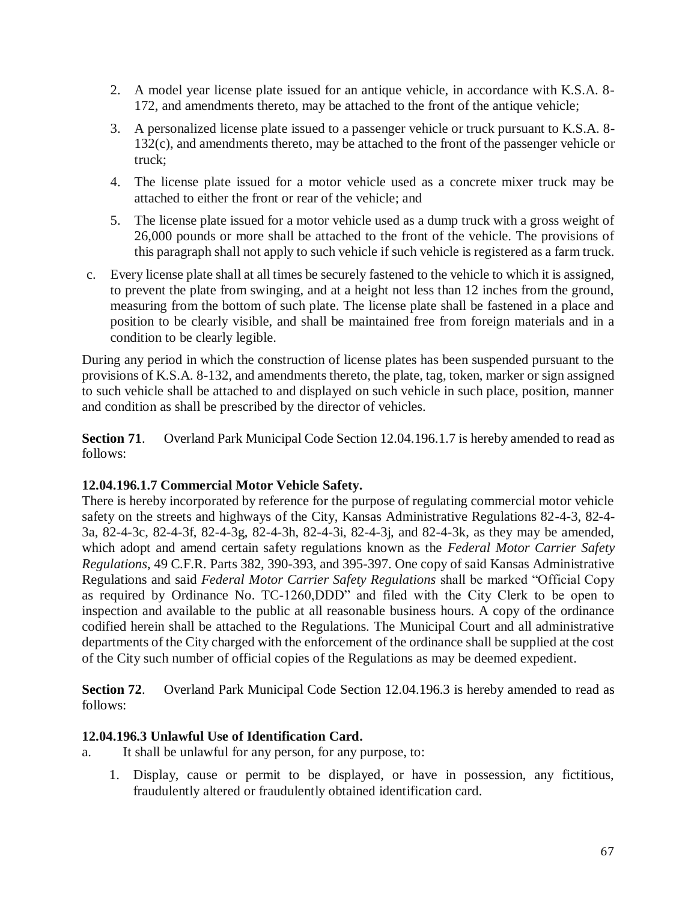- 2. A model year license plate issued for an antique vehicle, in accordance with K.S.A. 8- 172, and amendments thereto, may be attached to the front of the antique vehicle;
- 3. A personalized license plate issued to a passenger vehicle or truck pursuant to K.S.A. 8- 132(c), and amendments thereto, may be attached to the front of the passenger vehicle or truck;
- 4. The license plate issued for a motor vehicle used as a concrete mixer truck may be attached to either the front or rear of the vehicle; and
- 5. The license plate issued for a motor vehicle used as a dump truck with a gross weight of 26,000 pounds or more shall be attached to the front of the vehicle. The provisions of this paragraph shall not apply to such vehicle if such vehicle is registered as a farm truck.
- c. Every license plate shall at all times be securely fastened to the vehicle to which it is assigned, to prevent the plate from swinging, and at a height not less than 12 inches from the ground, measuring from the bottom of such plate. The license plate shall be fastened in a place and position to be clearly visible, and shall be maintained free from foreign materials and in a condition to be clearly legible.

During any period in which the construction of license plates has been suspended pursuant to the provisions of K.S.A. 8-132, and amendments thereto, the plate, tag, token, marker or sign assigned to such vehicle shall be attached to and displayed on such vehicle in such place, position, manner and condition as shall be prescribed by the director of vehicles.

**Section 71**. Overland Park Municipal Code Section 12.04.196.1.7 is hereby amended to read as follows:

# **12.04.196.1.7 Commercial Motor Vehicle Safety.**

There is hereby incorporated by reference for the purpose of regulating commercial motor vehicle safety on the streets and highways of the City, Kansas Administrative Regulations 82-4-3, 82-4- 3a, 82-4-3c, 82-4-3f, 82-4-3g, 82-4-3h, 82-4-3i, 82-4-3j, and 82-4-3k, as they may be amended, which adopt and amend certain safety regulations known as the *Federal Motor Carrier Safety Regulations*, 49 C.F.R. Parts 382, 390-393, and 395-397. One copy of said Kansas Administrative Regulations and said *Federal Motor Carrier Safety Regulations* shall be marked "Official Copy as required by Ordinance No. TC-1260,DDD" and filed with the City Clerk to be open to inspection and available to the public at all reasonable business hours. A copy of the ordinance codified herein shall be attached to the Regulations. The Municipal Court and all administrative departments of the City charged with the enforcement of the ordinance shall be supplied at the cost of the City such number of official copies of the Regulations as may be deemed expedient.

**Section 72**. Overland Park Municipal Code Section 12.04.196.3 is hereby amended to read as follows:

## **12.04.196.3 Unlawful Use of Identification Card.**

a. It shall be unlawful for any person, for any purpose, to:

1. Display, cause or permit to be displayed, or have in possession, any fictitious, fraudulently altered or fraudulently obtained identification card.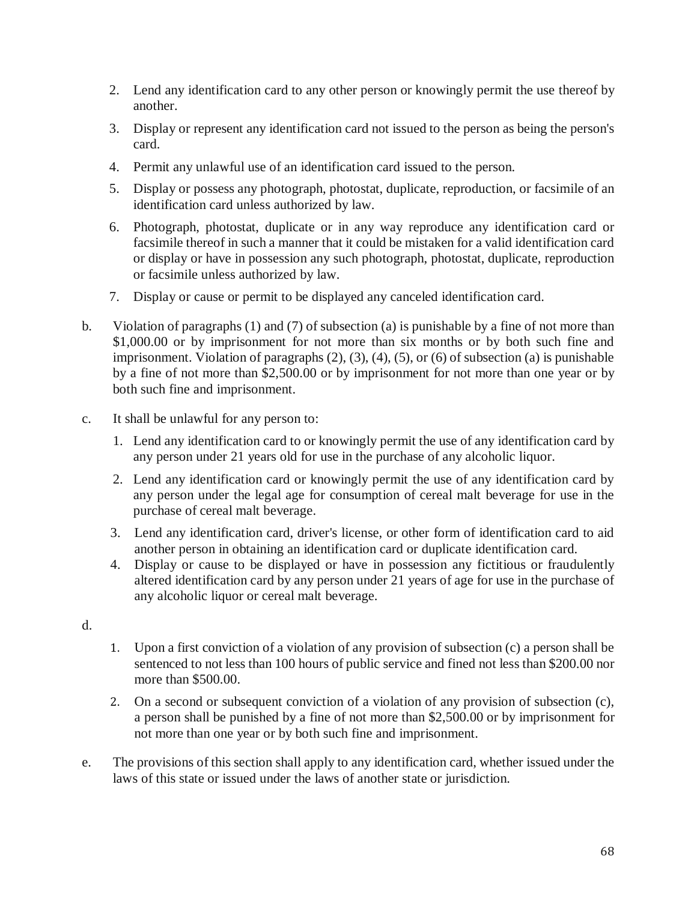- 2. Lend any identification card to any other person or knowingly permit the use thereof by another.
- 3. Display or represent any identification card not issued to the person as being the person's card.
- 4. Permit any unlawful use of an identification card issued to the person.
- 5. Display or possess any photograph, photostat, duplicate, reproduction, or facsimile of an identification card unless authorized by law.
- 6. Photograph, photostat, duplicate or in any way reproduce any identification card or facsimile thereof in such a manner that it could be mistaken for a valid identification card or display or have in possession any such photograph, photostat, duplicate, reproduction or facsimile unless authorized by law.
- 7. Display or cause or permit to be displayed any canceled identification card.
- b. Violation of paragraphs (1) and (7) of subsection (a) is punishable by a fine of not more than \$1,000.00 or by imprisonment for not more than six months or by both such fine and imprisonment. Violation of paragraphs (2), (3), (4), (5), or (6) of subsection (a) is punishable by a fine of not more than \$2,500.00 or by imprisonment for not more than one year or by both such fine and imprisonment.
- c. It shall be unlawful for any person to:
	- 1. Lend any identification card to or knowingly permit the use of any identification card by any person under 21 years old for use in the purchase of any alcoholic liquor.
	- 2. Lend any identification card or knowingly permit the use of any identification card by any person under the legal age for consumption of cereal malt beverage for use in the purchase of cereal malt beverage.
	- 3. Lend any identification card, driver's license, or other form of identification card to aid another person in obtaining an identification card or duplicate identification card.
	- 4. Display or cause to be displayed or have in possession any fictitious or fraudulently altered identification card by any person under 21 years of age for use in the purchase of any alcoholic liquor or cereal malt beverage.
- d.
- 1. Upon a first conviction of a violation of any provision of subsection (c) a person shall be sentenced to not less than 100 hours of public service and fined not less than \$200.00 nor more than \$500.00.
- 2. On a second or subsequent conviction of a violation of any provision of subsection (c), a person shall be punished by a fine of not more than \$2,500.00 or by imprisonment for not more than one year or by both such fine and imprisonment.
- e. The provisions of this section shall apply to any identification card, whether issued under the laws of this state or issued under the laws of another state or jurisdiction.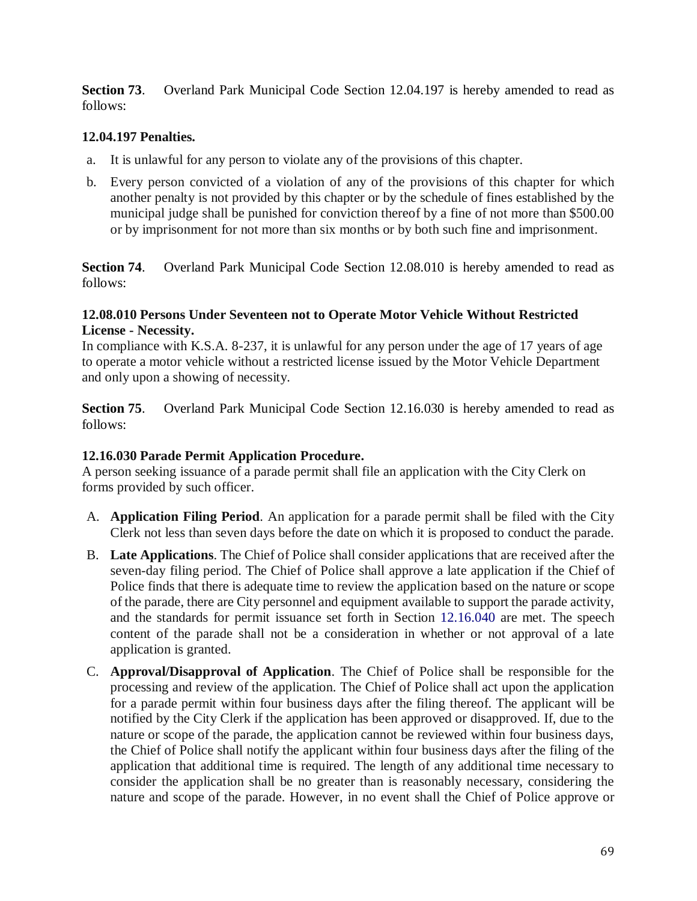**Section 73.** Overland Park Municipal Code Section 12.04.197 is hereby amended to read as follows:

## **12.04.197 Penalties.**

- a. It is unlawful for any person to violate any of the provisions of this chapter.
- b. Every person convicted of a violation of any of the provisions of this chapter for which another penalty is not provided by this chapter or by the schedule of fines established by the municipal judge shall be punished for conviction thereof by a fine of not more than \$500.00 or by imprisonment for not more than six months or by both such fine and imprisonment.

**Section 74**. Overland Park Municipal Code Section 12.08.010 is hereby amended to read as follows:

#### **12.08.010 Persons Under Seventeen not to Operate Motor Vehicle Without Restricted License - Necessity.**

In compliance with K.S.A. 8-237, it is unlawful for any person under the age of 17 years of age to operate a motor vehicle without a restricted license issued by the Motor Vehicle Department and only upon a showing of necessity.

**Section 75.** Overland Park Municipal Code Section 12.16.030 is hereby amended to read as follows:

## **12.16.030 Parade Permit Application Procedure.**

A person seeking issuance of a parade permit shall file an application with the City Clerk on forms provided by such officer.

- A. **Application Filing Period**. An application for a parade permit shall be filed with the City Clerk not less than seven days before the date on which it is proposed to conduct the parade.
- B. **Late Applications**. The Chief of Police shall consider applications that are received after the seven-day filing period. The Chief of Police shall approve a late application if the Chief of Police finds that there is adequate time to review the application based on the nature or scope of the parade, there are City personnel and equipment available to support the parade activity, and the standards for permit issuance set forth in Section 12.16.040 are met. The speech content of the parade shall not be a consideration in whether or not approval of a late application is granted.
- C. **Approval/Disapproval of Application**. The Chief of Police shall be responsible for the processing and review of the application. The Chief of Police shall act upon the application for a parade permit within four business days after the filing thereof. The applicant will be notified by the City Clerk if the application has been approved or disapproved. If, due to the nature or scope of the parade, the application cannot be reviewed within four business days, the Chief of Police shall notify the applicant within four business days after the filing of the application that additional time is required. The length of any additional time necessary to consider the application shall be no greater than is reasonably necessary, considering the nature and scope of the parade. However, in no event shall the Chief of Police approve or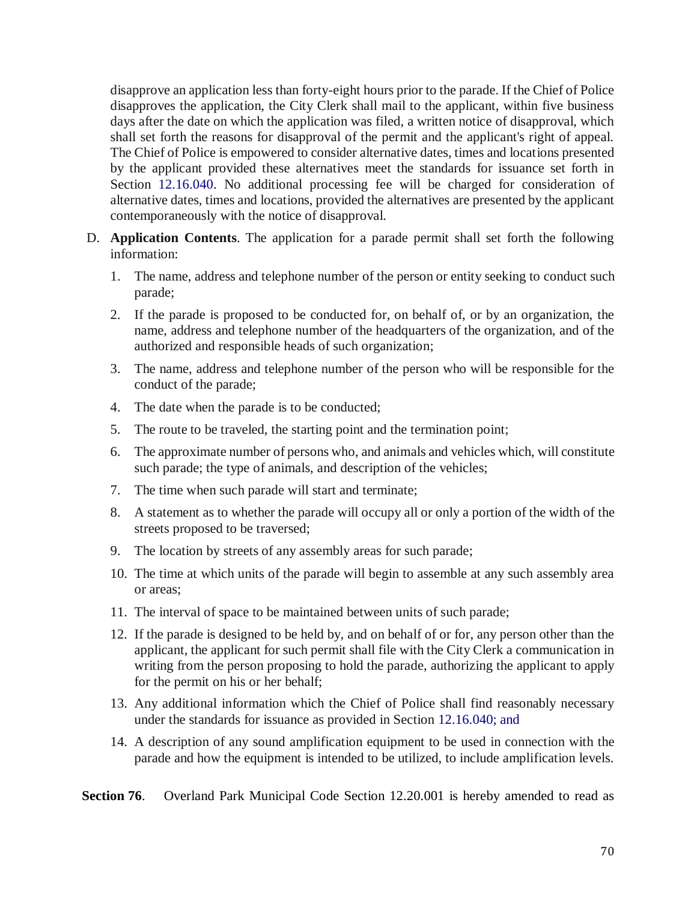disapprove an application less than forty-eight hours prior to the parade. If the Chief of Police disapproves the application, the City Clerk shall mail to the applicant, within five business days after the date on which the application was filed, a written notice of disapproval, which shall set forth the reasons for disapproval of the permit and the applicant's right of appeal. The Chief of Police is empowered to consider alternative dates, times and locations presented by the applicant provided these alternatives meet the standards for issuance set forth in Section 12.16.040. No additional processing fee will be charged for consideration of alternative dates, times and locations, provided the alternatives are presented by the applicant contemporaneously with the notice of disapproval.

- D. **Application Contents**. The application for a parade permit shall set forth the following information:
	- 1. The name, address and telephone number of the person or entity seeking to conduct such parade;
	- 2. If the parade is proposed to be conducted for, on behalf of, or by an organization, the name, address and telephone number of the headquarters of the organization, and of the authorized and responsible heads of such organization;
	- 3. The name, address and telephone number of the person who will be responsible for the conduct of the parade;
	- 4. The date when the parade is to be conducted;
	- 5. The route to be traveled, the starting point and the termination point;
	- 6. The approximate number of persons who, and animals and vehicles which, will constitute such parade; the type of animals, and description of the vehicles;
	- 7. The time when such parade will start and terminate;
	- 8. A statement as to whether the parade will occupy all or only a portion of the width of the streets proposed to be traversed;
	- 9. The location by streets of any assembly areas for such parade;
	- 10. The time at which units of the parade will begin to assemble at any such assembly area or areas;
	- 11. The interval of space to be maintained between units of such parade;
	- 12. If the parade is designed to be held by, and on behalf of or for, any person other than the applicant, the applicant for such permit shall file with the City Clerk a communication in writing from the person proposing to hold the parade, authorizing the applicant to apply for the permit on his or her behalf;
	- 13. Any additional information which the Chief of Police shall find reasonably necessary under the standards for issuance as provided in Section 12.16.040; and
	- 14. A description of any sound amplification equipment to be used in connection with the parade and how the equipment is intended to be utilized, to include amplification levels.

**Section 76.** Overland Park Municipal Code Section 12.20.001 is hereby amended to read as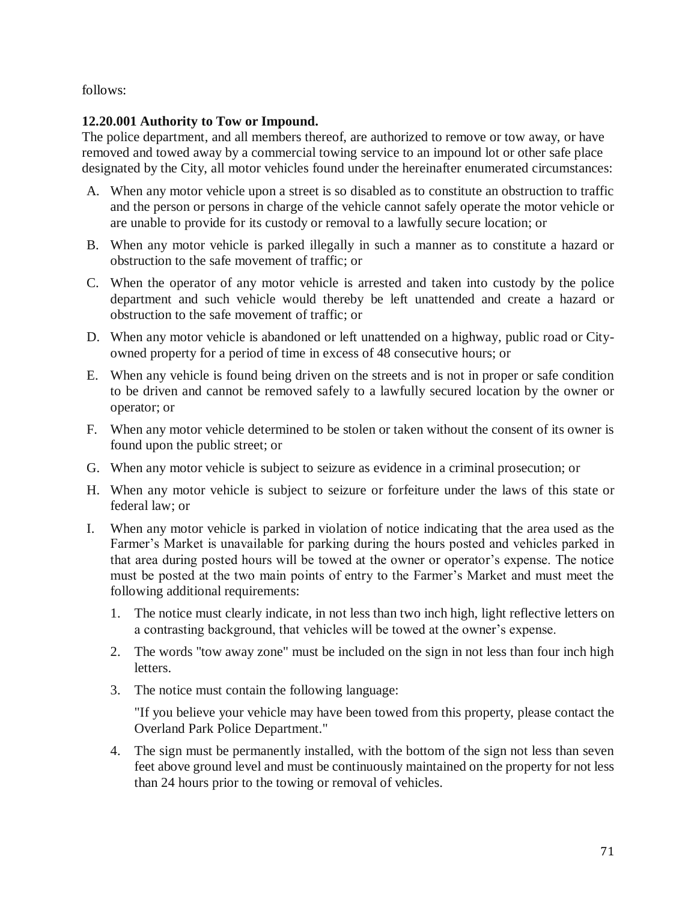follows:

## **12.20.001 Authority to Tow or Impound.**

The police department, and all members thereof, are authorized to remove or tow away, or have removed and towed away by a commercial towing service to an impound lot or other safe place designated by the City, all motor vehicles found under the hereinafter enumerated circumstances:

- A. When any motor vehicle upon a street is so disabled as to constitute an obstruction to traffic and the person or persons in charge of the vehicle cannot safely operate the motor vehicle or are unable to provide for its custody or removal to a lawfully secure location; or
- B. When any motor vehicle is parked illegally in such a manner as to constitute a hazard or obstruction to the safe movement of traffic; or
- C. When the operator of any motor vehicle is arrested and taken into custody by the police department and such vehicle would thereby be left unattended and create a hazard or obstruction to the safe movement of traffic; or
- D. When any motor vehicle is abandoned or left unattended on a highway, public road or Cityowned property for a period of time in excess of 48 consecutive hours; or
- E. When any vehicle is found being driven on the streets and is not in proper or safe condition to be driven and cannot be removed safely to a lawfully secured location by the owner or operator; or
- F. When any motor vehicle determined to be stolen or taken without the consent of its owner is found upon the public street; or
- G. When any motor vehicle is subject to seizure as evidence in a criminal prosecution; or
- H. When any motor vehicle is subject to seizure or forfeiture under the laws of this state or federal law; or
- I. When any motor vehicle is parked in violation of notice indicating that the area used as the Farmer's Market is unavailable for parking during the hours posted and vehicles parked in that area during posted hours will be towed at the owner or operator's expense. The notice must be posted at the two main points of entry to the Farmer's Market and must meet the following additional requirements:
	- 1. The notice must clearly indicate, in not less than two inch high, light reflective letters on a contrasting background, that vehicles will be towed at the owner's expense.
	- 2. The words "tow away zone" must be included on the sign in not less than four inch high letters.
	- 3. The notice must contain the following language:

"If you believe your vehicle may have been towed from this property, please contact the Overland Park Police Department."

4. The sign must be permanently installed, with the bottom of the sign not less than seven feet above ground level and must be continuously maintained on the property for not less than 24 hours prior to the towing or removal of vehicles.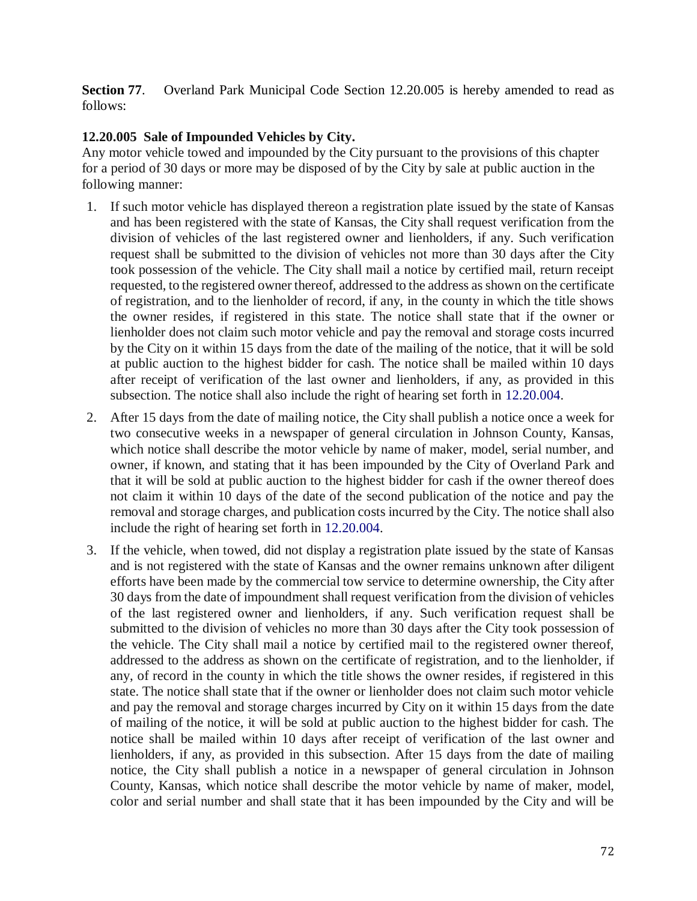**Section 77.** Overland Park Municipal Code Section 12.20.005 is hereby amended to read as follows:

## **12.20.005 Sale of Impounded Vehicles by City.**

Any motor vehicle towed and impounded by the City pursuant to the provisions of this chapter for a period of 30 days or more may be disposed of by the City by sale at public auction in the following manner:

- 1. If such motor vehicle has displayed thereon a registration plate issued by the state of Kansas and has been registered with the state of Kansas, the City shall request verification from the division of vehicles of the last registered owner and lienholders, if any. Such verification request shall be submitted to the division of vehicles not more than 30 days after the City took possession of the vehicle. The City shall mail a notice by certified mail, return receipt requested, to the registered owner thereof, addressed to the address as shown on the certificate of registration, and to the lienholder of record, if any, in the county in which the title shows the owner resides, if registered in this state. The notice shall state that if the owner or lienholder does not claim such motor vehicle and pay the removal and storage costs incurred by the City on it within 15 days from the date of the mailing of the notice, that it will be sold at public auction to the highest bidder for cash. The notice shall be mailed within 10 days after receipt of verification of the last owner and lienholders, if any, as provided in this subsection. The notice shall also include the right of hearing set forth in 12.20.004.
- 2. After 15 days from the date of mailing notice, the City shall publish a notice once a week for two consecutive weeks in a newspaper of general circulation in Johnson County, Kansas, which notice shall describe the motor vehicle by name of maker, model, serial number, and owner, if known, and stating that it has been impounded by the City of Overland Park and that it will be sold at public auction to the highest bidder for cash if the owner thereof does not claim it within 10 days of the date of the second publication of the notice and pay the removal and storage charges, and publication costs incurred by the City. The notice shall also include the right of hearing set forth in 12.20.004.
- 3. If the vehicle, when towed, did not display a registration plate issued by the state of Kansas and is not registered with the state of Kansas and the owner remains unknown after diligent efforts have been made by the commercial tow service to determine ownership, the City after 30 days from the date of impoundment shall request verification from the division of vehicles of the last registered owner and lienholders, if any. Such verification request shall be submitted to the division of vehicles no more than 30 days after the City took possession of the vehicle. The City shall mail a notice by certified mail to the registered owner thereof, addressed to the address as shown on the certificate of registration, and to the lienholder, if any, of record in the county in which the title shows the owner resides, if registered in this state. The notice shall state that if the owner or lienholder does not claim such motor vehicle and pay the removal and storage charges incurred by City on it within 15 days from the date of mailing of the notice, it will be sold at public auction to the highest bidder for cash. The notice shall be mailed within 10 days after receipt of verification of the last owner and lienholders, if any, as provided in this subsection. After 15 days from the date of mailing notice, the City shall publish a notice in a newspaper of general circulation in Johnson County, Kansas, which notice shall describe the motor vehicle by name of maker, model, color and serial number and shall state that it has been impounded by the City and will be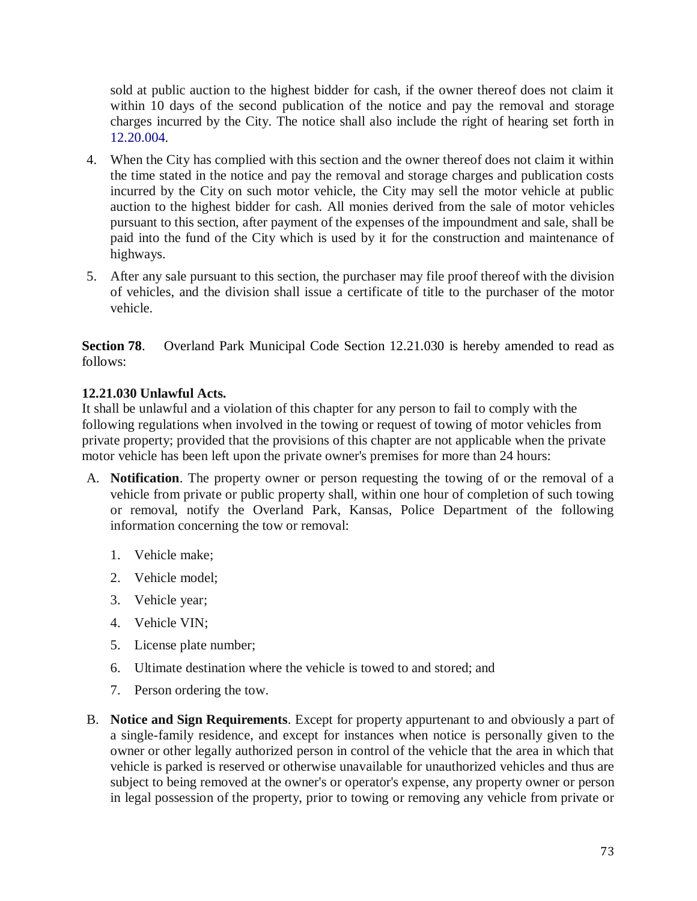sold at public auction to the highest bidder for cash, if the owner thereof does not claim it within 10 days of the second publication of the notice and pay the removal and storage charges incurred by the City. The notice shall also include the right of hearing set forth in 12.20.004.

- 4. When the City has complied with this section and the owner thereof does not claim it within the time stated in the notice and pay the removal and storage charges and publication costs incurred by the City on such motor vehicle, the City may sell the motor vehicle at public auction to the highest bidder for cash. All monies derived from the sale of motor vehicles pursuant to this section, after payment of the expenses of the impoundment and sale, shall be paid into the fund of the City which is used by it for the construction and maintenance of highways.
- 5. After any sale pursuant to this section, the purchaser may file proof thereof with the division of vehicles, and the division shall issue a certificate of title to the purchaser of the motor vehicle.

**Section 78**. Overland Park Municipal Code Section 12.21.030 is hereby amended to read as follows:

## **12.21.030 Unlawful Acts.**

It shall be unlawful and a violation of this chapter for any person to fail to comply with the following regulations when involved in the towing or request of towing of motor vehicles from private property; provided that the provisions of this chapter are not applicable when the private motor vehicle has been left upon the private owner's premises for more than 24 hours:

- A. **Notification**. The property owner or person requesting the towing of or the removal of a vehicle from private or public property shall, within one hour of completion of such towing or removal, notify the Overland Park, Kansas, Police Department of the following information concerning the tow or removal:
	- 1. Vehicle make;
	- 2. Vehicle model;
	- 3. Vehicle year;
	- 4. Vehicle VIN;
	- 5. License plate number;
	- 6. Ultimate destination where the vehicle is towed to and stored; and
	- 7. Person ordering the tow.
- B. **Notice and Sign Requirements**. Except for property appurtenant to and obviously a part of a single-family residence, and except for instances when notice is personally given to the owner or other legally authorized person in control of the vehicle that the area in which that vehicle is parked is reserved or otherwise unavailable for unauthorized vehicles and thus are subject to being removed at the owner's or operator's expense, any property owner or person in legal possession of the property, prior to towing or removing any vehicle from private or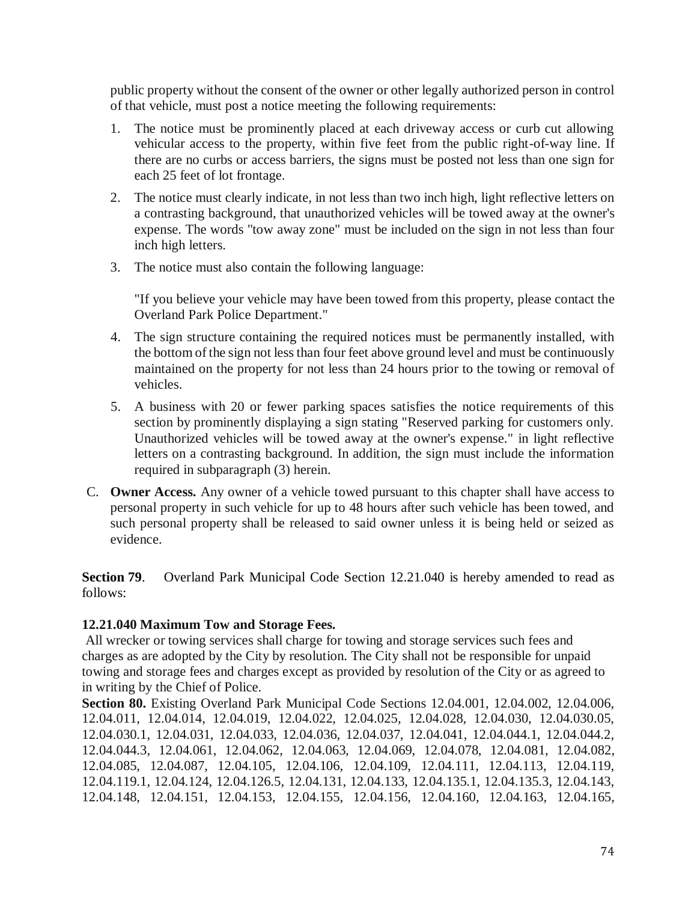public property without the consent of the owner or other legally authorized person in control of that vehicle, must post a notice meeting the following requirements:

- 1. The notice must be prominently placed at each driveway access or curb cut allowing vehicular access to the property, within five feet from the public right-of-way line. If there are no curbs or access barriers, the signs must be posted not less than one sign for each 25 feet of lot frontage.
- 2. The notice must clearly indicate, in not less than two inch high, light reflective letters on a contrasting background, that unauthorized vehicles will be towed away at the owner's expense. The words "tow away zone" must be included on the sign in not less than four inch high letters.
- 3. The notice must also contain the following language:

"If you believe your vehicle may have been towed from this property, please contact the Overland Park Police Department."

- 4. The sign structure containing the required notices must be permanently installed, with the bottom of the sign not less than four feet above ground level and must be continuously maintained on the property for not less than 24 hours prior to the towing or removal of vehicles.
- 5. A business with 20 or fewer parking spaces satisfies the notice requirements of this section by prominently displaying a sign stating "Reserved parking for customers only. Unauthorized vehicles will be towed away at the owner's expense." in light reflective letters on a contrasting background. In addition, the sign must include the information required in subparagraph (3) herein.
- C. **Owner Access.** Any owner of a vehicle towed pursuant to this chapter shall have access to personal property in such vehicle for up to 48 hours after such vehicle has been towed, and such personal property shall be released to said owner unless it is being held or seized as evidence.

**Section 79.** Overland Park Municipal Code Section 12.21.040 is hereby amended to read as follows:

## **12.21.040 Maximum Tow and Storage Fees.**

All wrecker or towing services shall charge for towing and storage services such fees and charges as are adopted by the City by resolution. The City shall not be responsible for unpaid towing and storage fees and charges except as provided by resolution of the City or as agreed to in writing by the Chief of Police.

**Section 80.** Existing Overland Park Municipal Code Sections 12.04.001, 12.04.002, 12.04.006, 12.04.011, 12.04.014, 12.04.019, 12.04.022, 12.04.025, 12.04.028, 12.04.030, 12.04.030.05, 12.04.030.1, 12.04.031, 12.04.033, 12.04.036, 12.04.037, 12.04.041, 12.04.044.1, 12.04.044.2, 12.04.044.3, 12.04.061, 12.04.062, 12.04.063, 12.04.069, 12.04.078, 12.04.081, 12.04.082, 12.04.085, 12.04.087, 12.04.105, 12.04.106, 12.04.109, 12.04.111, 12.04.113, 12.04.119, 12.04.119.1, 12.04.124, 12.04.126.5, 12.04.131, 12.04.133, 12.04.135.1, 12.04.135.3, 12.04.143, 12.04.148, 12.04.151, 12.04.153, 12.04.155, 12.04.156, 12.04.160, 12.04.163, 12.04.165,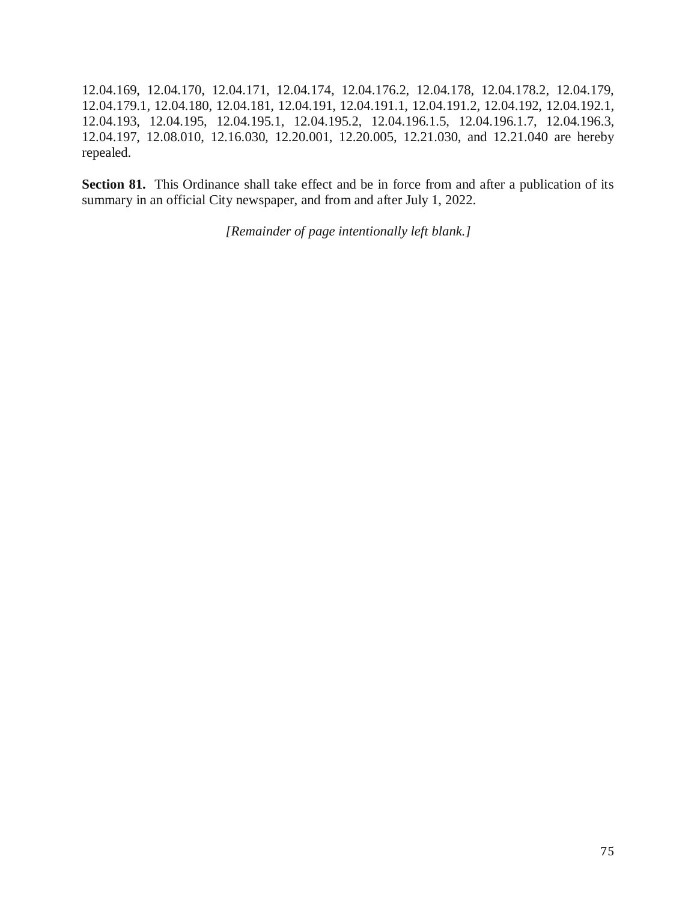12.04.169, 12.04.170, 12.04.171, 12.04.174, 12.04.176.2, 12.04.178, 12.04.178.2, 12.04.179, 12.04.179.1, 12.04.180, 12.04.181, 12.04.191, 12.04.191.1, 12.04.191.2, 12.04.192, 12.04.192.1, 12.04.193, 12.04.195, 12.04.195.1, 12.04.195.2, 12.04.196.1.5, 12.04.196.1.7, 12.04.196.3, 12.04.197, 12.08.010, 12.16.030, 12.20.001, 12.20.005, 12.21.030, and 12.21.040 are hereby repealed.

Section 81. This Ordinance shall take effect and be in force from and after a publication of its summary in an official City newspaper, and from and after July 1, 2022.

*[Remainder of page intentionally left blank.]*